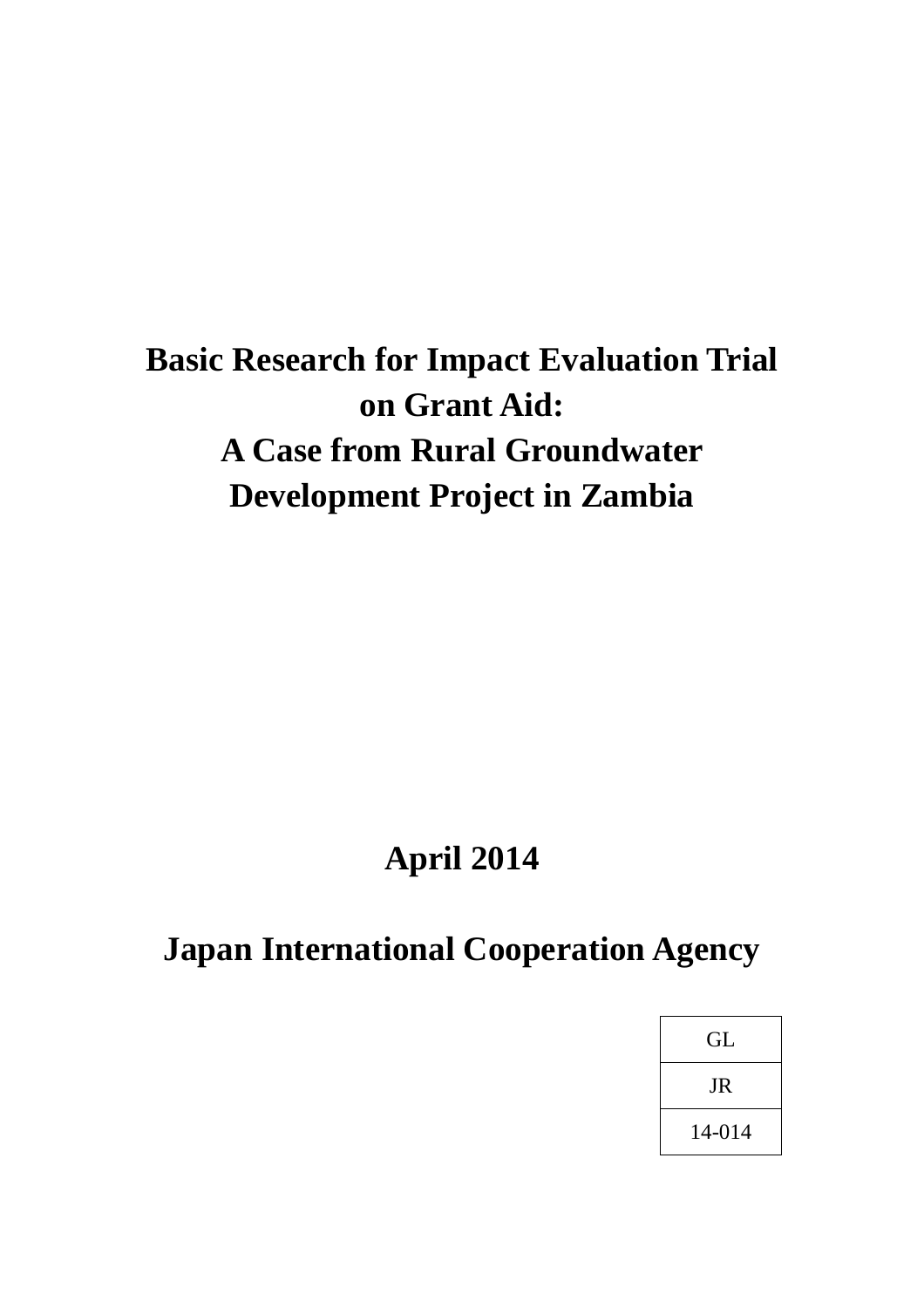# **Basic Research for Impact Evaluation Trial on Grant Aid: A Case from Rural Groundwater Development Project in Zambia**

# **April 2014**

# **Japan International Cooperation Agency**

| GL     |  |
|--------|--|
| JR     |  |
| 14-014 |  |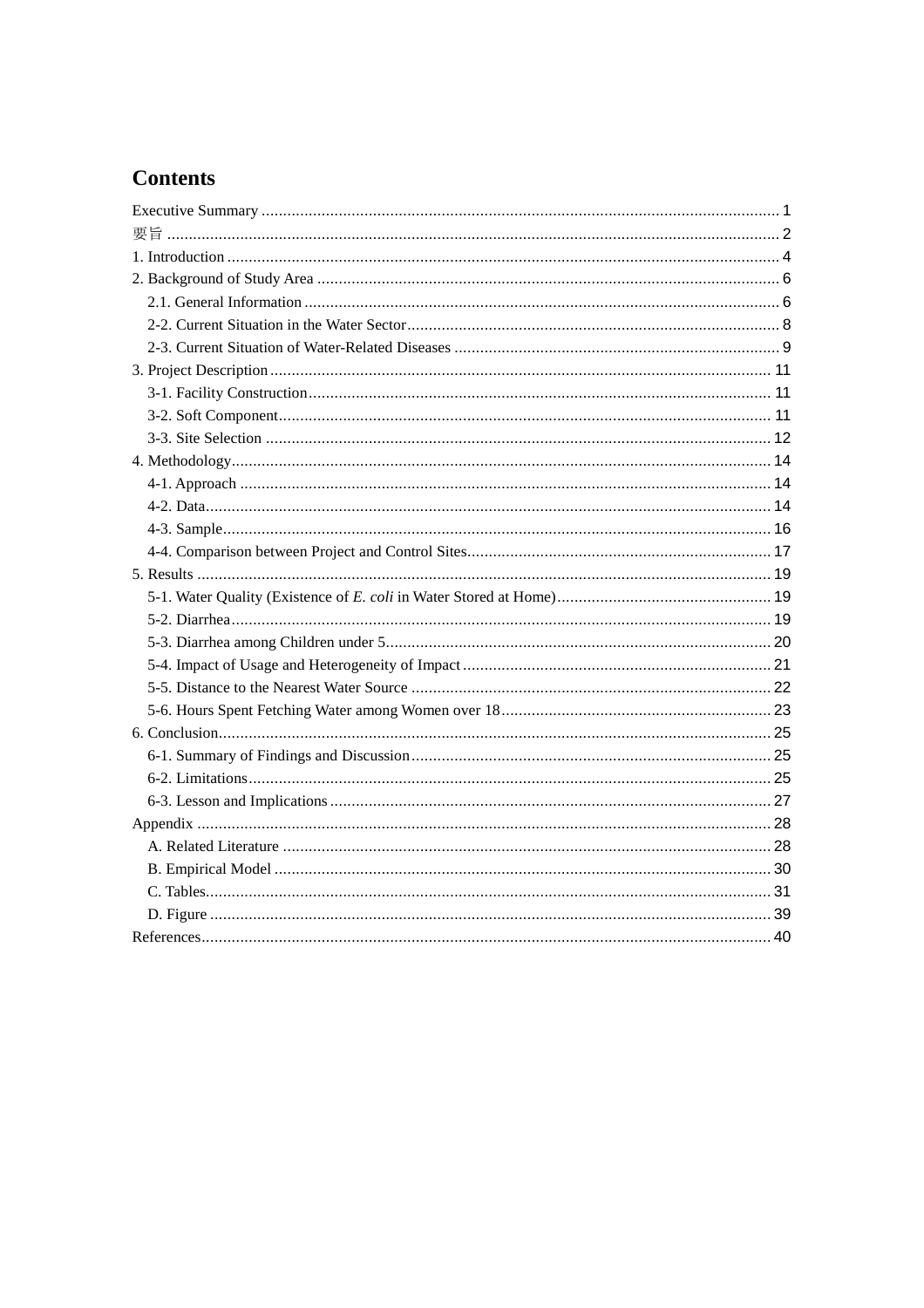# **Contents**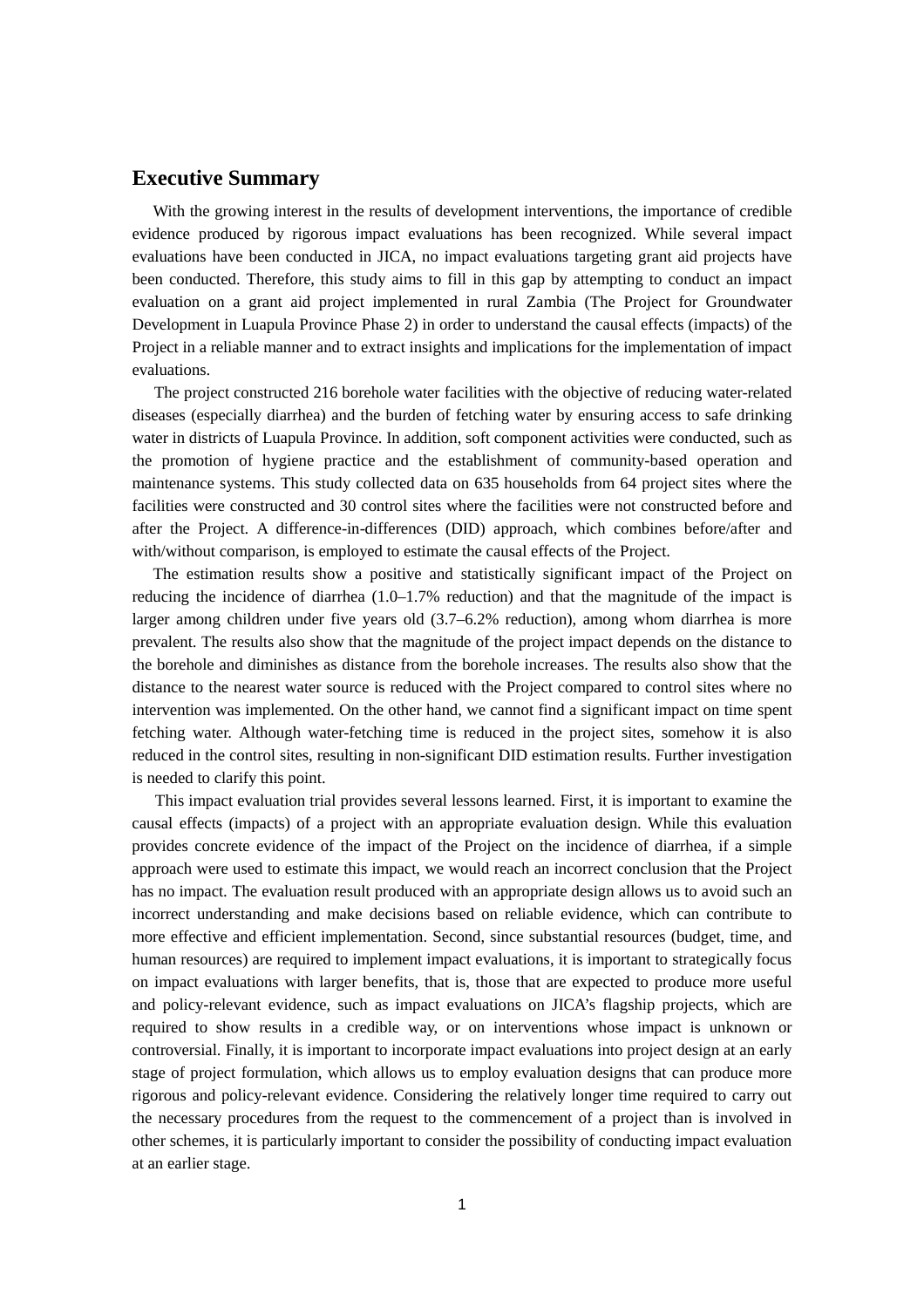# **Executive Summary**

With the growing interest in the results of development interventions, the importance of credible evidence produced by rigorous impact evaluations has been recognized. While several impact evaluations have been conducted in JICA, no impact evaluations targeting grant aid projects have been conducted. Therefore, this study aims to fill in this gap by attempting to conduct an impact evaluation on a grant aid project implemented in rural Zambia (The Project for Groundwater Development in Luapula Province Phase 2) in order to understand the causal effects (impacts) of the Project in a reliable manner and to extract insights and implications for the implementation of impact evaluations.

The project constructed 216 borehole water facilities with the objective of reducing water-related diseases (especially diarrhea) and the burden of fetching water by ensuring access to safe drinking water in districts of Luapula Province. In addition, soft component activities were conducted, such as the promotion of hygiene practice and the establishment of community-based operation and maintenance systems. This study collected data on 635 households from 64 project sites where the facilities were constructed and 30 control sites where the facilities were not constructed before and after the Project. A difference-in-differences (DID) approach, which combines before/after and with/without comparison, is employed to estimate the causal effects of the Project.

The estimation results show a positive and statistically significant impact of the Project on reducing the incidence of diarrhea (1.0–1.7% reduction) and that the magnitude of the impact is larger among children under five years old (3.7–6.2% reduction), among whom diarrhea is more prevalent. The results also show that the magnitude of the project impact depends on the distance to the borehole and diminishes as distance from the borehole increases. The results also show that the distance to the nearest water source is reduced with the Project compared to control sites where no intervention was implemented. On the other hand, we cannot find a significant impact on time spent fetching water. Although water-fetching time is reduced in the project sites, somehow it is also reduced in the control sites, resulting in non-significant DID estimation results. Further investigation is needed to clarify this point.

This impact evaluation trial provides several lessons learned. First, it is important to examine the causal effects (impacts) of a project with an appropriate evaluation design. While this evaluation provides concrete evidence of the impact of the Project on the incidence of diarrhea, if a simple approach were used to estimate this impact, we would reach an incorrect conclusion that the Project has no impact. The evaluation result produced with an appropriate design allows us to avoid such an incorrect understanding and make decisions based on reliable evidence, which can contribute to more effective and efficient implementation. Second, since substantial resources (budget, time, and human resources) are required to implement impact evaluations, it is important to strategically focus on impact evaluations with larger benefits, that is, those that are expected to produce more useful and policy-relevant evidence, such as impact evaluations on JICA's flagship projects, which are required to show results in a credible way, or on interventions whose impact is unknown or controversial. Finally, it is important to incorporate impact evaluations into project design at an early stage of project formulation, which allows us to employ evaluation designs that can produce more rigorous and policy-relevant evidence. Considering the relatively longer time required to carry out the necessary procedures from the request to the commencement of a project than is involved in other schemes, it is particularly important to consider the possibility of conducting impact evaluation at an earlier stage.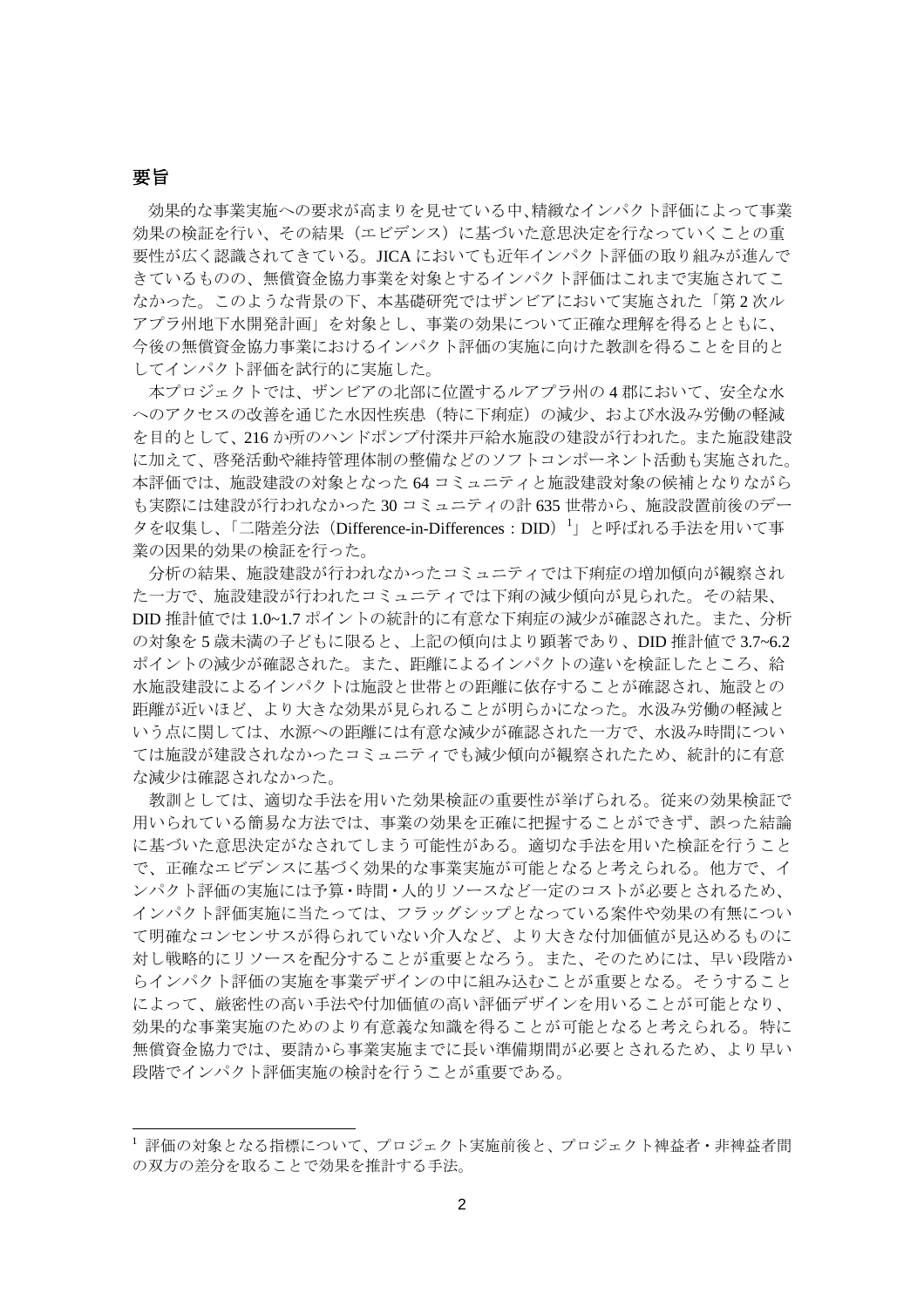## 要旨

効果的な事業実施への要求が高まりを見せている中、精緻なインパクト評価によって事業 効果の検証を行い、その結果(エビデンス)に基づいた意思決定を行なっていくことの重 要性が広く認識されてきている。JICA においても近年インパクト評価の取り組みが進んで きているものの、無償資金協力事業を対象とするインパクト評価はこれまで実施されてこ なかった。このような背景の下、本基礎研究ではザンビアにおいて実施された「第 2 次ル アプラ州地下水開発計画」を対象とし、事業の効果について正確な理解を得るとともに、 今後の無償資金協力事業におけるインパクト評価の実施に向けた教訓を得ることを目的と してインパクト評価を試行的に実施した。

本プロジェクトでは、ザンビアの北部に位置するルアプラ州の 4 郡において、安全な水 へのアクセスの改善を通じた水因性疾患(特に下痢症)の減少、および水汲み労働の軽減 を目的として、216 か所のハンドポンプ付深井戸給水施設の建設が行われた。また施設建設 に加えて、啓発活動や維持管理体制の整備などのソフトコンポーネント活動も実施された。 本評価では、施設建設の対象となった 64 コミュニティと施設建設対象の候補となりながら も実際には建設が行われなかった 30 コミュニティの計 635 世帯から、施設設置前後のデー タを収集し、「二階差分法 (Difference-in-Differences: DID) <sup>[1](#page-3-0)</sup>」と呼ばれる手法を用いて事 業の因果的効果の検証を行った。

分析の結果、施設建設が行われなかったコミュニティでは下痢症の増加傾向が観察され た一方で、施設建設が行われたコミュニティでは下痢の減少傾向が見られた。その結果、 DID 推計値では 1.0~1.7 ポイントの統計的に有意な下痢症の減少が確認された。また、分析 の対象を 5 歳未満の子どもに限ると、上記の傾向はより顕著であり、DID 推計値で 3.7~6.2 ポイントの減少が確認された。また、距離によるインパクトの違いを検証したところ、給 水施設建設によるインパクトは施設と世帯との距離に依存することが確認され、施設との 距離が近いほど、より大きな効果が見られることが明らかになった。水汲み労働の軽減と いう点に関しては、水源への距離には有意な減少が確認された一方で、水汲み時間につい ては施設が建設されなかったコミュニティでも減少傾向が観察されたため、統計的に有意 な減少は確認されなかった。

教訓としては、適切な手法を用いた効果検証の重要性が挙げられる。従来の効果検証で 用いられている簡易な方法では、事業の効果を正確に把握することができず、誤った結論 に基づいた意思決定がなされてしまう可能性がある。適切な手法を用いた検証を行うこと で、正確なエビデンスに基づく効果的な事業実施が可能となると考えられる。他方で、イ ンパクト評価の実施には予算・時間・人的リソースなど一定のコストが必要とされるため、 インパクト評価実施に当たっては、フラッグシップとなっている案件や効果の有無につい て明確なコンセンサスが得られていない介入など、より大きな付加価値が見込めるものに 対し戦略的にリソースを配分することが重要となろう。また、そのためには、早い段階か らインパクト評価の実施を事業デザインの中に組み込むことが重要となる。そうすること によって、厳密性の高い手法や付加価値の高い評価デザインを用いることが可能となり、 効果的な事業実施のためのより有意義な知識を得ることが可能となると考えられる。特に 無償資金協力では、要請から事業実施までに長い準備期間が必要とされるため、より早い 段階でインパクト評価実施の検討を行うことが重要である。

<span id="page-3-0"></span><sup>1</sup> 評価の対象となる指標について、プロジェクト実施前後と、プロジェクト裨益者・非裨益者間 の双方の差分を取ることで効果を推計する手法。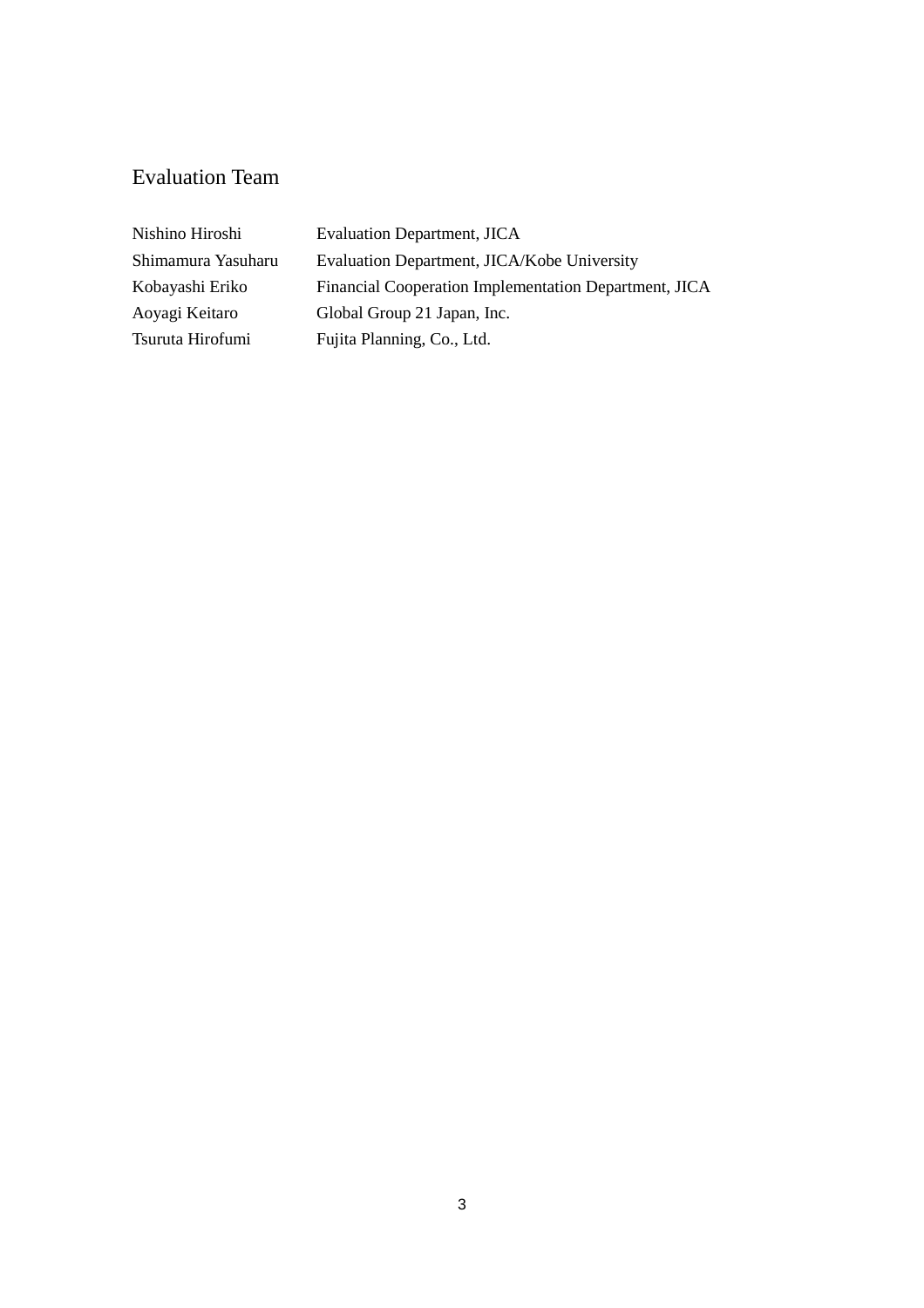# Evaluation Team

| Nishino Hiroshi    | <b>Evaluation Department, JICA</b>                    |
|--------------------|-------------------------------------------------------|
| Shimamura Yasuharu | Evaluation Department, JICA/Kobe University           |
| Kobayashi Eriko    | Financial Cooperation Implementation Department, JICA |
| Aoyagi Keitaro     | Global Group 21 Japan, Inc.                           |
| Tsuruta Hirofumi   | Fujita Planning, Co., Ltd.                            |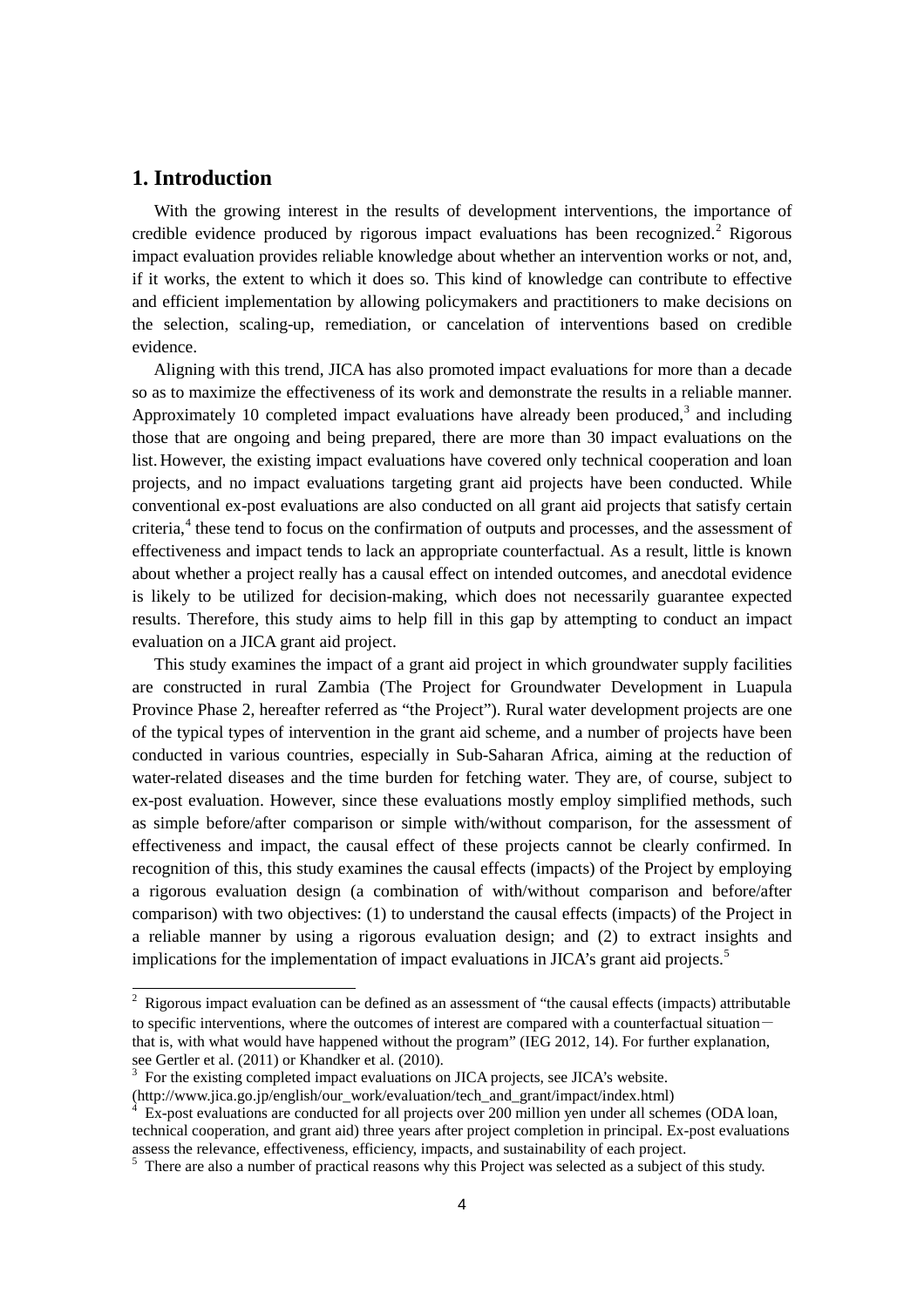# **1. Introduction**

j

With the growing interest in the results of development interventions, the importance of credible evidence produced by rigorous impact evaluations has been recognized.<sup>[2](#page-5-0)</sup> Rigorous impact evaluation provides reliable knowledge about whether an intervention works or not, and, if it works, the extent to which it does so. This kind of knowledge can contribute to effective and efficient implementation by allowing policymakers and practitioners to make decisions on the selection, scaling-up, remediation, or cancelation of interventions based on credible evidence.

Aligning with this trend, JICA has also promoted impact evaluations for more than a decade so as to maximize the effectiveness of its work and demonstrate the results in a reliable manner. Approximately 10 completed impact evaluations have already been produced,<sup>[3](#page-5-1)</sup> and including those that are ongoing and being prepared, there are more than 30 impact evaluations on the list. However, the existing impact evaluations have covered only technical cooperation and loan projects, and no impact evaluations targeting grant aid projects have been conducted. While conventional ex-post evaluations are also conducted on all grant aid projects that satisfy certain criteria,<sup>[4](#page-5-2)</sup> these tend to focus on the confirmation of outputs and processes, and the assessment of effectiveness and impact tends to lack an appropriate counterfactual. As a result, little is known about whether a project really has a causal effect on intended outcomes, and anecdotal evidence is likely to be utilized for decision-making, which does not necessarily guarantee expected results. Therefore, this study aims to help fill in this gap by attempting to conduct an impact evaluation on a JICA grant aid project.

This study examines the impact of a grant aid project in which groundwater supply facilities are constructed in rural Zambia (The Project for Groundwater Development in Luapula Province Phase 2, hereafter referred as "the Project"). Rural water development projects are one of the typical types of intervention in the grant aid scheme, and a number of projects have been conducted in various countries, especially in Sub-Saharan Africa, aiming at the reduction of water-related diseases and the time burden for fetching water. They are, of course, subject to ex-post evaluation. However, since these evaluations mostly employ simplified methods, such as simple before/after comparison or simple with/without comparison, for the assessment of effectiveness and impact, the causal effect of these projects cannot be clearly confirmed. In recognition of this, this study examines the causal effects (impacts) of the Project by employing a rigorous evaluation design (a combination of with/without comparison and before/after comparison) with two objectives: (1) to understand the causal effects (impacts) of the Project in a reliable manner by using a rigorous evaluation design; and (2) to extract insights and implications for the implementation of impact evaluations in JICA's grant aid projects.<sup>[5](#page-5-3)</sup>

<span id="page-5-0"></span> $2\;\text{Rigorous impact evaluation can be defined as an assessment of "the causal effects (impacts) attributable}$ to specific interventions, where the outcomes of interest are compared with a counterfactual situation $$ that is, with what would have happened without the program" (IEG 2012, 14). For further explanation, see Gertler et al. (2011) or Khandker et al. (2010).

<span id="page-5-1"></span><sup>&</sup>lt;sup>3</sup> For the existing completed impact evaluations on JICA projects, see JICA's website.<br>(http://www.jica.go.jp/english/our\_work/evaluation/tech\_and\_grant/impact/index.html)

<span id="page-5-2"></span>

 $\overline{Ex}$ -post evaluations are conducted for all projects over 200 million yen under all schemes (ODA loan, technical cooperation, and grant aid) three years after project completion in principal. Ex-post evaluations assess the relevance, effectiveness, efficiency, impacts, and sustainability of each project.

<span id="page-5-3"></span> $\frac{1}{2}$ . There are also a number of practical reasons why this Project was selected as a subject of this study.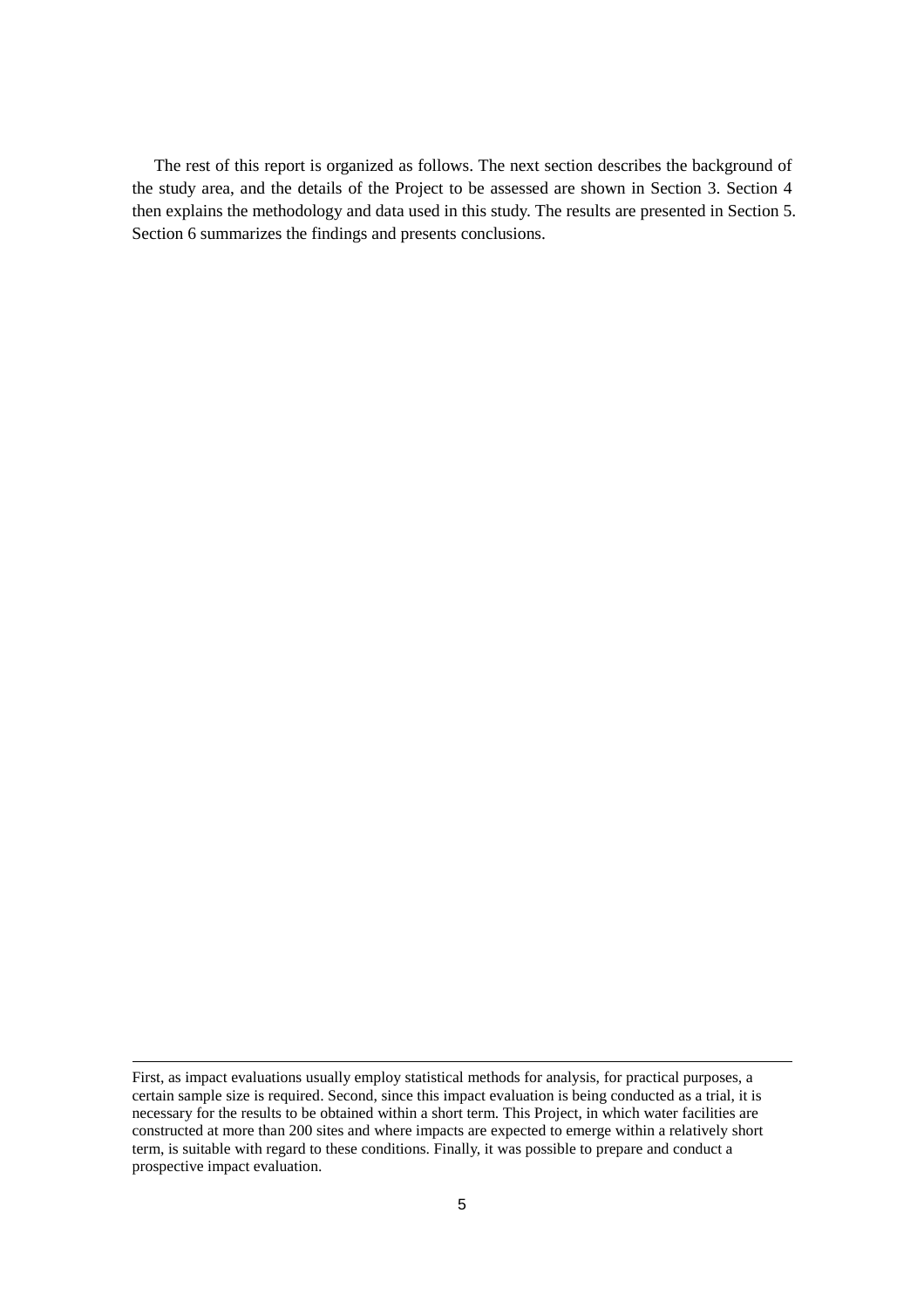The rest of this report is organized as follows. The next section describes the background of the study area, and the details of the Project to be assessed are shown in Section 3. Section 4 then explains the methodology and data used in this study. The results are presented in Section 5. Section 6 summarizes the findings and presents conclusions.

-

First, as impact evaluations usually employ statistical methods for analysis, for practical purposes, a certain sample size is required. Second, since this impact evaluation is being conducted as a trial, it is necessary for the results to be obtained within a short term. This Project, in which water facilities are constructed at more than 200 sites and where impacts are expected to emerge within a relatively short term, is suitable with regard to these conditions. Finally, it was possible to prepare and conduct a prospective impact evaluation.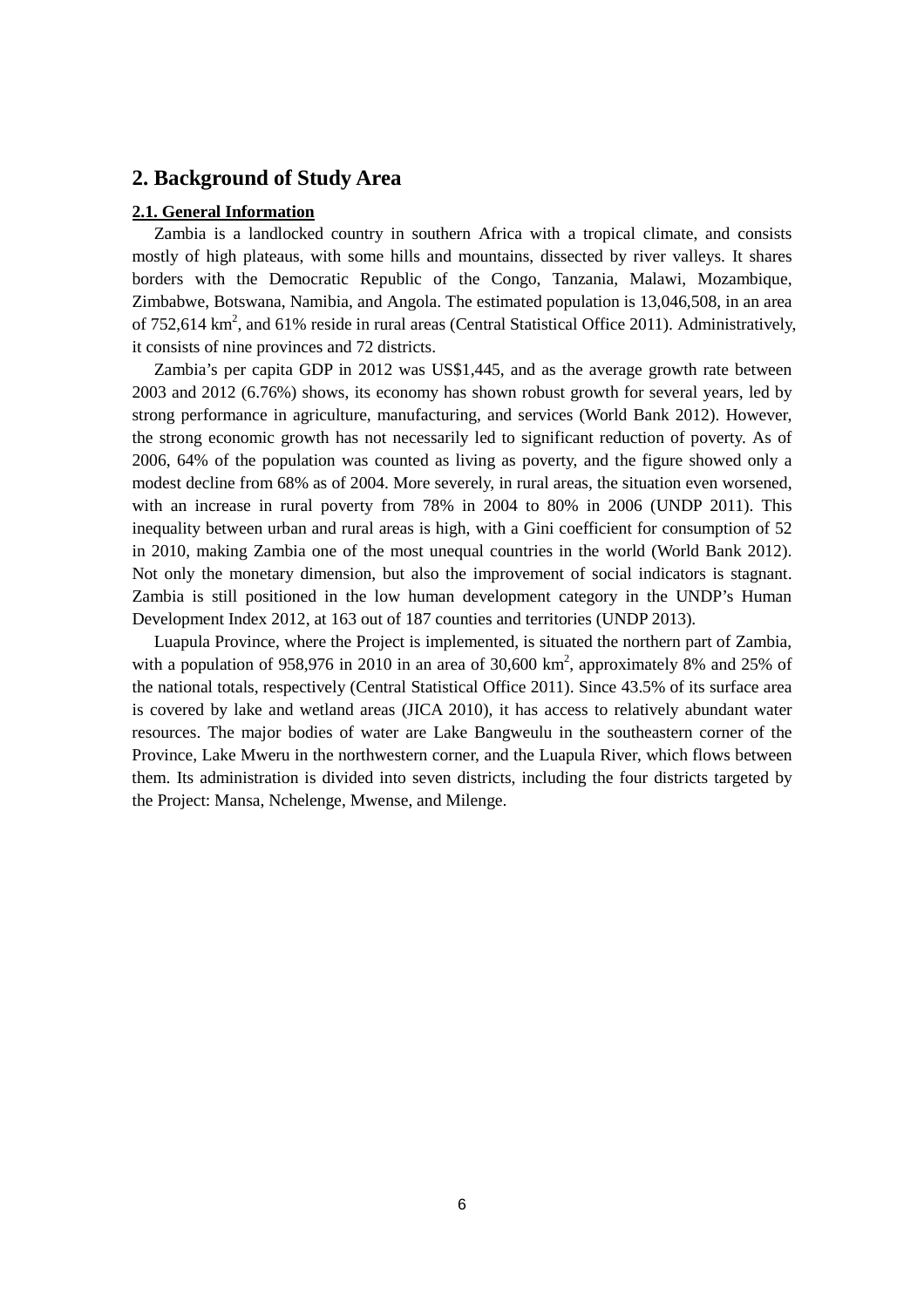# **2. Background of Study Area**

#### **2.1. General Information**

Zambia is a landlocked country in southern Africa with a tropical climate, and consists mostly of high plateaus, with some hills and mountains, dissected by river valleys. It shares borders with the Democratic Republic of the Congo, Tanzania, Malawi, Mozambique, Zimbabwe, Botswana, Namibia, and Angola. The estimated population is 13,046,508, in an area of 752,614  $\rm km^2$ , and 61% reside in rural areas (Central Statistical Office 2011). Administratively, it consists of nine provinces and 72 districts.

Zambia's per capita GDP in 2012 was US\$1,445, and as the average growth rate between 2003 and 2012 (6.76%) shows, its economy has shown robust growth for several years, led by strong performance in agriculture, manufacturing, and services (World Bank 2012). However, the strong economic growth has not necessarily led to significant reduction of poverty. As of 2006, 64% of the population was counted as living as poverty, and the figure showed only a modest decline from 68% as of 2004. More severely, in rural areas, the situation even worsened, with an increase in rural poverty from 78% in 2004 to 80% in 2006 (UNDP 2011). This inequality between urban and rural areas is high, with a Gini coefficient for consumption of 52 in 2010, making Zambia one of the most unequal countries in the world (World Bank 2012). Not only the monetary dimension, but also the improvement of social indicators is stagnant. Zambia is still positioned in the low human development category in the UNDP's Human Development Index 2012, at 163 out of 187 counties and territories (UNDP 2013).

Luapula Province, where the Project is implemented, is situated the northern part of Zambia, with a population of 958,976 in 2010 in an area of 30,600  $km^2$ , approximately 8% and 25% of the national totals, respectively (Central Statistical Office 2011). Since 43.5% of its surface area is covered by lake and wetland areas (JICA 2010), it has access to relatively abundant water resources. The major bodies of water are Lake Bangweulu in the southeastern corner of the Province, Lake Mweru in the northwestern corner, and the Luapula River, which flows between them. Its administration is divided into seven districts, including the four districts targeted by the Project: Mansa, Nchelenge, Mwense, and Milenge.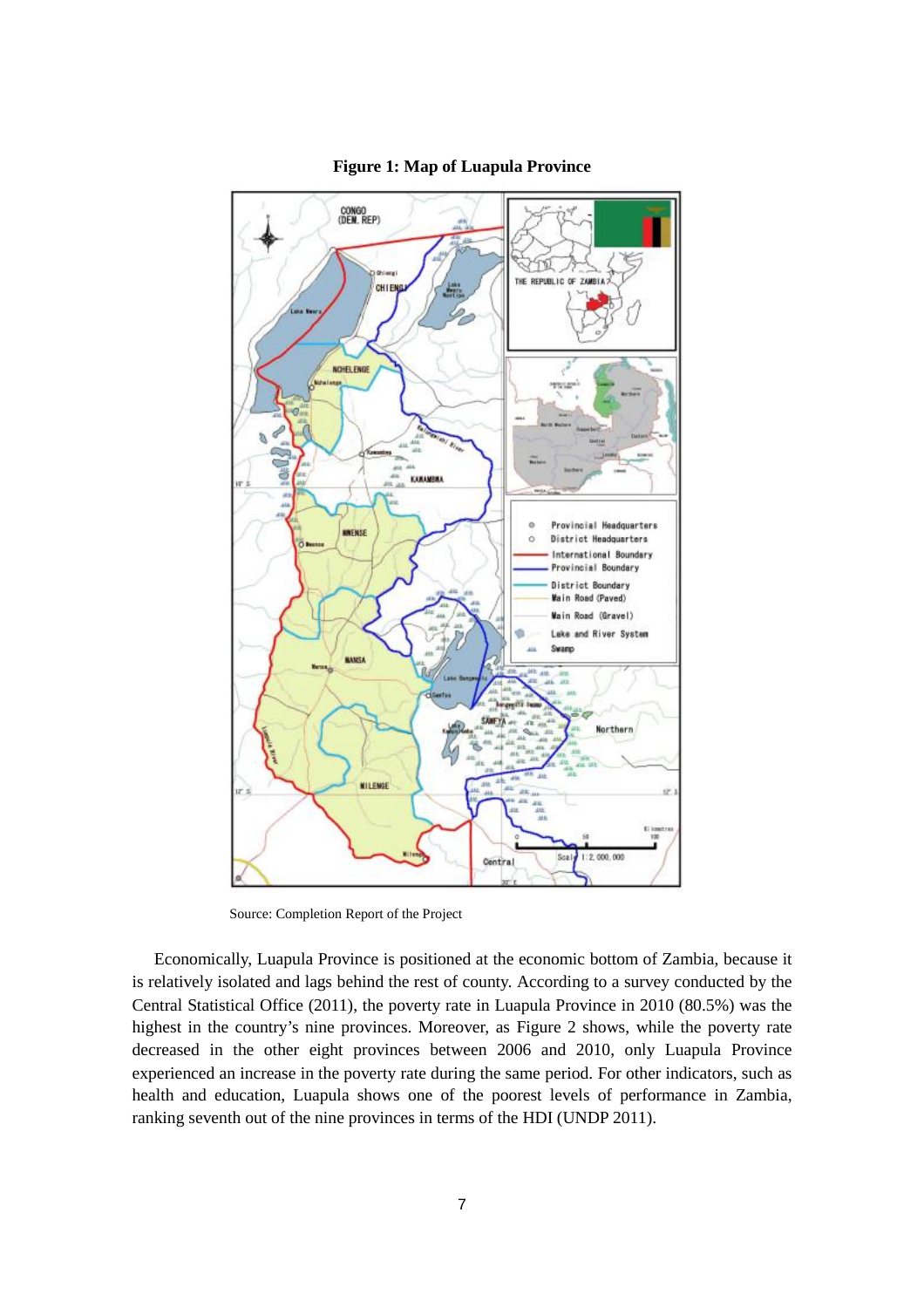

#### **Figure 1: Map of Luapula Province**

Source: Completion Report of the Project

Economically, Luapula Province is positioned at the economic bottom of Zambia, because it is relatively isolated and lags behind the rest of county. According to a survey conducted by the Central Statistical Office (2011), the poverty rate in Luapula Province in 2010 (80.5%) was the highest in the country's nine provinces. Moreover, as Figure 2 shows, while the poverty rate decreased in the other eight provinces between 2006 and 2010, only Luapula Province experienced an increase in the poverty rate during the same period. For other indicators, such as health and education, Luapula shows one of the poorest levels of performance in Zambia, ranking seventh out of the nine provinces in terms of the HDI (UNDP 2011).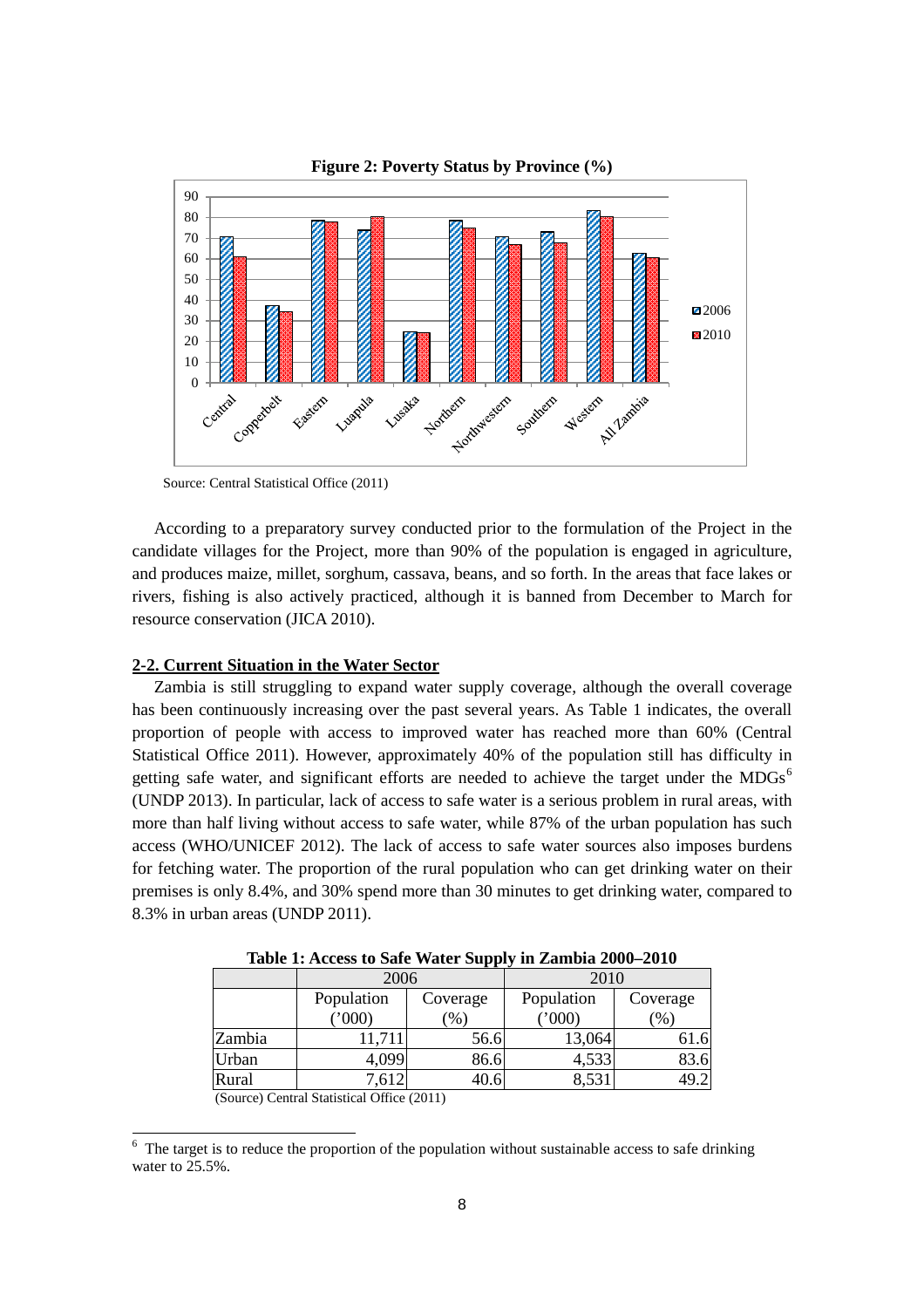

**Figure 2: Poverty Status by Province (%)**

Source: Central Statistical Office (2011)

According to a preparatory survey conducted prior to the formulation of the Project in the candidate villages for the Project, more than 90% of the population is engaged in agriculture, and produces maize, millet, sorghum, cassava, beans, and so forth. In the areas that face lakes or rivers, fishing is also actively practiced, although it is banned from December to March for resource conservation (JICA 2010).

#### **2-2. Current Situation in the Water Sector**

Zambia is still struggling to expand water supply coverage, although the overall coverage has been continuously increasing over the past several years. As Table 1 indicates, the overall proportion of people with access to improved water has reached more than 60% (Central Statistical Office 2011). However, approximately 40% of the population still has difficulty in getting safe water, and significant efforts are needed to achieve the target under the MDGs<sup>[6](#page-9-0)</sup> (UNDP 2013). In particular, lack of access to safe water is a serious problem in rural areas, with more than half living without access to safe water, while 87% of the urban population has such access (WHO/UNICEF 2012). The lack of access to safe water sources also imposes burdens for fetching water. The proportion of the rural population who can get drinking water on their premises is only 8.4%, and 30% spend more than 30 minutes to get drinking water, compared to 8.3% in urban areas (UNDP 2011).

|        | 2006                                            |                                 | 2010                |                 |  |
|--------|-------------------------------------------------|---------------------------------|---------------------|-----------------|--|
|        | Population<br>$^{\prime\prime}000$              | Coverage<br>$\left( \% \right)$ | Population<br>(000) | Coverage<br>(9) |  |
| Zambia | 11,711                                          | 56.6                            | 13,064              | 61.6            |  |
| Urban  | 4,099                                           | 86.6                            | 4,533               | 83.6            |  |
| Rural  | 7,612                                           | 40.6                            | 8,531               | 19.2            |  |
|        | $(0, 0, 0)$ $(0, 1, 0)$ $(1, 0, 0)$ $(0, 0, 1)$ |                                 |                     |                 |  |

**Table 1: Access to Safe Water Supply in Zambia 2000–2010**

(Source) Central Statistical Office (2011)

 $\overline{\phantom{a}}$ 

<span id="page-9-0"></span> $6\text{ }$  The target is to reduce the proportion of the population without sustainable access to safe drinking water to 25.5%.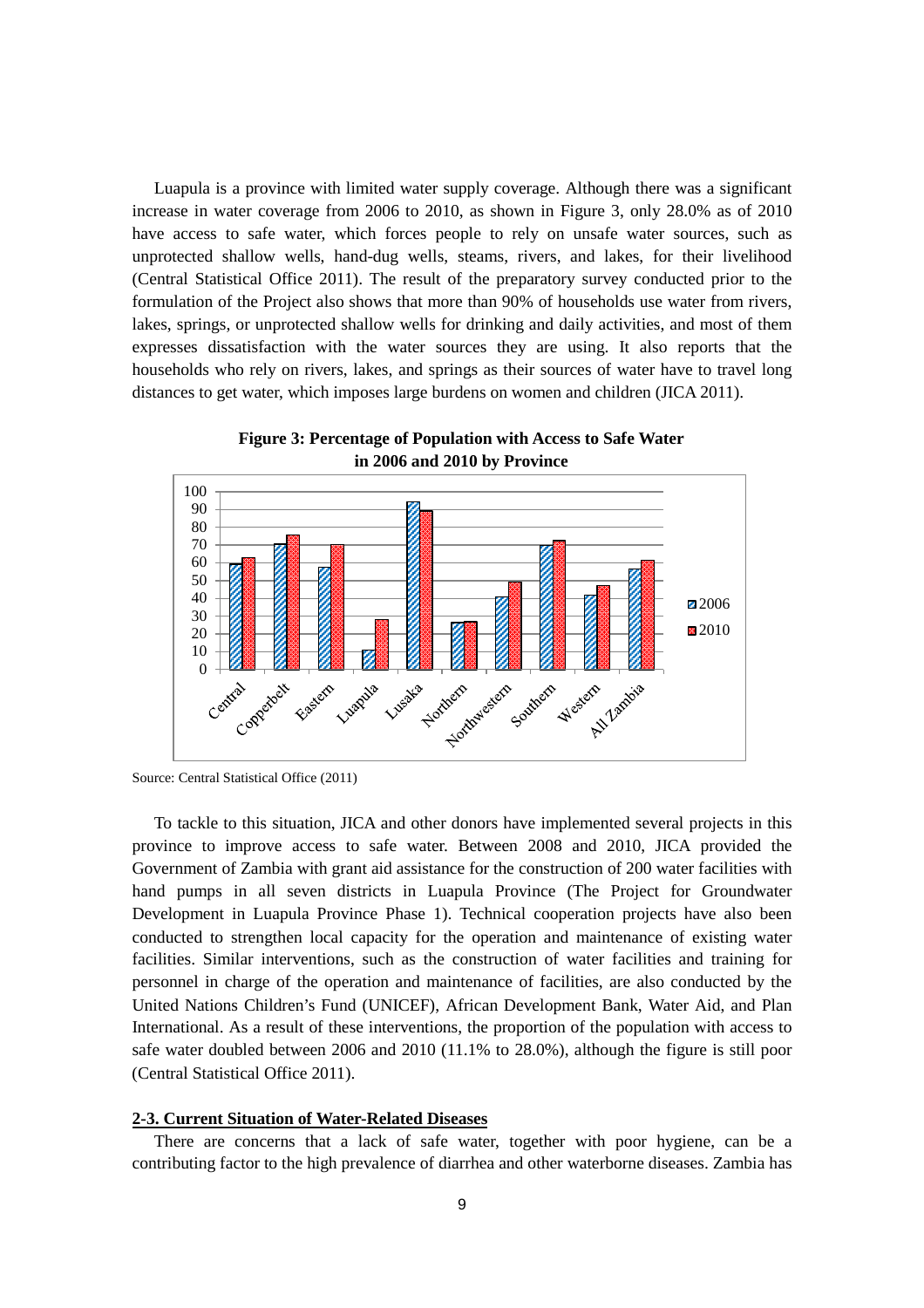Luapula is a province with limited water supply coverage. Although there was a significant increase in water coverage from 2006 to 2010, as shown in Figure 3, only 28.0% as of 2010 have access to safe water, which forces people to rely on unsafe water sources, such as unprotected shallow wells, hand-dug wells, steams, rivers, and lakes, for their livelihood (Central Statistical Office 2011). The result of the preparatory survey conducted prior to the formulation of the Project also shows that more than 90% of households use water from rivers, lakes, springs, or unprotected shallow wells for drinking and daily activities, and most of them expresses dissatisfaction with the water sources they are using. It also reports that the households who rely on rivers, lakes, and springs as their sources of water have to travel long distances to get water, which imposes large burdens on women and children (JICA 2011).



**Figure 3: Percentage of Population with Access to Safe Water in 2006 and 2010 by Province**

To tackle to this situation, JICA and other donors have implemented several projects in this province to improve access to safe water. Between 2008 and 2010, JICA provided the Government of Zambia with grant aid assistance for the construction of 200 water facilities with hand pumps in all seven districts in Luapula Province (The Project for Groundwater Development in Luapula Province Phase 1). Technical cooperation projects have also been conducted to strengthen local capacity for the operation and maintenance of existing water facilities. Similar interventions, such as the construction of water facilities and training for personnel in charge of the operation and maintenance of facilities, are also conducted by the United Nations Children's Fund (UNICEF), African Development Bank, Water Aid, and Plan International. As a result of these interventions, the proportion of the population with access to safe water doubled between 2006 and 2010 (11.1% to 28.0%), although the figure is still poor (Central Statistical Office 2011).

#### **2-3. Current Situation of Water-Related Diseases**

There are concerns that a lack of safe water, together with poor hygiene, can be a contributing factor to the high prevalence of diarrhea and other waterborne diseases. Zambia has

Source: Central Statistical Office (2011)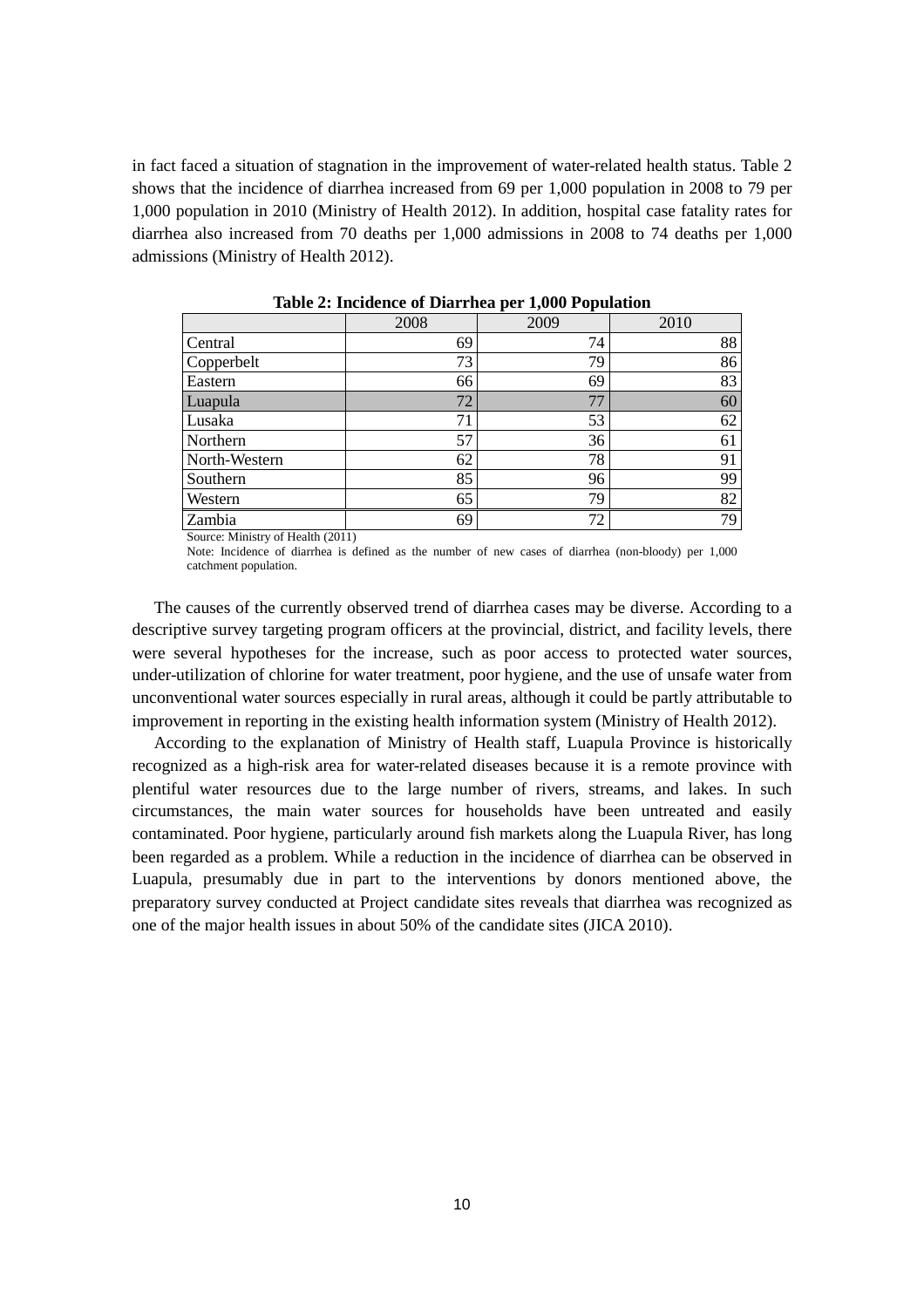in fact faced a situation of stagnation in the improvement of water-related health status. Table 2 shows that the incidence of diarrhea increased from 69 per 1,000 population in 2008 to 79 per 1,000 population in 2010 (Ministry of Health 2012). In addition, hospital case fatality rates for diarrhea also increased from 70 deaths per 1,000 admissions in 2008 to 74 deaths per 1,000 admissions (Ministry of Health 2012).

|               | 2008 | 2009 | 2010 |
|---------------|------|------|------|
| Central       | 69   | 74   | 88   |
| Copperbelt    | 73   | 79   | 86   |
| Eastern       | 66   | 69   | 83   |
| Luapula       | 72   | 77   | 60   |
| Lusaka        | 71   | 53   | 62   |
| Northern      | 57   | 36   | 61   |
| North-Western | 62   | 78   | 91   |
| Southern      | 85   | 96   | 99   |
| Western       | 65   | 79   | 82   |
| Zambia        | 69   | 72   | 79   |

**Table 2: Incidence of Diarrhea per 1,000 Population**

Source: Ministry of Health (2011)

Note: Incidence of diarrhea is defined as the number of new cases of diarrhea (non-bloody) per 1,000 catchment population.

The causes of the currently observed trend of diarrhea cases may be diverse. According to a descriptive survey targeting program officers at the provincial, district, and facility levels, there were several hypotheses for the increase, such as poor access to protected water sources, under-utilization of chlorine for water treatment, poor hygiene, and the use of unsafe water from unconventional water sources especially in rural areas, although it could be partly attributable to improvement in reporting in the existing health information system (Ministry of Health 2012).

According to the explanation of Ministry of Health staff, Luapula Province is historically recognized as a high-risk area for water-related diseases because it is a remote province with plentiful water resources due to the large number of rivers, streams, and lakes. In such circumstances, the main water sources for households have been untreated and easily contaminated. Poor hygiene, particularly around fish markets along the Luapula River, has long been regarded as a problem. While a reduction in the incidence of diarrhea can be observed in Luapula, presumably due in part to the interventions by donors mentioned above, the preparatory survey conducted at Project candidate sites reveals that diarrhea was recognized as one of the major health issues in about 50% of the candidate sites (JICA 2010).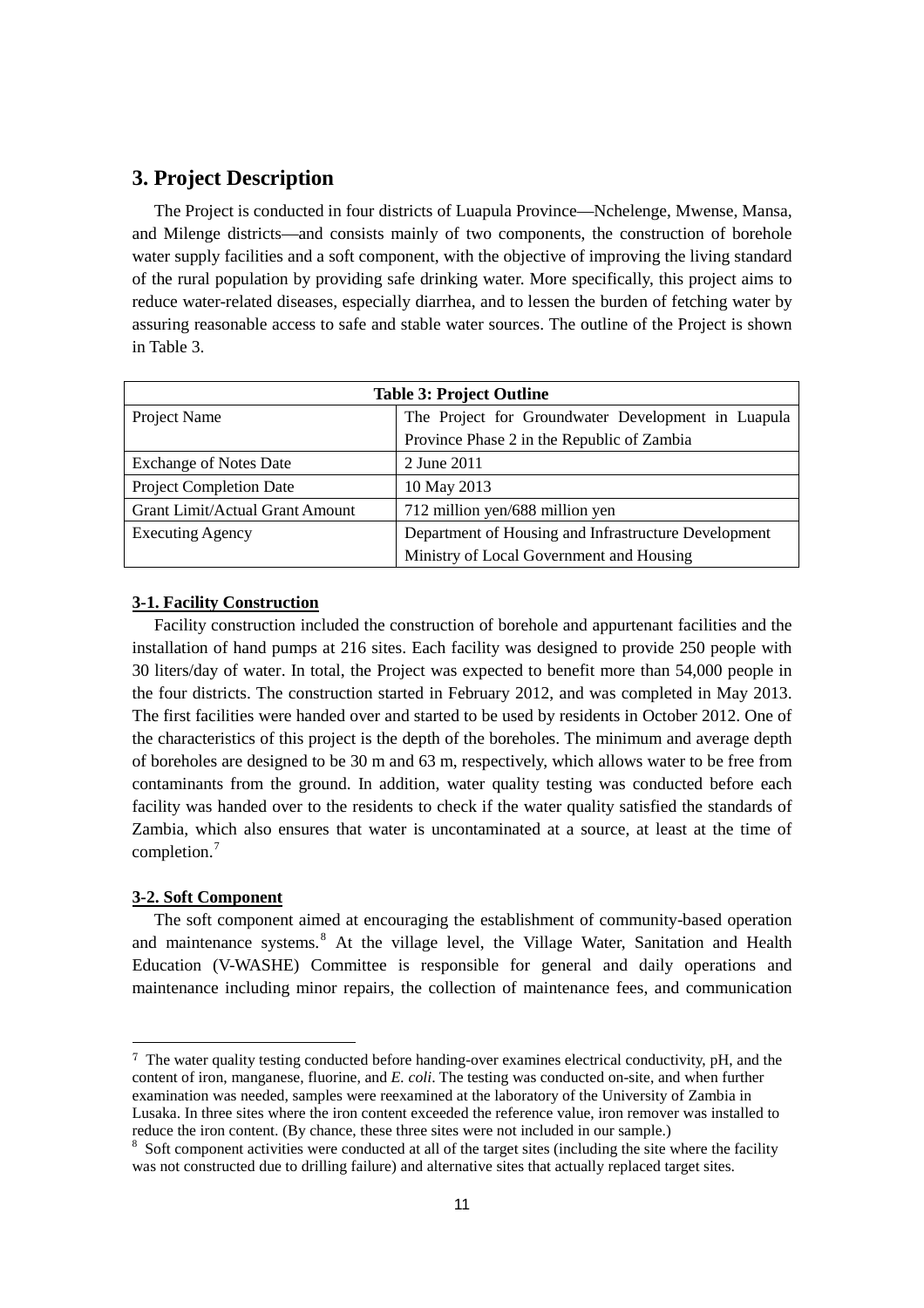# **3. Project Description**

The Project is conducted in four districts of Luapula Province—Nchelenge, Mwense, Mansa, and Milenge districts—and consists mainly of two components, the construction of borehole water supply facilities and a soft component, with the objective of improving the living standard of the rural population by providing safe drinking water. More specifically, this project aims to reduce water-related diseases, especially diarrhea, and to lessen the burden of fetching water by assuring reasonable access to safe and stable water sources. The outline of the Project is shown in Table 3.

| <b>Table 3: Project Outline</b>        |                                                      |  |  |  |  |  |
|----------------------------------------|------------------------------------------------------|--|--|--|--|--|
| Project Name                           | The Project for Groundwater Development in Luapula   |  |  |  |  |  |
|                                        | Province Phase 2 in the Republic of Zambia           |  |  |  |  |  |
| <b>Exchange of Notes Date</b>          | 2 June 2011                                          |  |  |  |  |  |
| <b>Project Completion Date</b>         | 10 May 2013                                          |  |  |  |  |  |
| <b>Grant Limit/Actual Grant Amount</b> | 712 million yen/688 million yen                      |  |  |  |  |  |
| <b>Executing Agency</b>                | Department of Housing and Infrastructure Development |  |  |  |  |  |
|                                        | Ministry of Local Government and Housing             |  |  |  |  |  |

## **3-1. Facility Construction**

Facility construction included the construction of borehole and appurtenant facilities and the installation of hand pumps at 216 sites. Each facility was designed to provide 250 people with 30 liters/day of water. In total, the Project was expected to benefit more than 54,000 people in the four districts. The construction started in February 2012, and was completed in May 2013. The first facilities were handed over and started to be used by residents in October 2012. One of the characteristics of this project is the depth of the boreholes. The minimum and average depth of boreholes are designed to be 30 m and 63 m, respectively, which allows water to be free from contaminants from the ground. In addition, water quality testing was conducted before each facility was handed over to the residents to check if the water quality satisfied the standards of Zambia, which also ensures that water is uncontaminated at a source, at least at the time of completion. [7](#page-12-0)

#### **3-2. Soft Component**

-

The soft component aimed at encouraging the establishment of community-based operation and maintenance systems.<sup>[8](#page-12-1)</sup> At the village level, the Village Water, Sanitation and Health Education (V-WASHE) Committee is responsible for general and daily operations and maintenance including minor repairs, the collection of maintenance fees, and communication

<span id="page-12-0"></span><sup>7</sup> The water quality testing conducted before handing-over examines electrical conductivity, pH, and the content of iron, manganese, fluorine, and *E. coli*. The testing was conducted on-site, and when further examination was needed, samples were reexamined at the laboratory of the University of Zambia in Lusaka. In three sites where the iron content exceeded the reference value, iron remover was installed to reduce the iron content. (By chance, these three sites were not included in our sample.)

<span id="page-12-1"></span> $8$  Soft component activities were conducted at all of the target sites (including the site where the facility was not constructed due to drilling failure) and alternative sites that actually replaced target sites.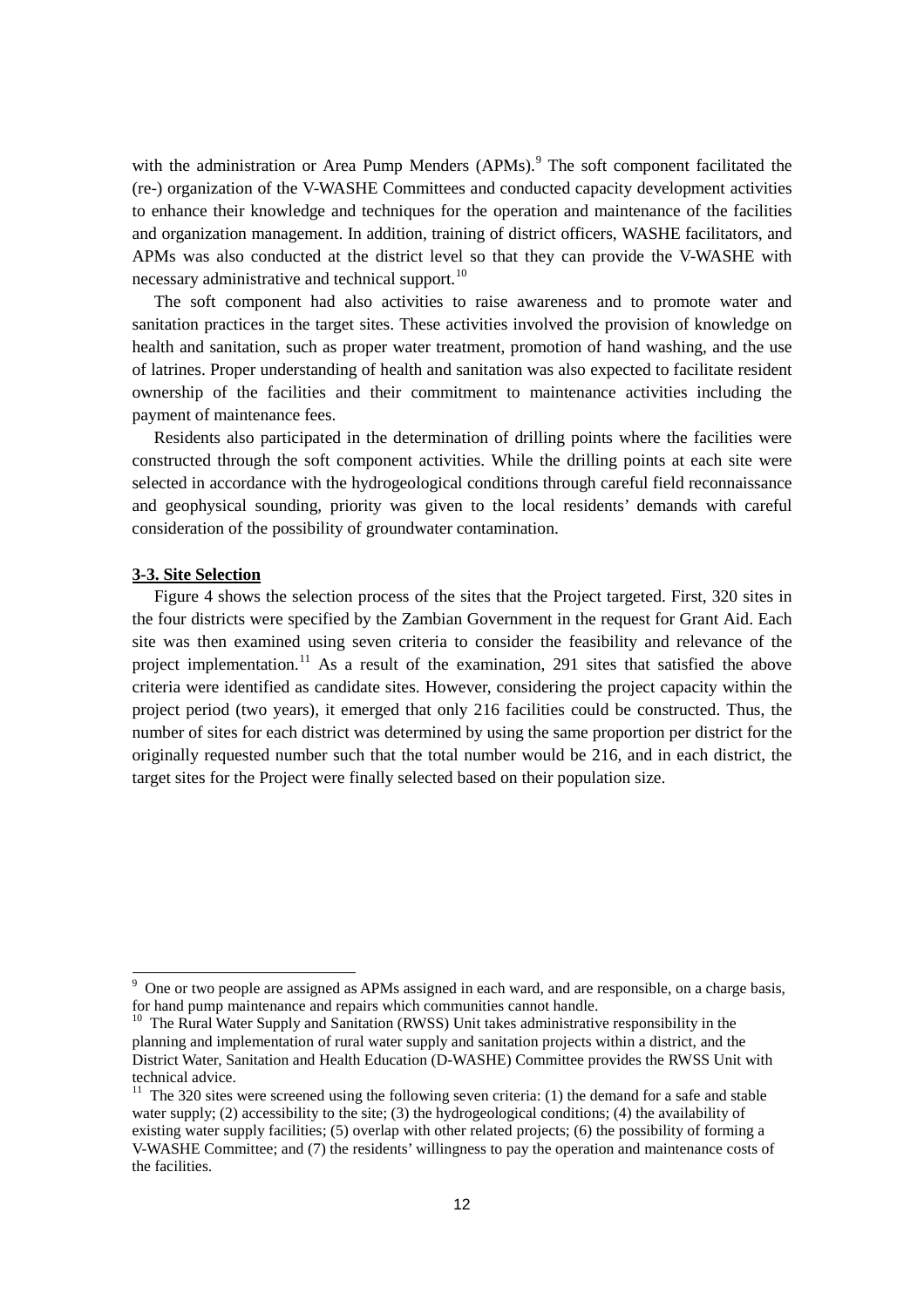with the administration or Area Pump Menders (APMs).<sup>[9](#page-13-0)</sup> The soft component facilitated the (re-) organization of the V-WASHE Committees and conducted capacity development activities to enhance their knowledge and techniques for the operation and maintenance of the facilities and organization management. In addition, training of district officers, WASHE facilitators, and APMs was also conducted at the district level so that they can provide the V-WASHE with necessary administrative and technical support.<sup>[10](#page-13-1)</sup>

The soft component had also activities to raise awareness and to promote water and sanitation practices in the target sites. These activities involved the provision of knowledge on health and sanitation, such as proper water treatment, promotion of hand washing, and the use of latrines. Proper understanding of health and sanitation was also expected to facilitate resident ownership of the facilities and their commitment to maintenance activities including the payment of maintenance fees.

Residents also participated in the determination of drilling points where the facilities were constructed through the soft component activities. While the drilling points at each site were selected in accordance with the hydrogeological conditions through careful field reconnaissance and geophysical sounding, priority was given to the local residents' demands with careful consideration of the possibility of groundwater contamination.

#### **3-3. Site Selection**

Figure 4 shows the selection process of the sites that the Project targeted. First, 320 sites in the four districts were specified by the Zambian Government in the request for Grant Aid. Each site was then examined using seven criteria to consider the feasibility and relevance of the project implementation.<sup>[11](#page-13-2)</sup> As a result of the examination, 291 sites that satisfied the above criteria were identified as candidate sites. However, considering the project capacity within the project period (two years), it emerged that only 216 facilities could be constructed. Thus, the number of sites for each district was determined by using the same proportion per district for the originally requested number such that the total number would be 216, and in each district, the target sites for the Project were finally selected based on their population size.

<span id="page-13-0"></span> $9$  One or two people are assigned as APMs assigned in each ward, and are responsible, on a charge basis, for hand pump maintenance and repairs which communities cannot handle.<br><sup>10</sup> The Rural Water Supply and Sanitation (RWSS) Unit takes administrative responsibility in the

<span id="page-13-1"></span>planning and implementation of rural water supply and sanitation projects within a district, and the District Water, Sanitation and Health Education (D-WASHE) Committee provides the RWSS Unit with technical advice.

<span id="page-13-2"></span> $11$  The 320 sites were screened using the following seven criteria: (1) the demand for a safe and stable water supply; (2) accessibility to the site; (3) the hydrogeological conditions; (4) the availability of existing water supply facilities; (5) overlap with other related projects; (6) the possibility of forming a V-WASHE Committee; and (7) the residents' willingness to pay the operation and maintenance costs of the facilities.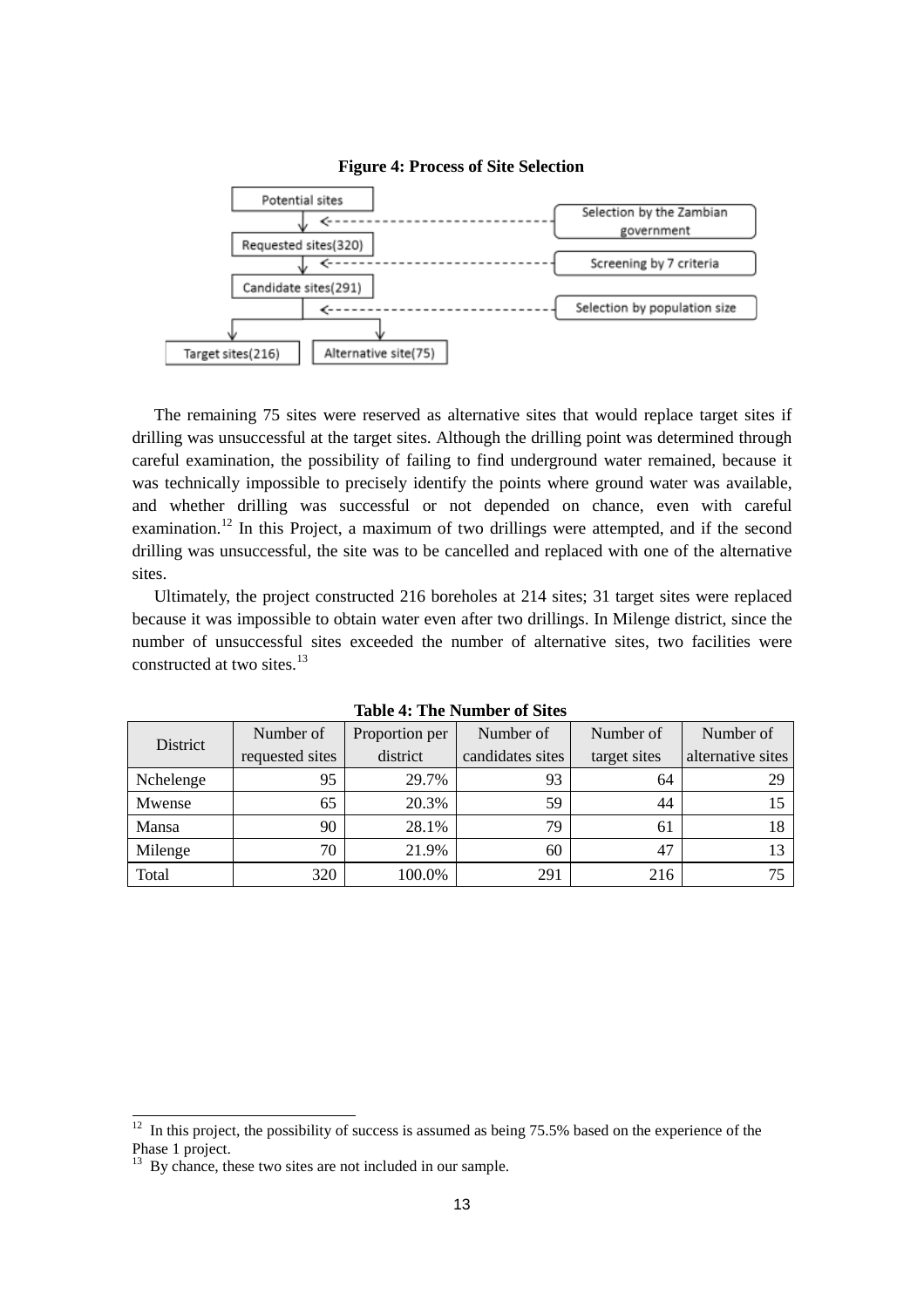

#### **Figure 4: Process of Site Selection**

The remaining 75 sites were reserved as alternative sites that would replace target sites if drilling was unsuccessful at the target sites. Although the drilling point was determined through careful examination, the possibility of failing to find underground water remained, because it was technically impossible to precisely identify the points where ground water was available, and whether drilling was successful or not depended on chance, even with careful examination.<sup>[12](#page-14-0)</sup> In this Project, a maximum of two drillings were attempted, and if the second drilling was unsuccessful, the site was to be cancelled and replaced with one of the alternative sites.

Ultimately, the project constructed 216 boreholes at 214 sites; 31 target sites were replaced because it was impossible to obtain water even after two drillings. In Milenge district, since the number of unsuccessful sites exceeded the number of alternative sites, two facilities were constructed at two sites. [13](#page-14-1)

| District  | Number of       | Proportion per | Number of        | Number of    | Number of         |
|-----------|-----------------|----------------|------------------|--------------|-------------------|
|           | requested sites | district       | candidates sites | target sites | alternative sites |
| Nchelenge | 95              | 29.7%          | 93               | 64           | 29                |
| Mwense    | 65              | 20.3%          | 59               | 44           |                   |
| Mansa     | 90              | 28.1%          | 79               | 61           | 18                |
| Milenge   | 70              | 21.9%          | 60               | 47           | 13                |
| Total     | 320             | 100.0%         | 291              | 216          |                   |

**Table 4: The Number of Sites**

<span id="page-14-0"></span> $12$  In this project, the possibility of success is assumed as being 75.5% based on the experience of the Phase 1 project.

<span id="page-14-1"></span><sup>&</sup>lt;sup>13</sup> By chance, these two sites are not included in our sample.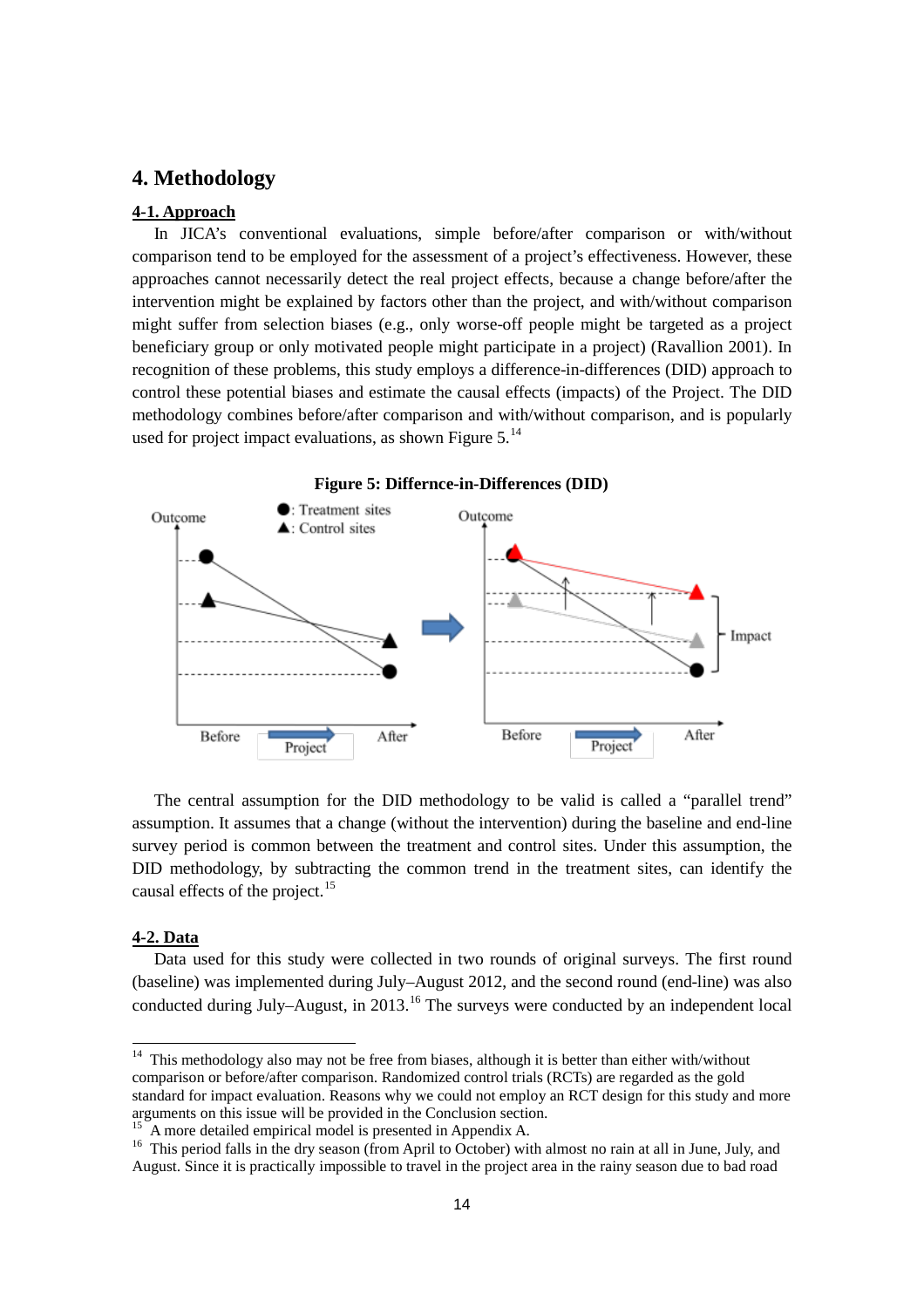# **4. Methodology**

#### **4-1. Approach**

In JICA's conventional evaluations, simple before/after comparison or with/without comparison tend to be employed for the assessment of a project's effectiveness. However, these approaches cannot necessarily detect the real project effects, because a change before/after the intervention might be explained by factors other than the project, and with/without comparison might suffer from selection biases (e.g., only worse-off people might be targeted as a project beneficiary group or only motivated people might participate in a project) (Ravallion 2001). In recognition of these problems, this study employs a difference-in-differences (DID) approach to control these potential biases and estimate the causal effects (impacts) of the Project. The DID methodology combines before/after comparison and with/without comparison, and is popularly used for project impact evaluations, as shown Figure  $5.^{14}$  $5.^{14}$  $5.^{14}$ 



The central assumption for the DID methodology to be valid is called a "parallel trend" assumption. It assumes that a change (without the intervention) during the baseline and end-line survey period is common between the treatment and control sites. Under this assumption, the DID methodology, by subtracting the common trend in the treatment sites, can identify the causal effects of the project.<sup>[15](#page-15-1)</sup>

#### **4-2. Data**

 $\overline{\phantom{a}}$ 

Data used for this study were collected in two rounds of original surveys. The first round (baseline) was implemented during July–August 2012, and the second round (end-line) was also conducted during July–August, in 2013.<sup>[16](#page-15-2)</sup> The surveys were conducted by an independent local

<span id="page-15-0"></span> $14$  This methodology also may not be free from biases, although it is better than either with/without comparison or before/after comparison. Randomized control trials (RCTs) are regarded as the gold standard for impact evaluation. Reasons why we could not employ an RCT design for this study and more arguments on this issue will be provided in the Conclusion section.

<span id="page-15-2"></span><span id="page-15-1"></span>

<sup>&</sup>lt;sup>15</sup> A more detailed empirical model is presented in Appendix A.<br><sup>16</sup> This period falls in the dry season (from April to October) with almost no rain at all in June, July, and August. Since it is practically impossible to travel in the project area in the rainy season due to bad road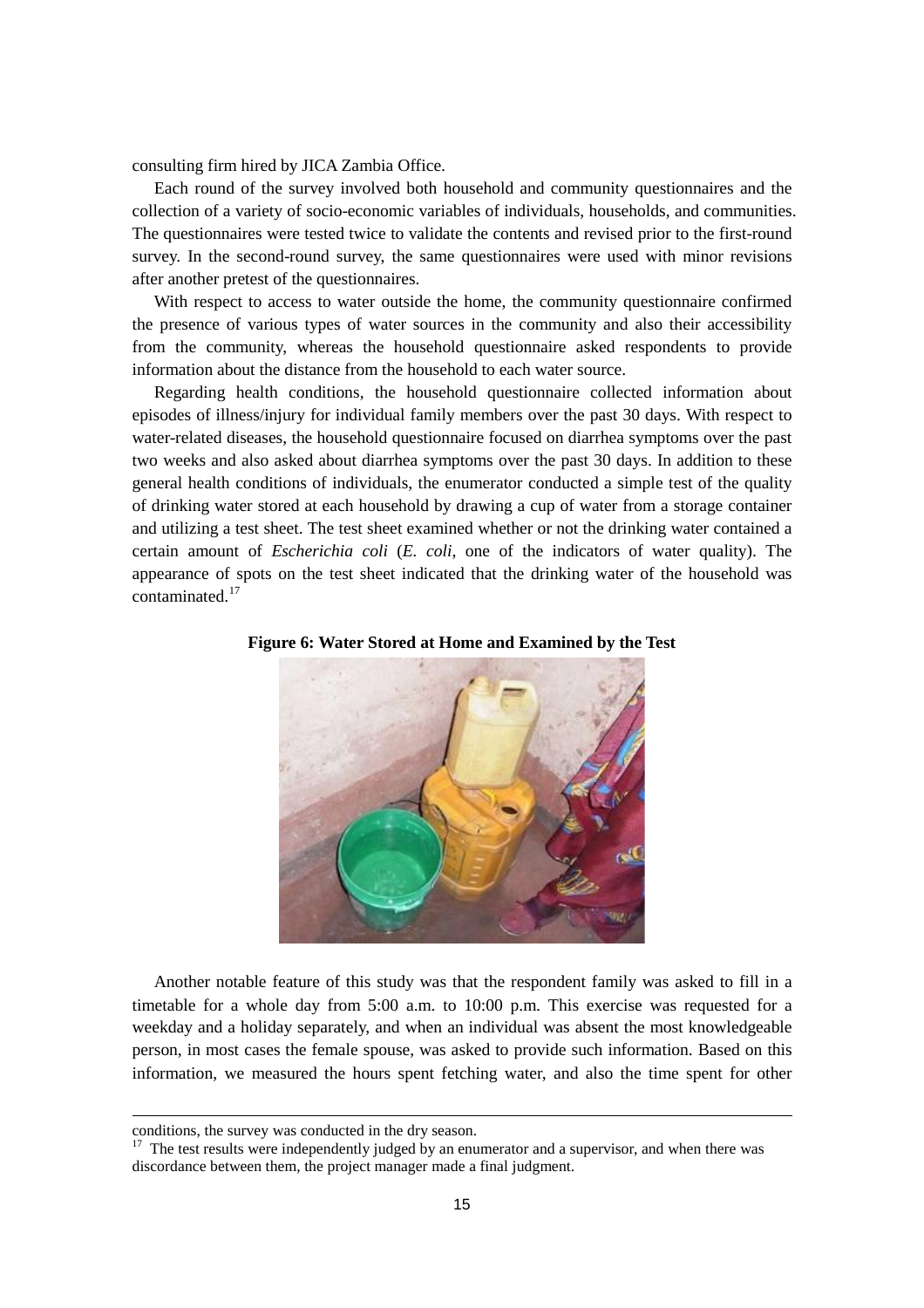consulting firm hired by JICA Zambia Office.

Each round of the survey involved both household and community questionnaires and the collection of a variety of socio-economic variables of individuals, households, and communities. The questionnaires were tested twice to validate the contents and revised prior to the first-round survey. In the second-round survey, the same questionnaires were used with minor revisions after another pretest of the questionnaires.

With respect to access to water outside the home, the community questionnaire confirmed the presence of various types of water sources in the community and also their accessibility from the community, whereas the household questionnaire asked respondents to provide information about the distance from the household to each water source.

Regarding health conditions, the household questionnaire collected information about episodes of illness/injury for individual family members over the past 30 days. With respect to water-related diseases, the household questionnaire focused on diarrhea symptoms over the past two weeks and also asked about diarrhea symptoms over the past 30 days. In addition to these general health conditions of individuals, the enumerator conducted a simple test of the quality of drinking water stored at each household by drawing a cup of water from a storage container and utilizing a test sheet. The test sheet examined whether or not the drinking water contained a certain amount of *Escherichia coli* (*E. coli*, one of the indicators of water quality). The appearance of spots on the test sheet indicated that the drinking water of the household was contaminated. [17](#page-16-0)



#### **Figure 6: Water Stored at Home and Examined by the Test**

Another notable feature of this study was that the respondent family was asked to fill in a timetable for a whole day from 5:00 a.m. to 10:00 p.m. This exercise was requested for a weekday and a holiday separately, and when an individual was absent the most knowledgeable person, in most cases the female spouse, was asked to provide such information. Based on this information, we measured the hours spent fetching water, and also the time spent for other

conditions, the survey was conducted in the dry season.

<span id="page-16-0"></span><sup>&</sup>lt;sup>17</sup> The test results were independently judged by an enumerator and a supervisor, and when there was discordance between them, the project manager made a final judgment.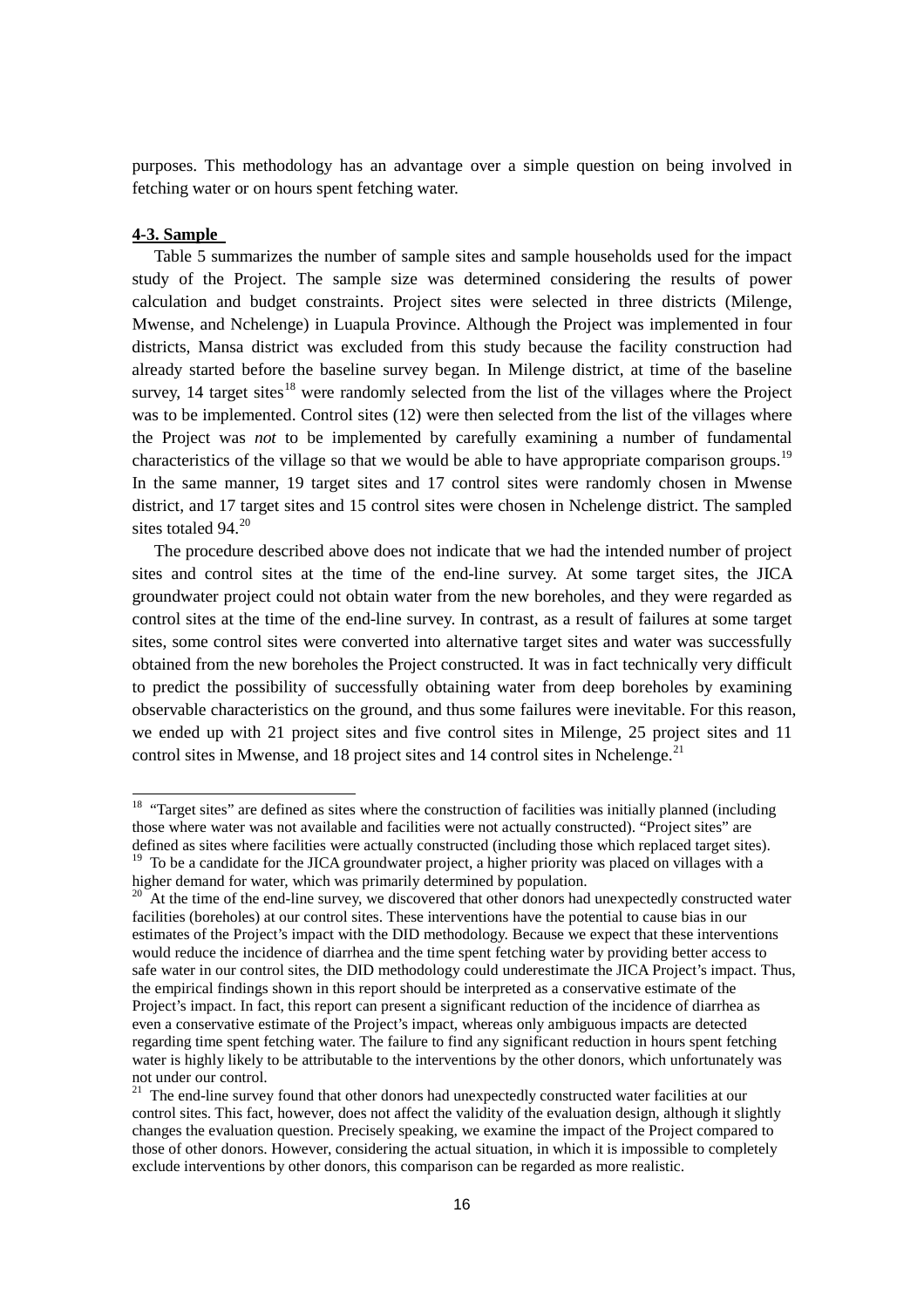purposes. This methodology has an advantage over a simple question on being involved in fetching water or on hours spent fetching water.

### **4-3. Sample**

 $\overline{\phantom{a}}$ 

Table 5 summarizes the number of sample sites and sample households used for the impact study of the Project. The sample size was determined considering the results of power calculation and budget constraints. Project sites were selected in three districts (Milenge, Mwense, and Nchelenge) in Luapula Province. Although the Project was implemented in four districts, Mansa district was excluded from this study because the facility construction had already started before the baseline survey began. In Milenge district, at time of the baseline survey, 14 target sites<sup>[18](#page-17-0)</sup> were randomly selected from the list of the villages where the Project was to be implemented. Control sites (12) were then selected from the list of the villages where the Project was *not* to be implemented by carefully examining a number of fundamental characteristics of the village so that we would be able to have appropriate comparison groups.<sup>[19](#page-17-1)</sup> In the same manner, 19 target sites and 17 control sites were randomly chosen in Mwense district, and 17 target sites and 15 control sites were chosen in Nchelenge district. The sampled sites totaled  $94.<sup>20</sup>$  $94.<sup>20</sup>$  $94.<sup>20</sup>$ 

The procedure described above does not indicate that we had the intended number of project sites and control sites at the time of the end-line survey. At some target sites, the JICA groundwater project could not obtain water from the new boreholes, and they were regarded as control sites at the time of the end-line survey. In contrast, as a result of failures at some target sites, some control sites were converted into alternative target sites and water was successfully obtained from the new boreholes the Project constructed. It was in fact technically very difficult to predict the possibility of successfully obtaining water from deep boreholes by examining observable characteristics on the ground, and thus some failures were inevitable. For this reason, we ended up with 21 project sites and five control sites in Milenge, 25 project sites and 11 control sites in Mwense, and 18 project sites and 14 control sites in Nchelenge.<sup>[21](#page-17-3)</sup>

<span id="page-17-0"></span><sup>&</sup>lt;sup>18</sup> "Target sites" are defined as sites where the construction of facilities was initially planned (including those where water was not available and facilities were not actually constructed). "Project sites" are defined as sites where facilities were actually constructed (including those which replaced target sites).

<span id="page-17-1"></span><sup>&</sup>lt;sup>19</sup> To be a candidate for the JICA groundwater project, a higher priority was placed on villages with a higher demand for water, which was primarily determined by population.

<span id="page-17-2"></span> $20$  At the time of the end-line survey, we discovered that other donors had unexpectedly constructed water facilities (boreholes) at our control sites. These interventions have the potential to cause bias in our estimates of the Project's impact with the DID methodology. Because we expect that these interventions would reduce the incidence of diarrhea and the time spent fetching water by providing better access to safe water in our control sites, the DID methodology could underestimate the JICA Project's impact. Thus, the empirical findings shown in this report should be interpreted as a conservative estimate of the Project's impact. In fact, this report can present a significant reduction of the incidence of diarrhea as even a conservative estimate of the Project's impact, whereas only ambiguous impacts are detected regarding time spent fetching water. The failure to find any significant reduction in hours spent fetching water is highly likely to be attributable to the interventions by the other donors, which unfortunately was not under our control.

<span id="page-17-3"></span> $2<sup>1</sup>$  The end-line survey found that other donors had unexpectedly constructed water facilities at our control sites. This fact, however, does not affect the validity of the evaluation design, although it slightly changes the evaluation question. Precisely speaking, we examine the impact of the Project compared to those of other donors. However, considering the actual situation, in which it is impossible to completely exclude interventions by other donors, this comparison can be regarded as more realistic.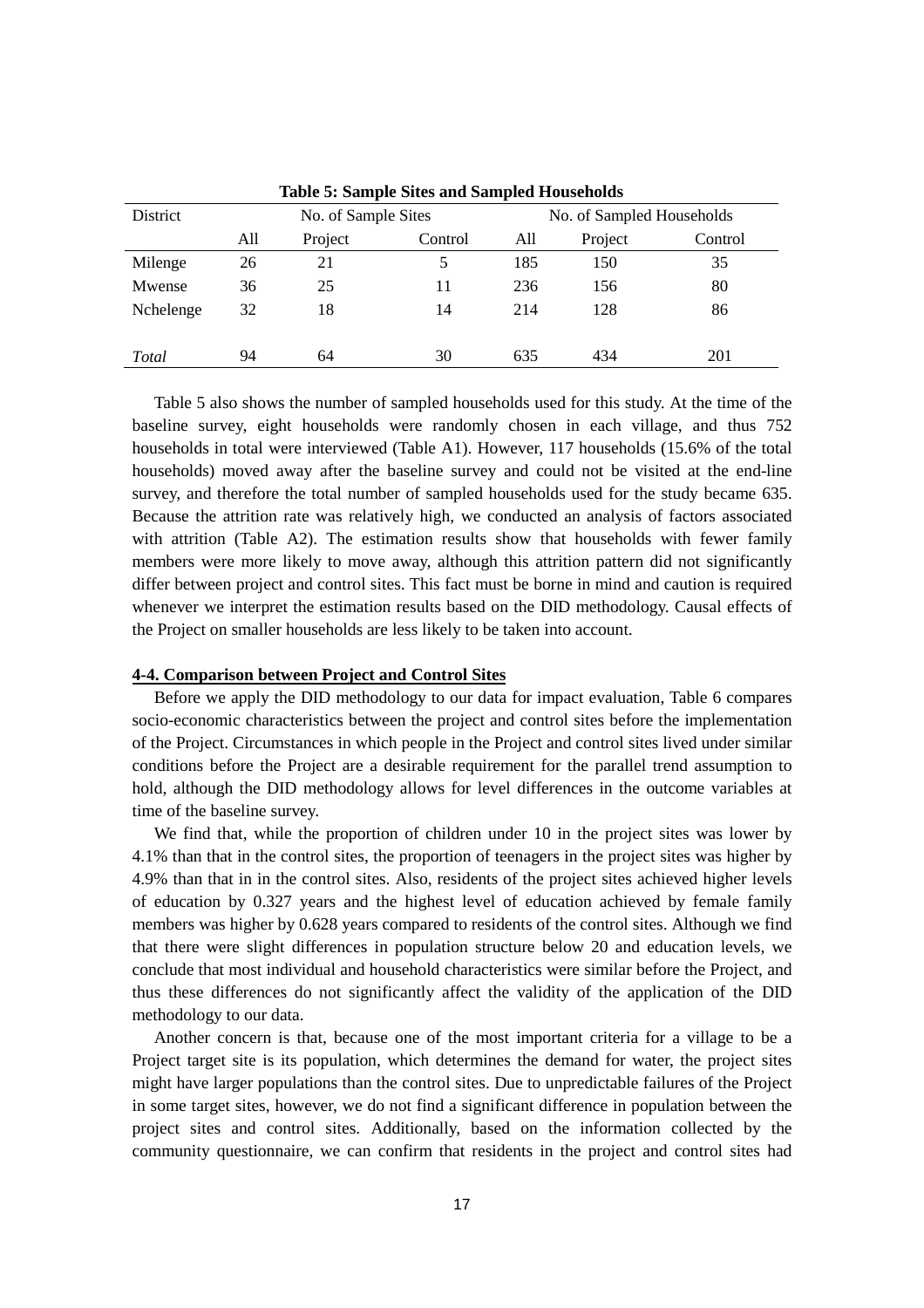| District  |     | No. of Sample Sites |         |     | No. of Sampled Households |         |  |
|-----------|-----|---------------------|---------|-----|---------------------------|---------|--|
|           | All | Project             | Control | All | Project                   | Control |  |
| Milenge   | 26  | 21                  | 5       | 185 | 150                       | 35      |  |
| Mwense    | 36  | 25                  | 11      | 236 | 156                       | 80      |  |
| Nchelenge | 32  | 18                  | 14      | 214 | 128                       | 86      |  |
|           |     |                     |         |     |                           |         |  |
| Total     | 94  | 64                  | 30      | 635 | 434                       | 201     |  |

**Table 5: Sample Sites and Sampled Households**

Table 5 also shows the number of sampled households used for this study. At the time of the baseline survey, eight households were randomly chosen in each village, and thus 752 households in total were interviewed (Table A1). However, 117 households (15.6% of the total households) moved away after the baseline survey and could not be visited at the end-line survey, and therefore the total number of sampled households used for the study became 635. Because the attrition rate was relatively high, we conducted an analysis of factors associated with attrition (Table A2). The estimation results show that households with fewer family members were more likely to move away, although this attrition pattern did not significantly differ between project and control sites. This fact must be borne in mind and caution is required whenever we interpret the estimation results based on the DID methodology. Causal effects of the Project on smaller households are less likely to be taken into account.

#### **4-4. Comparison between Project and Control Sites**

Before we apply the DID methodology to our data for impact evaluation, Table 6 compares socio-economic characteristics between the project and control sites before the implementation of the Project. Circumstances in which people in the Project and control sites lived under similar conditions before the Project are a desirable requirement for the parallel trend assumption to hold, although the DID methodology allows for level differences in the outcome variables at time of the baseline survey.

We find that, while the proportion of children under 10 in the project sites was lower by 4.1% than that in the control sites, the proportion of teenagers in the project sites was higher by 4.9% than that in in the control sites. Also, residents of the project sites achieved higher levels of education by 0.327 years and the highest level of education achieved by female family members was higher by 0.628 years compared to residents of the control sites. Although we find that there were slight differences in population structure below 20 and education levels, we conclude that most individual and household characteristics were similar before the Project, and thus these differences do not significantly affect the validity of the application of the DID methodology to our data.

Another concern is that, because one of the most important criteria for a village to be a Project target site is its population, which determines the demand for water, the project sites might have larger populations than the control sites. Due to unpredictable failures of the Project in some target sites, however, we do not find a significant difference in population between the project sites and control sites. Additionally, based on the information collected by the community questionnaire, we can confirm that residents in the project and control sites had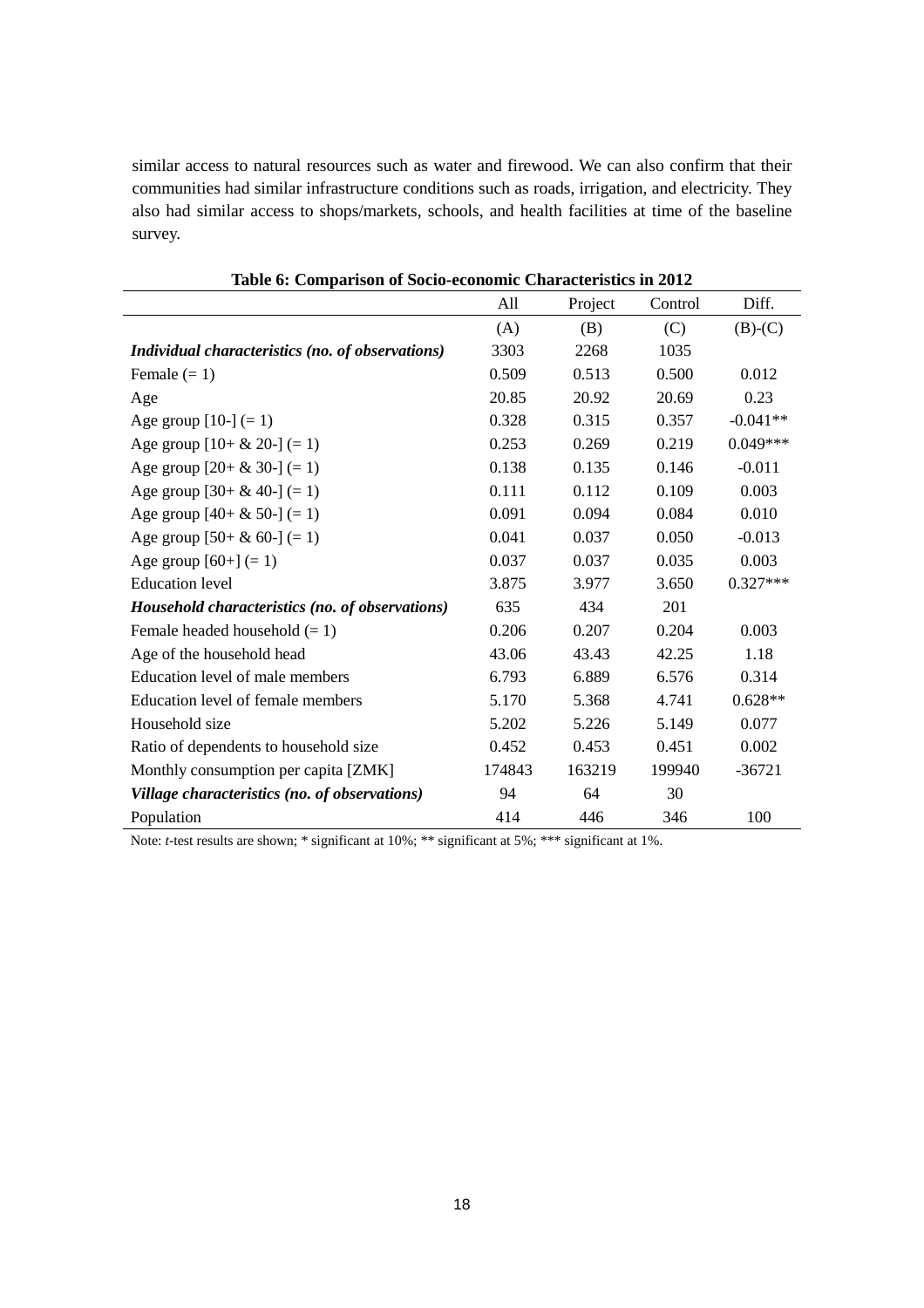similar access to natural resources such as water and firewood. We can also confirm that their communities had similar infrastructure conditions such as roads, irrigation, and electricity. They also had similar access to shops/markets, schools, and health facilities at time of the baseline survey.

| Table of Comparison of Socio-economic Characteristics in 2012 | All    | Project | Control | Diff.      |
|---------------------------------------------------------------|--------|---------|---------|------------|
|                                                               | (A)    | (B)     | (C)     | $(B)-(C)$  |
|                                                               | 3303   | 2268    | 1035    |            |
| Individual characteristics (no. of observations)              |        |         |         |            |
| Female $(= 1)$                                                | 0.509  | 0.513   | 0.500   | 0.012      |
| Age                                                           | 20.85  | 20.92   | 20.69   | 0.23       |
| Age group $[10-] (= 1)$                                       | 0.328  | 0.315   | 0.357   | $-0.041**$ |
| Age group $[10 + \& 20 -] (= 1)$                              | 0.253  | 0.269   | 0.219   | $0.049***$ |
| Age group $[20 + \& 30 -] (= 1)$                              | 0.138  | 0.135   | 0.146   | $-0.011$   |
| Age group $[30 + \& 40] (=1)$                                 | 0.111  | 0.112   | 0.109   | 0.003      |
| Age group $[40 + \& 50] (= 1)$                                | 0.091  | 0.094   | 0.084   | 0.010      |
| Age group $[50 + \& 60] (= 1)$                                | 0.041  | 0.037   | 0.050   | $-0.013$   |
| Age group $[60+] (= 1)$                                       | 0.037  | 0.037   | 0.035   | 0.003      |
| <b>Education</b> level                                        | 3.875  | 3.977   | 3.650   | $0.327***$ |
| Household characteristics (no. of observations)               | 635    | 434     | 201     |            |
| Female headed household $(= 1)$                               | 0.206  | 0.207   | 0.204   | 0.003      |
| Age of the household head                                     | 43.06  | 43.43   | 42.25   | 1.18       |
| Education level of male members                               | 6.793  | 6.889   | 6.576   | 0.314      |
| Education level of female members                             | 5.170  | 5.368   | 4.741   | $0.628**$  |
| Household size                                                | 5.202  | 5.226   | 5.149   | 0.077      |
| Ratio of dependents to household size                         | 0.452  | 0.453   | 0.451   | 0.002      |
| Monthly consumption per capita [ZMK]                          | 174843 | 163219  | 199940  | $-36721$   |
| Village characteristics (no. of observations)                 | 94     | 64      | 30      |            |
| Population                                                    | 414    | 446     | 346     | 100        |

**Table 6: Comparison of Socio-economic Characteristics in 2012**

Note: *t*-test results are shown; \* significant at 10%; \*\* significant at 5%; \*\*\* significant at 1%.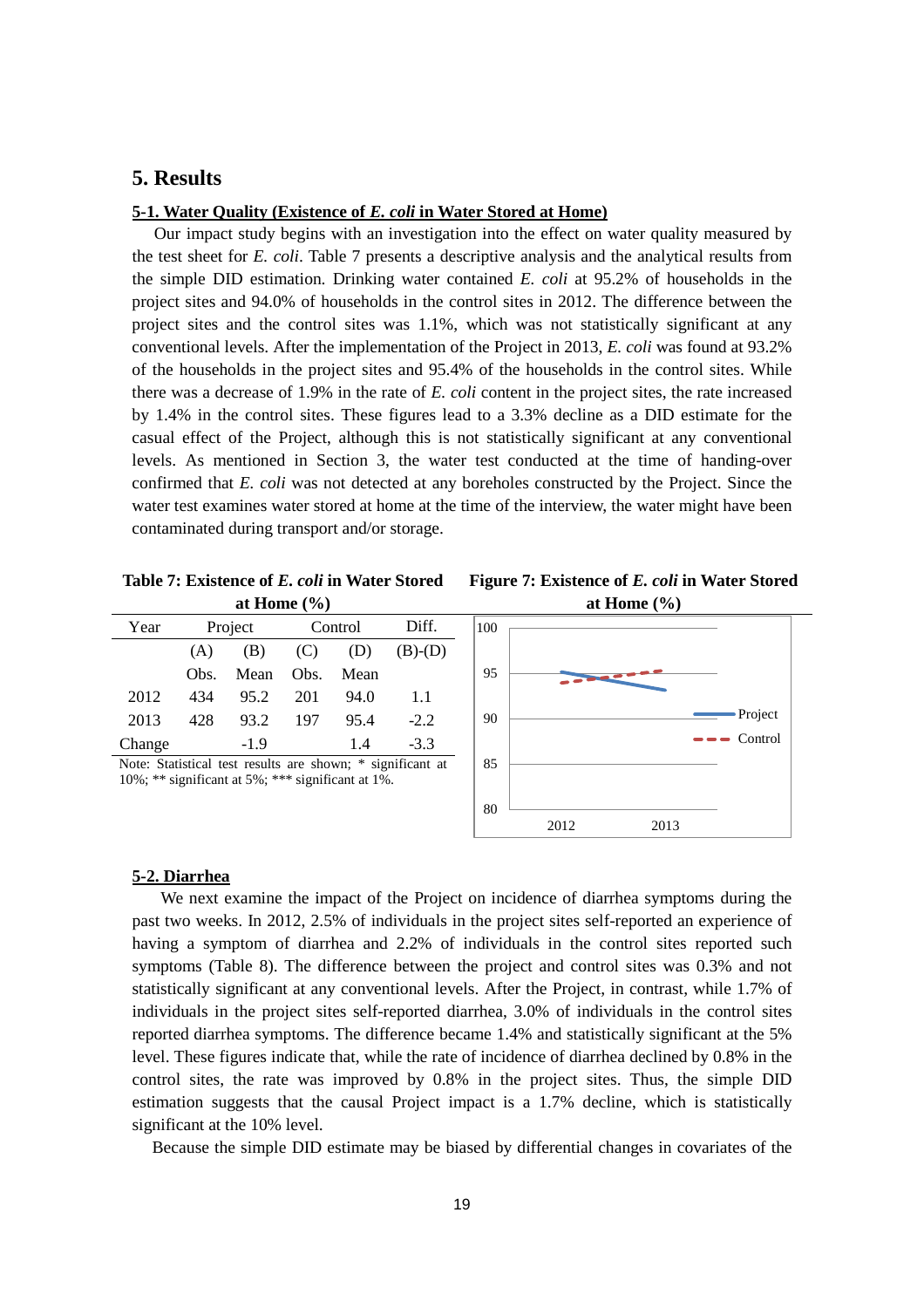# **5. Results**

#### **5-1. Water Quality (Existence of** *E. coli* **in Water Stored at Home)**

Our impact study begins with an investigation into the effect on water quality measured by the test sheet for *E. coli*. Table 7 presents a descriptive analysis and the analytical results from the simple DID estimation. Drinking water contained *E. coli* at 95.2% of households in the project sites and 94.0% of households in the control sites in 2012. The difference between the project sites and the control sites was 1.1%, which was not statistically significant at any conventional levels. After the implementation of the Project in 2013, *E. coli* was found at 93.2% of the households in the project sites and 95.4% of the households in the control sites. While there was a decrease of 1.9% in the rate of *E. coli* content in the project sites, the rate increased by 1.4% in the control sites. These figures lead to a 3.3% decline as a DID estimate for the casual effect of the Project, although this is not statistically significant at any conventional levels. As mentioned in Section 3, the water test conducted at the time of handing-over confirmed that *E. coli* was not detected at any boreholes constructed by the Project. Since the water test examines water stored at home at the time of the interview, the water might have been contaminated during transport and/or storage.

**Table 7: Existence of** *E. coli* **in Water Stored at Home (%)**

| Figure 7: Existence of <i>E. coli</i> in Water Stored |  |  |
|-------------------------------------------------------|--|--|
| at Home $(\% )$                                       |  |  |



#### **5-2. Diarrhea**

We next examine the impact of the Project on incidence of diarrhea symptoms during the past two weeks. In 2012, 2.5% of individuals in the project sites self-reported an experience of having a symptom of diarrhea and 2.2% of individuals in the control sites reported such symptoms (Table 8). The difference between the project and control sites was 0.3% and not statistically significant at any conventional levels. After the Project, in contrast, while 1.7% of individuals in the project sites self-reported diarrhea, 3.0% of individuals in the control sites reported diarrhea symptoms. The difference became 1.4% and statistically significant at the 5% level. These figures indicate that, while the rate of incidence of diarrhea declined by 0.8% in the control sites, the rate was improved by 0.8% in the project sites. Thus, the simple DID estimation suggests that the causal Project impact is a 1.7% decline, which is statistically significant at the 10% level.

Because the simple DID estimate may be biased by differential changes in covariates of the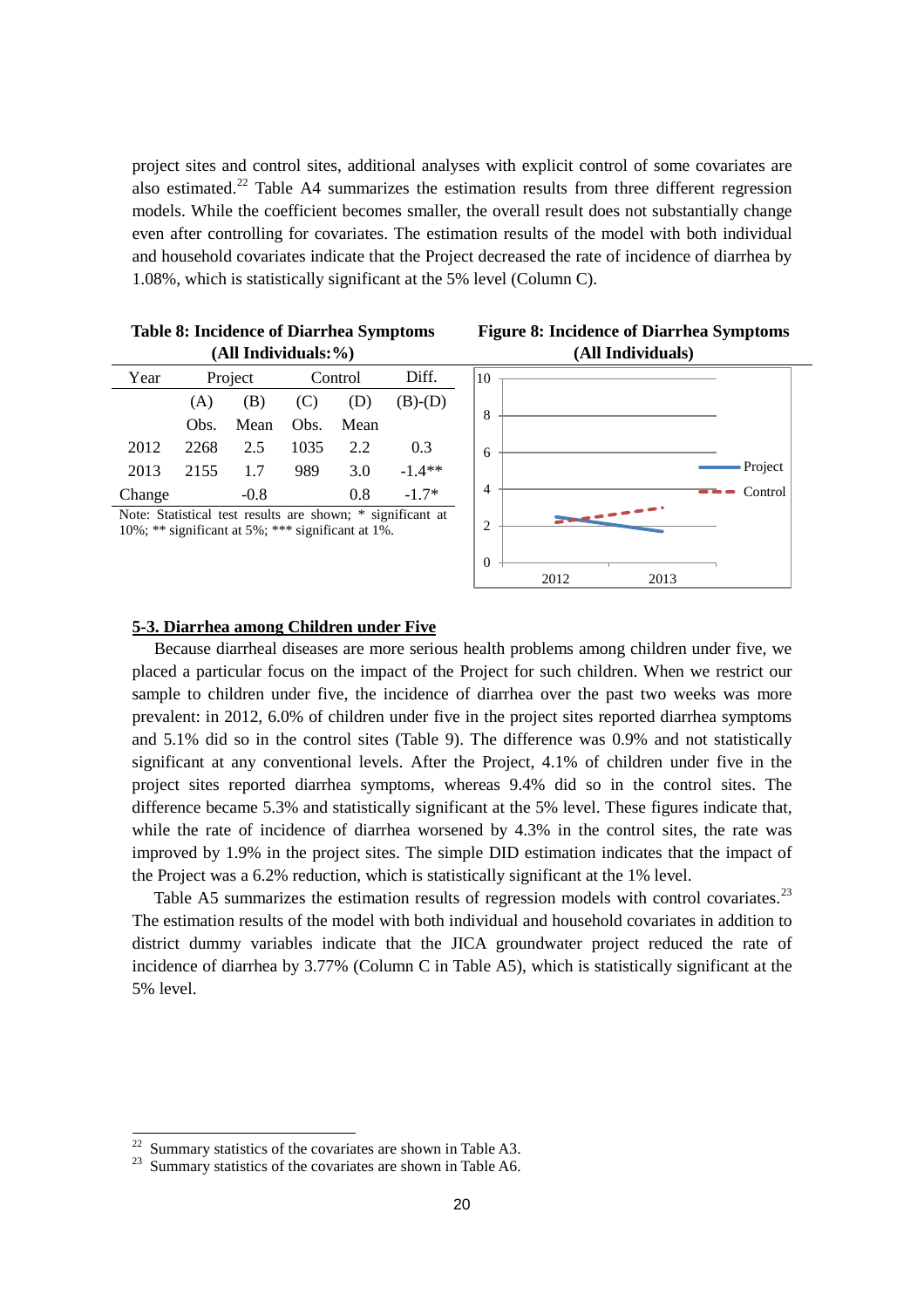project sites and control sites, additional analyses with explicit control of some covariates are also estimated.<sup>[22](#page-21-0)</sup> Table A4 summarizes the estimation results from three different regression models. While the coefficient becomes smaller, the overall result does not substantially change even after controlling for covariates. The estimation results of the model with both individual and household covariates indicate that the Project decreased the rate of incidence of diarrhea by 1.08%, which is statistically significant at the 5% level (Column C).

| (All Individuals:%)                                        |         |        |            |      |           |  |  |
|------------------------------------------------------------|---------|--------|------------|------|-----------|--|--|
| Year                                                       | Project |        | Control    |      | Diff.     |  |  |
|                                                            | (A)     | (B)    | (C)<br>(D) |      | $(B)-(D)$ |  |  |
|                                                            | Obs.    | Mean   | Obs.       | Mean |           |  |  |
| 2012                                                       | 2268    | 2.5    | 1035       | 2.2  | 0.3       |  |  |
| 2013                                                       | 2155    | 1.7    | 989        | 3.0  | $-1.4**$  |  |  |
| Change                                                     |         | $-0.8$ |            | 0.8  | $-1.7*$   |  |  |
| Note: Statistical test results are shown: * significant at |         |        |            |      |           |  |  |

**Table 8: Incidence of Diarrhea Symptoms** 

Note: Statistical test results are shown; \* significant at 10%; \*\* significant at 5%; \*\*\* significant at 1%.





#### **5-3. Diarrhea among Children under Five**

Because diarrheal diseases are more serious health problems among children under five, we placed a particular focus on the impact of the Project for such children. When we restrict our sample to children under five, the incidence of diarrhea over the past two weeks was more prevalent: in 2012, 6.0% of children under five in the project sites reported diarrhea symptoms and 5.1% did so in the control sites (Table 9). The difference was 0.9% and not statistically significant at any conventional levels. After the Project, 4.1% of children under five in the project sites reported diarrhea symptoms, whereas 9.4% did so in the control sites. The difference became 5.3% and statistically significant at the 5% level. These figures indicate that, while the rate of incidence of diarrhea worsened by 4.3% in the control sites, the rate was improved by 1.9% in the project sites. The simple DID estimation indicates that the impact of the Project was a 6.2% reduction, which is statistically significant at the 1% level.

Table A5 summarizes the estimation results of regression models with control covariates.<sup>[23](#page-21-1)</sup> The estimation results of the model with both individual and household covariates in addition to district dummy variables indicate that the JICA groundwater project reduced the rate of incidence of diarrhea by 3.77% (Column C in Table A5), which is statistically significant at the 5% level.

 $22$ 

<span id="page-21-1"></span><span id="page-21-0"></span><sup>&</sup>lt;sup>22</sup> Summary statistics of the covariates are shown in Table A3.<br><sup>23</sup> Summary statistics of the covariates are shown in Table A6.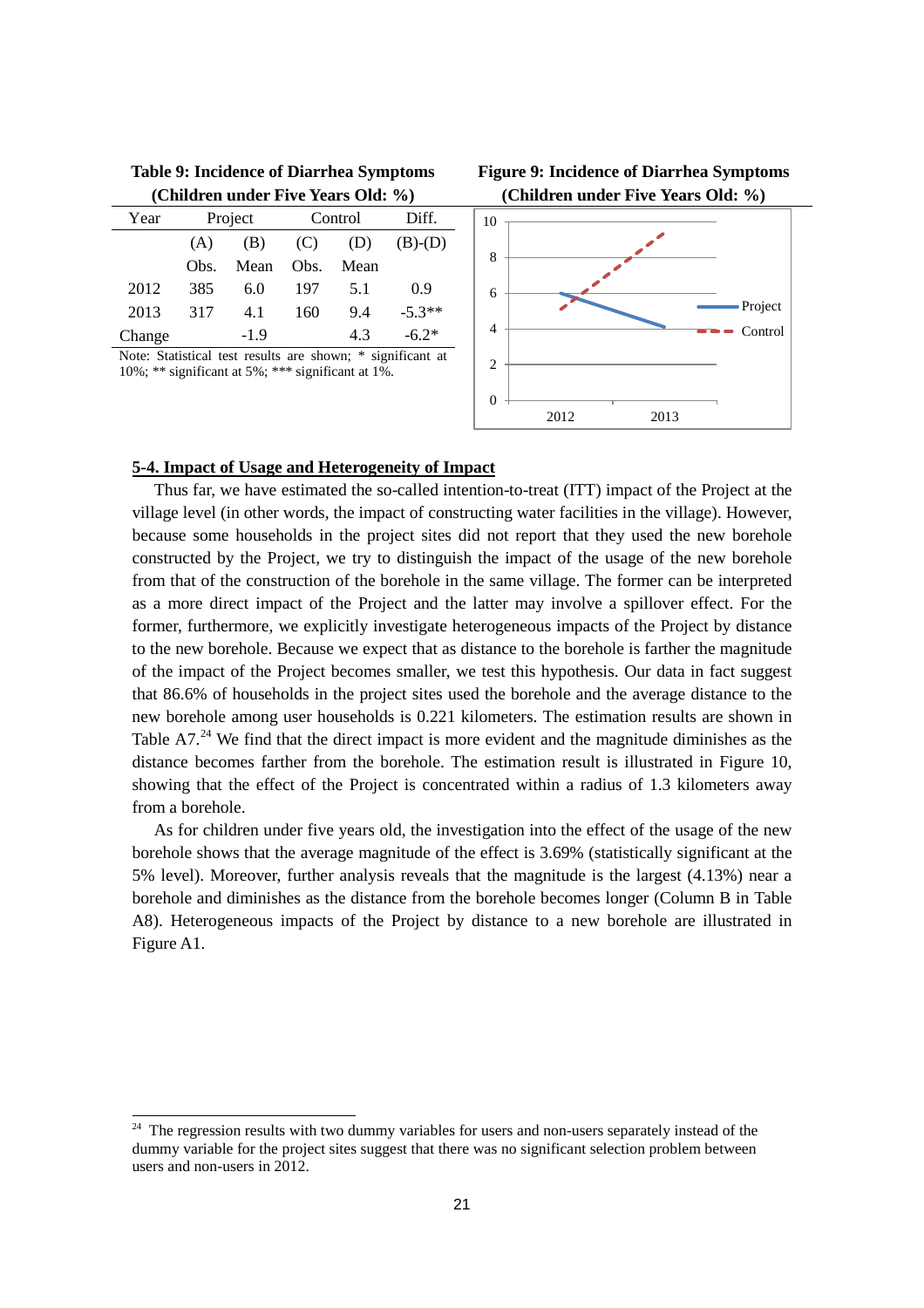| (Children under Five Years Old: %)                         |         |        |            |      |           |  |  |
|------------------------------------------------------------|---------|--------|------------|------|-----------|--|--|
| Year                                                       | Project |        | Control    |      | Diff.     |  |  |
|                                                            | (A)     | (B)    | (C)<br>(D) |      | $(B)-(D)$ |  |  |
|                                                            | Obs.    | Mean   | Obs.       | Mean |           |  |  |
| 2012                                                       | 385     | 6.0    | 197        | 5.1  | 0.9       |  |  |
| 2013                                                       | 317     | 4.1    | 160        | 9.4  | $-5.3**$  |  |  |
| Change                                                     |         | $-1.9$ |            | 4.3  | $-6.2*$   |  |  |
| Note: Statistical test results are shown: * significant at |         |        |            |      |           |  |  |

**Table 9: Incidence of Diarrhea Symptoms Figure 9: Incidence of Diarrhea Symptoms (Children under Five Years Old: %)**

esults are shown; \* significant at 10%; \*\* significant at 5%; \*\*\* significant at  $1\%$ .



#### **5-4. Impact of Usage and Heterogeneity of Impact**

Thus far, we have estimated the so-called intention-to-treat (ITT) impact of the Project at the village level (in other words, the impact of constructing water facilities in the village). However, because some households in the project sites did not report that they used the new borehole constructed by the Project, we try to distinguish the impact of the usage of the new borehole from that of the construction of the borehole in the same village. The former can be interpreted as a more direct impact of the Project and the latter may involve a spillover effect. For the former, furthermore, we explicitly investigate heterogeneous impacts of the Project by distance to the new borehole. Because we expect that as distance to the borehole is farther the magnitude of the impact of the Project becomes smaller, we test this hypothesis. Our data in fact suggest that 86.6% of households in the project sites used the borehole and the average distance to the new borehole among user households is 0.221 kilometers. The estimation results are shown in Table A7. $24$  We find that the direct impact is more evident and the magnitude diminishes as the distance becomes farther from the borehole. The estimation result is illustrated in Figure 10, showing that the effect of the Project is concentrated within a radius of 1.3 kilometers away from a borehole.

As for children under five years old, the investigation into the effect of the usage of the new borehole shows that the average magnitude of the effect is 3.69% (statistically significant at the 5% level). Moreover, further analysis reveals that the magnitude is the largest (4.13%) near a borehole and diminishes as the distance from the borehole becomes longer (Column B in Table A8). Heterogeneous impacts of the Project by distance to a new borehole are illustrated in Figure A1.

<span id="page-22-0"></span> $24$  The regression results with two dummy variables for users and non-users separately instead of the dummy variable for the project sites suggest that there was no significant selection problem between users and non-users in 2012.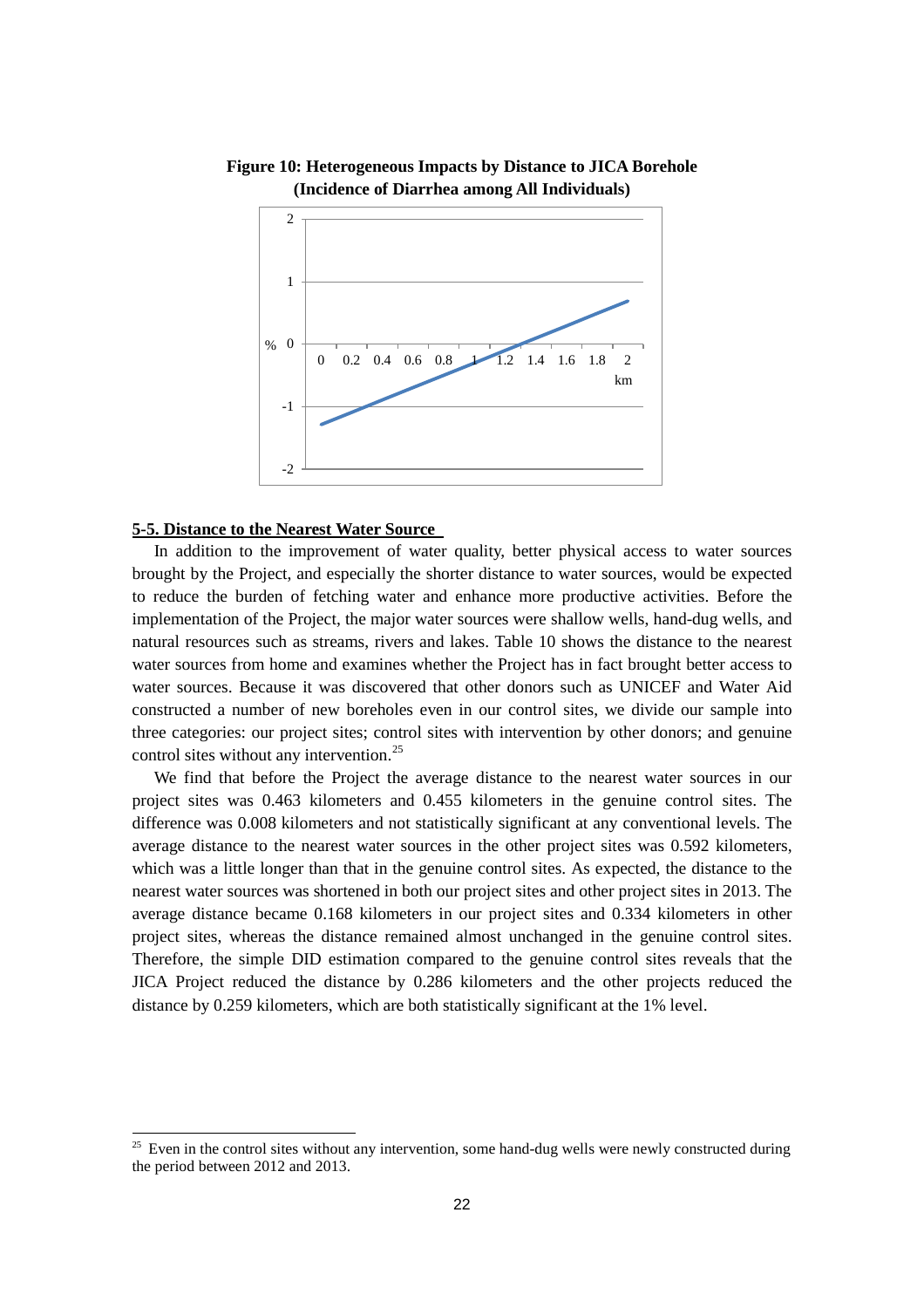

### **Figure 10: Heterogeneous Impacts by Distance to JICA Borehole (Incidence of Diarrhea among All Individuals)**

#### **5-5. Distance to the Nearest Water Source**

-

In addition to the improvement of water quality, better physical access to water sources brought by the Project, and especially the shorter distance to water sources, would be expected to reduce the burden of fetching water and enhance more productive activities. Before the implementation of the Project, the major water sources were shallow wells, hand-dug wells, and natural resources such as streams, rivers and lakes. Table 10 shows the distance to the nearest water sources from home and examines whether the Project has in fact brought better access to water sources. Because it was discovered that other donors such as UNICEF and Water Aid constructed a number of new boreholes even in our control sites, we divide our sample into three categories: our project sites; control sites with intervention by other donors; and genuine control sites without any intervention.<sup>[25](#page-23-0)</sup>

We find that before the Project the average distance to the nearest water sources in our project sites was 0.463 kilometers and 0.455 kilometers in the genuine control sites. The difference was 0.008 kilometers and not statistically significant at any conventional levels. The average distance to the nearest water sources in the other project sites was 0.592 kilometers, which was a little longer than that in the genuine control sites. As expected, the distance to the nearest water sources was shortened in both our project sites and other project sites in 2013. The average distance became 0.168 kilometers in our project sites and 0.334 kilometers in other project sites, whereas the distance remained almost unchanged in the genuine control sites. Therefore, the simple DID estimation compared to the genuine control sites reveals that the JICA Project reduced the distance by 0.286 kilometers and the other projects reduced the distance by 0.259 kilometers, which are both statistically significant at the 1% level.

<span id="page-23-0"></span> $25$  Even in the control sites without any intervention, some hand-dug wells were newly constructed during the period between 2012 and 2013.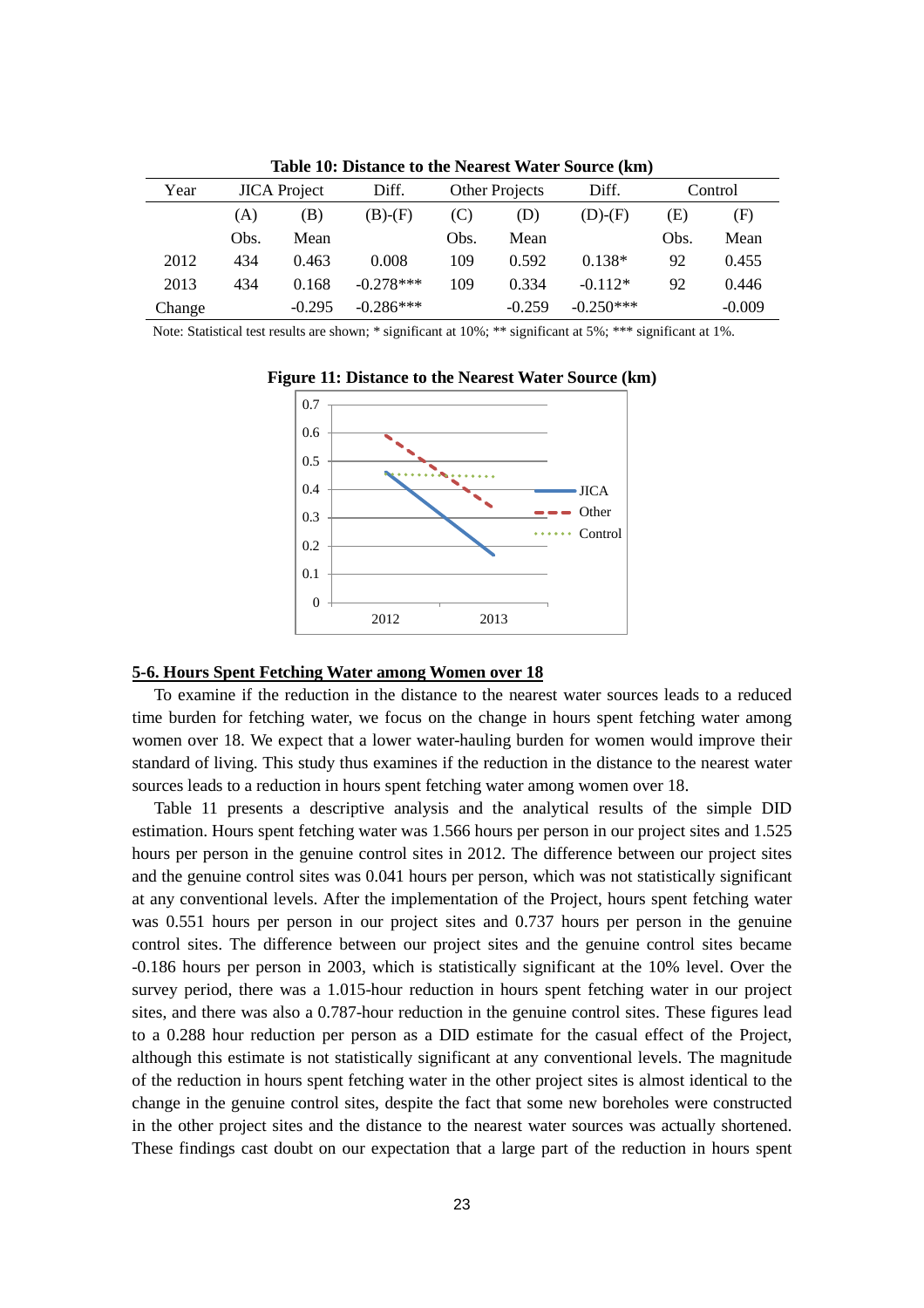| Year   |      | <b>JICA</b> Project | Diff.       |      | Other Projects | Diff.       |      | Control  |
|--------|------|---------------------|-------------|------|----------------|-------------|------|----------|
|        | (A)  | B)                  | $(B)-(F)$   | (C)  | (D)            | $(D)-(F)$   | Έ)   | (F)      |
|        | Obs. | Mean                |             | Obs. | Mean           |             | Obs. | Mean     |
| 2012   | 434  | 0.463               | 0.008       | 109  | 0.592          | $0.138*$    | 92   | 0.455    |
| 2013   | 434  | 0.168               | $-0.278***$ | 109  | 0.334          | $-0.112*$   | 92   | 0.446    |
| Change |      | $-0.295$            | $-0.286***$ |      | $-0.259$       | $-0.250***$ |      | $-0.009$ |

**Table 10: Distance to the Nearest Water Source (km)**

Note: Statistical test results are shown; \* significant at 10%; \*\* significant at 5%; \*\*\* significant at 1%.



**Figure 11: Distance to the Nearest Water Source (km)**

#### **5-6. Hours Spent Fetching Water among Women over 18**

To examine if the reduction in the distance to the nearest water sources leads to a reduced time burden for fetching water, we focus on the change in hours spent fetching water among women over 18. We expect that a lower water-hauling burden for women would improve their standard of living. This study thus examines if the reduction in the distance to the nearest water sources leads to a reduction in hours spent fetching water among women over 18.

Table 11 presents a descriptive analysis and the analytical results of the simple DID estimation. Hours spent fetching water was 1.566 hours per person in our project sites and 1.525 hours per person in the genuine control sites in 2012. The difference between our project sites and the genuine control sites was 0.041 hours per person, which was not statistically significant at any conventional levels. After the implementation of the Project, hours spent fetching water was 0.551 hours per person in our project sites and 0.737 hours per person in the genuine control sites. The difference between our project sites and the genuine control sites became -0.186 hours per person in 2003, which is statistically significant at the 10% level. Over the survey period, there was a 1.015-hour reduction in hours spent fetching water in our project sites, and there was also a 0.787-hour reduction in the genuine control sites. These figures lead to a 0.288 hour reduction per person as a DID estimate for the casual effect of the Project, although this estimate is not statistically significant at any conventional levels. The magnitude of the reduction in hours spent fetching water in the other project sites is almost identical to the change in the genuine control sites, despite the fact that some new boreholes were constructed in the other project sites and the distance to the nearest water sources was actually shortened. These findings cast doubt on our expectation that a large part of the reduction in hours spent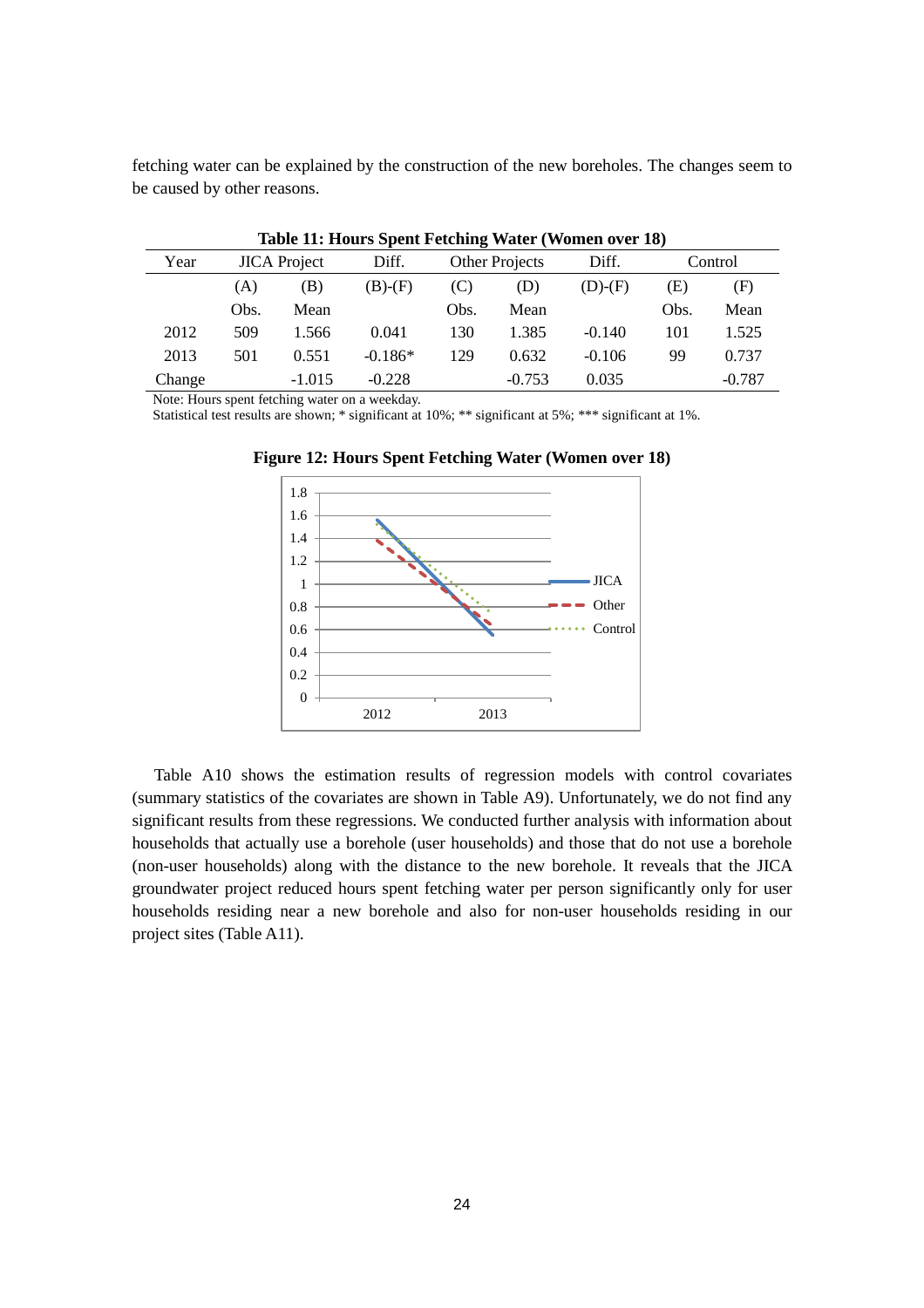fetching water can be explained by the construction of the new boreholes. The changes seem to be caused by other reasons.

|        | Table 11, Hours Spent Fettung water (women over 10) |                     |           |                |          |           |      |          |  |
|--------|-----------------------------------------------------|---------------------|-----------|----------------|----------|-----------|------|----------|--|
| Year   |                                                     | <b>JICA</b> Project | Diff.     | Other Projects |          | Diff.     |      | Control  |  |
|        | (A)                                                 | (B)                 | $(B)-(F)$ | (C)            | (D)      | $(D)-(F)$ | (E)  | (F)      |  |
|        | Obs.                                                | Mean                |           | Obs.           | Mean     |           | Obs. | Mean     |  |
| 2012   | 509                                                 | 1.566               | 0.041     | 130            | 1.385    | $-0.140$  | 101  | 1.525    |  |
| 2013   | 501                                                 | 0.551               | $-0.186*$ | 129            | 0.632    | $-0.106$  | 99   | 0.737    |  |
| Change |                                                     | $-1.015$            | $-0.228$  |                | $-0.753$ | 0.035     |      | $-0.787$ |  |

**Table 11: Hours Spent Fetching Water (Women over 18)**

Note: Hours spent fetching water on a weekday.

Statistical test results are shown; \* significant at 10%; \*\* significant at 5%; \*\*\* significant at 1%.



**Figure 12: Hours Spent Fetching Water (Women over 18)**

Table A10 shows the estimation results of regression models with control covariates (summary statistics of the covariates are shown in Table A9). Unfortunately, we do not find any significant results from these regressions. We conducted further analysis with information about households that actually use a borehole (user households) and those that do not use a borehole (non-user households) along with the distance to the new borehole. It reveals that the JICA groundwater project reduced hours spent fetching water per person significantly only for user households residing near a new borehole and also for non-user households residing in our project sites (Table A11).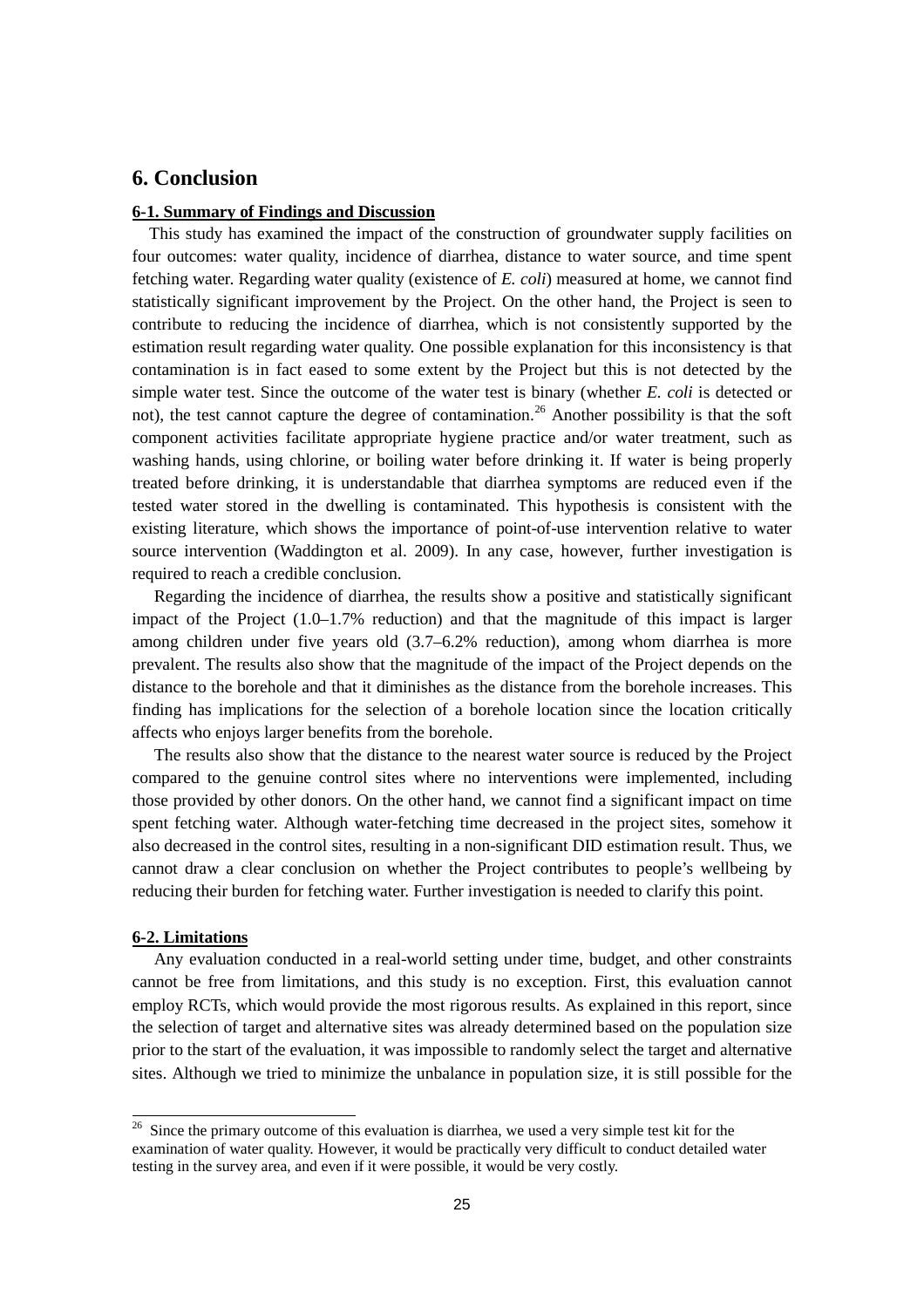# **6. Conclusion**

#### **6-1. Summary of Findings and Discussion**

This study has examined the impact of the construction of groundwater supply facilities on four outcomes: water quality, incidence of diarrhea, distance to water source, and time spent fetching water. Regarding water quality (existence of *E. coli*) measured at home, we cannot find statistically significant improvement by the Project. On the other hand, the Project is seen to contribute to reducing the incidence of diarrhea, which is not consistently supported by the estimation result regarding water quality. One possible explanation for this inconsistency is that contamination is in fact eased to some extent by the Project but this is not detected by the simple water test. Since the outcome of the water test is binary (whether *E. coli* is detected or not), the test cannot capture the degree of contamination.<sup>[26](#page-26-0)</sup> Another possibility is that the soft component activities facilitate appropriate hygiene practice and/or water treatment, such as washing hands, using chlorine, or boiling water before drinking it. If water is being properly treated before drinking, it is understandable that diarrhea symptoms are reduced even if the tested water stored in the dwelling is contaminated. This hypothesis is consistent with the existing literature, which shows the importance of point-of-use intervention relative to water source intervention (Waddington et al. 2009). In any case, however, further investigation is required to reach a credible conclusion.

Regarding the incidence of diarrhea, the results show a positive and statistically significant impact of the Project (1.0–1.7% reduction) and that the magnitude of this impact is larger among children under five years old (3.7–6.2% reduction), among whom diarrhea is more prevalent. The results also show that the magnitude of the impact of the Project depends on the distance to the borehole and that it diminishes as the distance from the borehole increases. This finding has implications for the selection of a borehole location since the location critically affects who enjoys larger benefits from the borehole.

The results also show that the distance to the nearest water source is reduced by the Project compared to the genuine control sites where no interventions were implemented, including those provided by other donors. On the other hand, we cannot find a significant impact on time spent fetching water. Although water-fetching time decreased in the project sites, somehow it also decreased in the control sites, resulting in a non-significant DID estimation result. Thus, we cannot draw a clear conclusion on whether the Project contributes to people's wellbeing by reducing their burden for fetching water. Further investigation is needed to clarify this point.

#### **6-2. Limitations**

Any evaluation conducted in a real-world setting under time, budget, and other constraints cannot be free from limitations, and this study is no exception. First, this evaluation cannot employ RCTs, which would provide the most rigorous results. As explained in this report, since the selection of target and alternative sites was already determined based on the population size prior to the start of the evaluation, it was impossible to randomly select the target and alternative sites. Although we tried to minimize the unbalance in population size, it is still possible for the

<span id="page-26-0"></span> $26$  Since the primary outcome of this evaluation is diarrhea, we used a very simple test kit for the examination of water quality. However, it would be practically very difficult to conduct detailed water testing in the survey area, and even if it were possible, it would be very costly.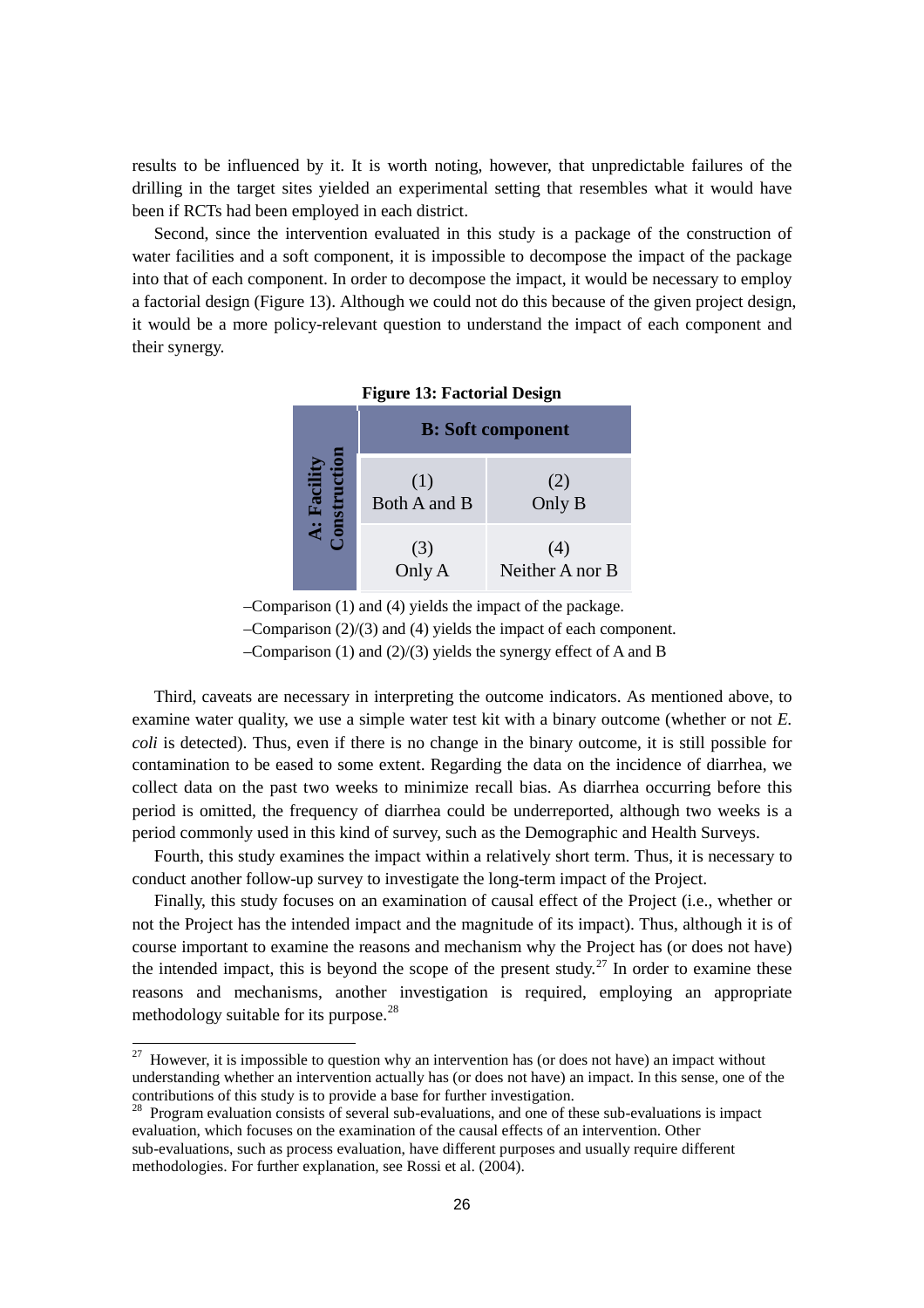results to be influenced by it. It is worth noting, however, that unpredictable failures of the drilling in the target sites yielded an experimental setting that resembles what it would have been if RCTs had been employed in each district.

Second, since the intervention evaluated in this study is a package of the construction of water facilities and a soft component, it is impossible to decompose the impact of the package into that of each component. In order to decompose the impact, it would be necessary to employ a factorial design (Figure 13). Although we could not do this because of the given project design, it would be a more policy-relevant question to understand the impact of each component and their synergy.

|        |                     | <b>B:</b> Soft component |
|--------|---------------------|--------------------------|
| Facili | (1)<br>Both A and B | (2)<br>Only B            |
|        | (3)<br>Only A       | (4)<br>Neither A nor B   |

**Figure 13: Factorial Design**

–Comparison (1) and (4) yields the impact of the package.

–Comparison (2)/(3) and (4) yields the impact of each component.

–Comparison (1) and (2)/(3) yields the synergy effect of A and B

Third, caveats are necessary in interpreting the outcome indicators. As mentioned above, to examine water quality, we use a simple water test kit with a binary outcome (whether or not *E. coli* is detected). Thus, even if there is no change in the binary outcome, it is still possible for contamination to be eased to some extent. Regarding the data on the incidence of diarrhea, we collect data on the past two weeks to minimize recall bias. As diarrhea occurring before this period is omitted, the frequency of diarrhea could be underreported, although two weeks is a period commonly used in this kind of survey, such as the Demographic and Health Surveys.

Fourth, this study examines the impact within a relatively short term. Thus, it is necessary to conduct another follow-up survey to investigate the long-term impact of the Project.

Finally, this study focuses on an examination of causal effect of the Project (i.e., whether or not the Project has the intended impact and the magnitude of its impact). Thus, although it is of course important to examine the reasons and mechanism why the Project has (or does not have) the intended impact, this is beyond the scope of the present study.<sup>[27](#page-27-0)</sup> In order to examine these reasons and mechanisms, another investigation is required, employing an appropriate methodology suitable for its purpose.<sup>[28](#page-27-1)</sup>

 $\overline{a}$ 

<span id="page-27-0"></span> $27$  However, it is impossible to question why an intervention has (or does not have) an impact without understanding whether an intervention actually has (or does not have) an impact. In this sense, one of the

<span id="page-27-1"></span><sup>&</sup>lt;sup>28</sup> Program evaluation consists of several sub-evaluations, and one of these sub-evaluations is impact evaluation, which focuses on the examination of the causal effects of an intervention. Other sub-evaluations, such as process evaluation, have different purposes and usually require different methodologies. For further explanation, see Rossi et al. (2004).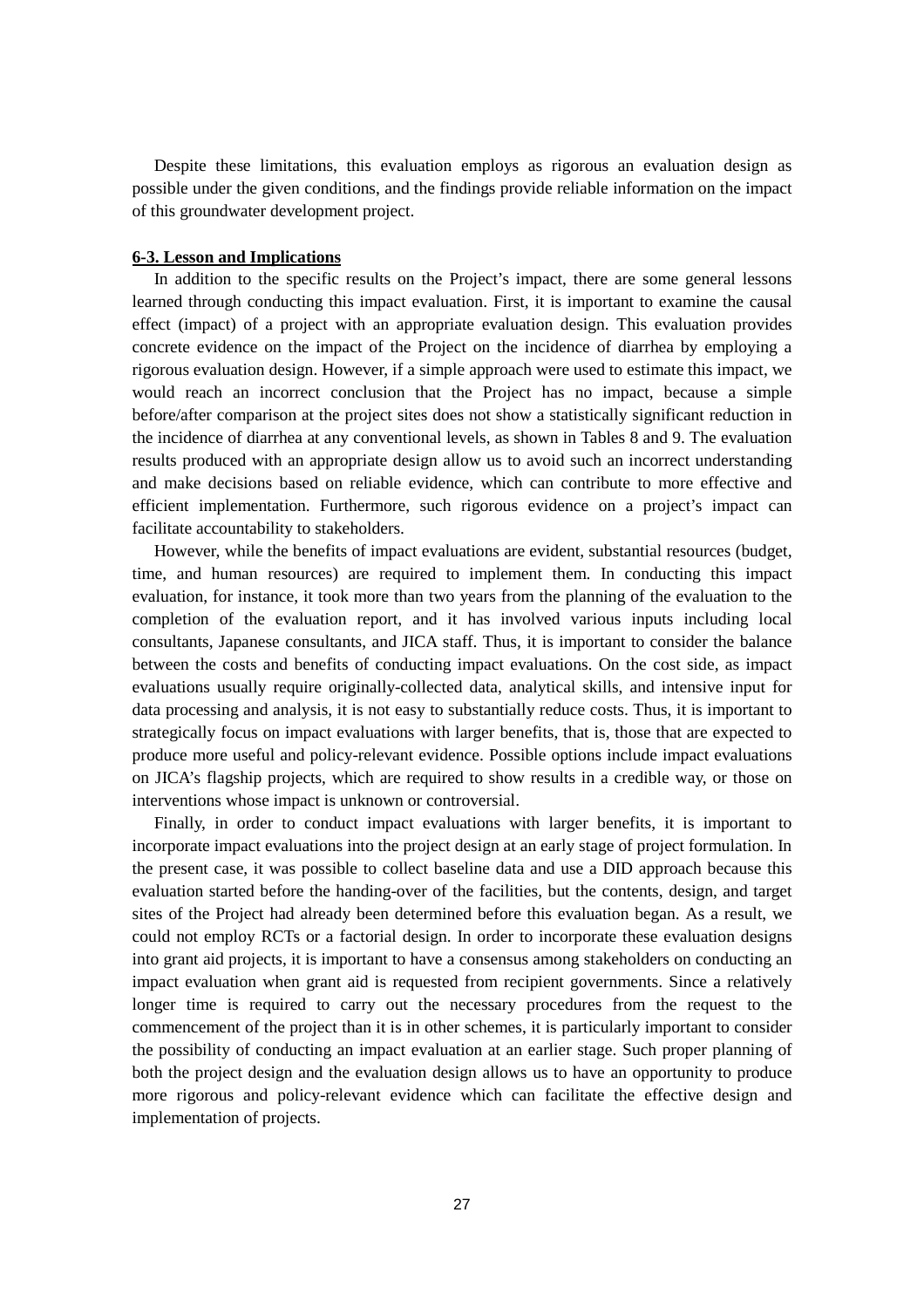Despite these limitations, this evaluation employs as rigorous an evaluation design as possible under the given conditions, and the findings provide reliable information on the impact of this groundwater development project.

#### **6-3. Lesson and Implications**

In addition to the specific results on the Project's impact, there are some general lessons learned through conducting this impact evaluation. First, it is important to examine the causal effect (impact) of a project with an appropriate evaluation design. This evaluation provides concrete evidence on the impact of the Project on the incidence of diarrhea by employing a rigorous evaluation design. However, if a simple approach were used to estimate this impact, we would reach an incorrect conclusion that the Project has no impact, because a simple before/after comparison at the project sites does not show a statistically significant reduction in the incidence of diarrhea at any conventional levels, as shown in Tables 8 and 9. The evaluation results produced with an appropriate design allow us to avoid such an incorrect understanding and make decisions based on reliable evidence, which can contribute to more effective and efficient implementation. Furthermore, such rigorous evidence on a project's impact can facilitate accountability to stakeholders.

However, while the benefits of impact evaluations are evident, substantial resources (budget, time, and human resources) are required to implement them. In conducting this impact evaluation, for instance, it took more than two years from the planning of the evaluation to the completion of the evaluation report, and it has involved various inputs including local consultants, Japanese consultants, and JICA staff. Thus, it is important to consider the balance between the costs and benefits of conducting impact evaluations. On the cost side, as impact evaluations usually require originally-collected data, analytical skills, and intensive input for data processing and analysis, it is not easy to substantially reduce costs. Thus, it is important to strategically focus on impact evaluations with larger benefits, that is, those that are expected to produce more useful and policy-relevant evidence. Possible options include impact evaluations on JICA's flagship projects, which are required to show results in a credible way, or those on interventions whose impact is unknown or controversial.

Finally, in order to conduct impact evaluations with larger benefits, it is important to incorporate impact evaluations into the project design at an early stage of project formulation. In the present case, it was possible to collect baseline data and use a DID approach because this evaluation started before the handing-over of the facilities, but the contents, design, and target sites of the Project had already been determined before this evaluation began. As a result, we could not employ RCTs or a factorial design. In order to incorporate these evaluation designs into grant aid projects, it is important to have a consensus among stakeholders on conducting an impact evaluation when grant aid is requested from recipient governments. Since a relatively longer time is required to carry out the necessary procedures from the request to the commencement of the project than it is in other schemes, it is particularly important to consider the possibility of conducting an impact evaluation at an earlier stage. Such proper planning of both the project design and the evaluation design allows us to have an opportunity to produce more rigorous and policy-relevant evidence which can facilitate the effective design and implementation of projects.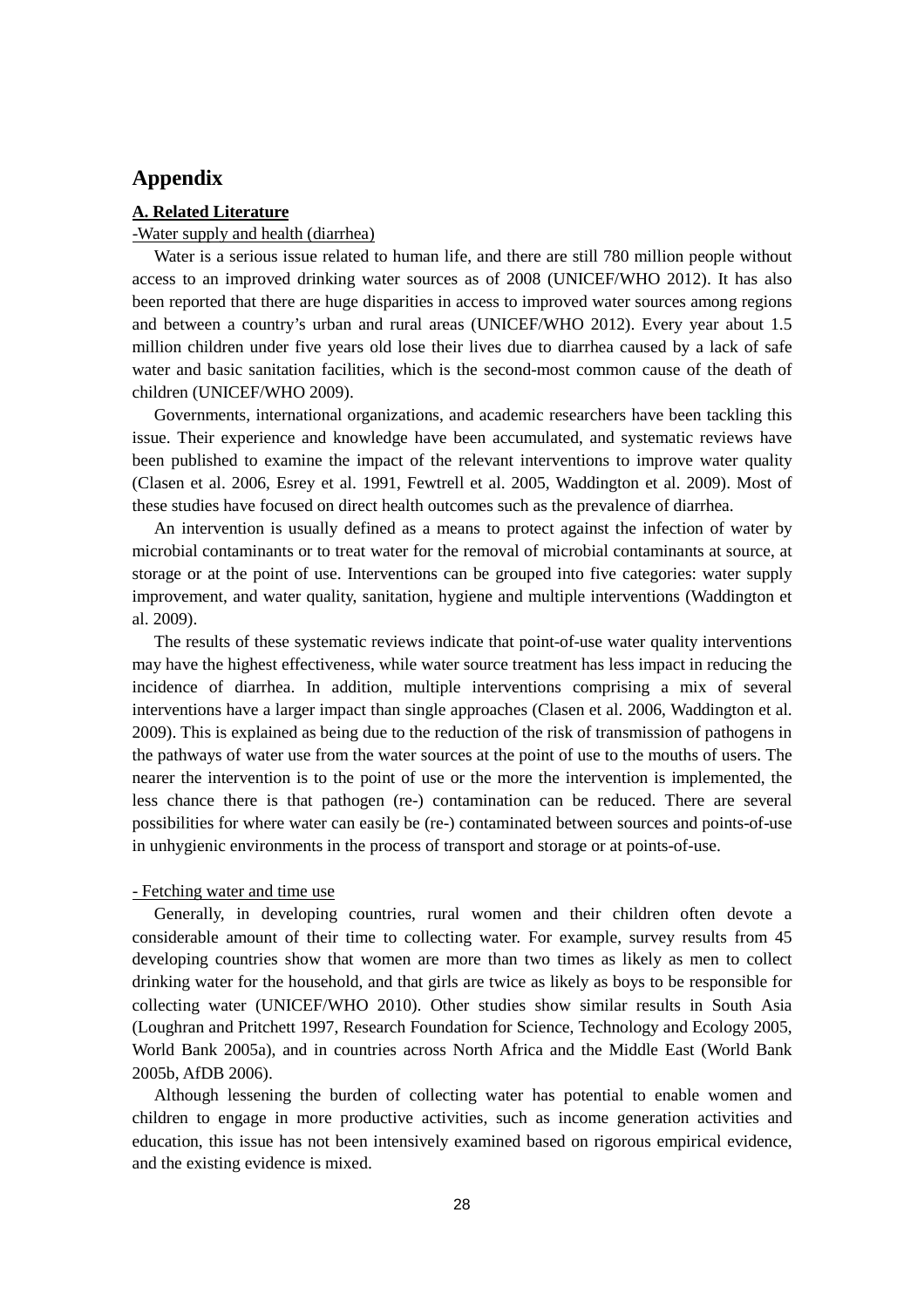# **Appendix**

#### **A. Related Literature**

#### -Water supply and health (diarrhea)

Water is a serious issue related to human life, and there are still 780 million people without access to an improved drinking water sources as of 2008 (UNICEF/WHO 2012). It has also been reported that there are huge disparities in access to improved water sources among regions and between a country's urban and rural areas (UNICEF/WHO 2012). Every year about 1.5 million children under five years old lose their lives due to diarrhea caused by a lack of safe water and basic sanitation facilities, which is the second-most common cause of the death of children (UNICEF/WHO 2009).

Governments, international organizations, and academic researchers have been tackling this issue. Their experience and knowledge have been accumulated, and systematic reviews have been published to examine the impact of the relevant interventions to improve water quality (Clasen et al. 2006, Esrey et al. 1991, Fewtrell et al. 2005, Waddington et al. 2009). Most of these studies have focused on direct health outcomes such as the prevalence of diarrhea.

An intervention is usually defined as a means to protect against the infection of water by microbial contaminants or to treat water for the removal of microbial contaminants at source, at storage or at the point of use. Interventions can be grouped into five categories: water supply improvement, and water quality, sanitation, hygiene and multiple interventions (Waddington et al. 2009).

The results of these systematic reviews indicate that point-of-use water quality interventions may have the highest effectiveness, while water source treatment has less impact in reducing the incidence of diarrhea. In addition, multiple interventions comprising a mix of several interventions have a larger impact than single approaches (Clasen et al. 2006, Waddington et al. 2009). This is explained as being due to the reduction of the risk of transmission of pathogens in the pathways of water use from the water sources at the point of use to the mouths of users. The nearer the intervention is to the point of use or the more the intervention is implemented, the less chance there is that pathogen (re-) contamination can be reduced. There are several possibilities for where water can easily be (re-) contaminated between sources and points-of-use in unhygienic environments in the process of transport and storage or at points-of-use.

#### - Fetching water and time use

Generally, in developing countries, rural women and their children often devote a considerable amount of their time to collecting water. For example, survey results from 45 developing countries show that women are more than two times as likely as men to collect drinking water for the household, and that girls are twice as likely as boys to be responsible for collecting water (UNICEF/WHO 2010). Other studies show similar results in South Asia (Loughran and Pritchett 1997, Research Foundation for Science, Technology and Ecology 2005, World Bank 2005a), and in countries across North Africa and the Middle East (World Bank 2005b, AfDB 2006).

Although lessening the burden of collecting water has potential to enable women and children to engage in more productive activities, such as income generation activities and education, this issue has not been intensively examined based on rigorous empirical evidence, and the existing evidence is mixed.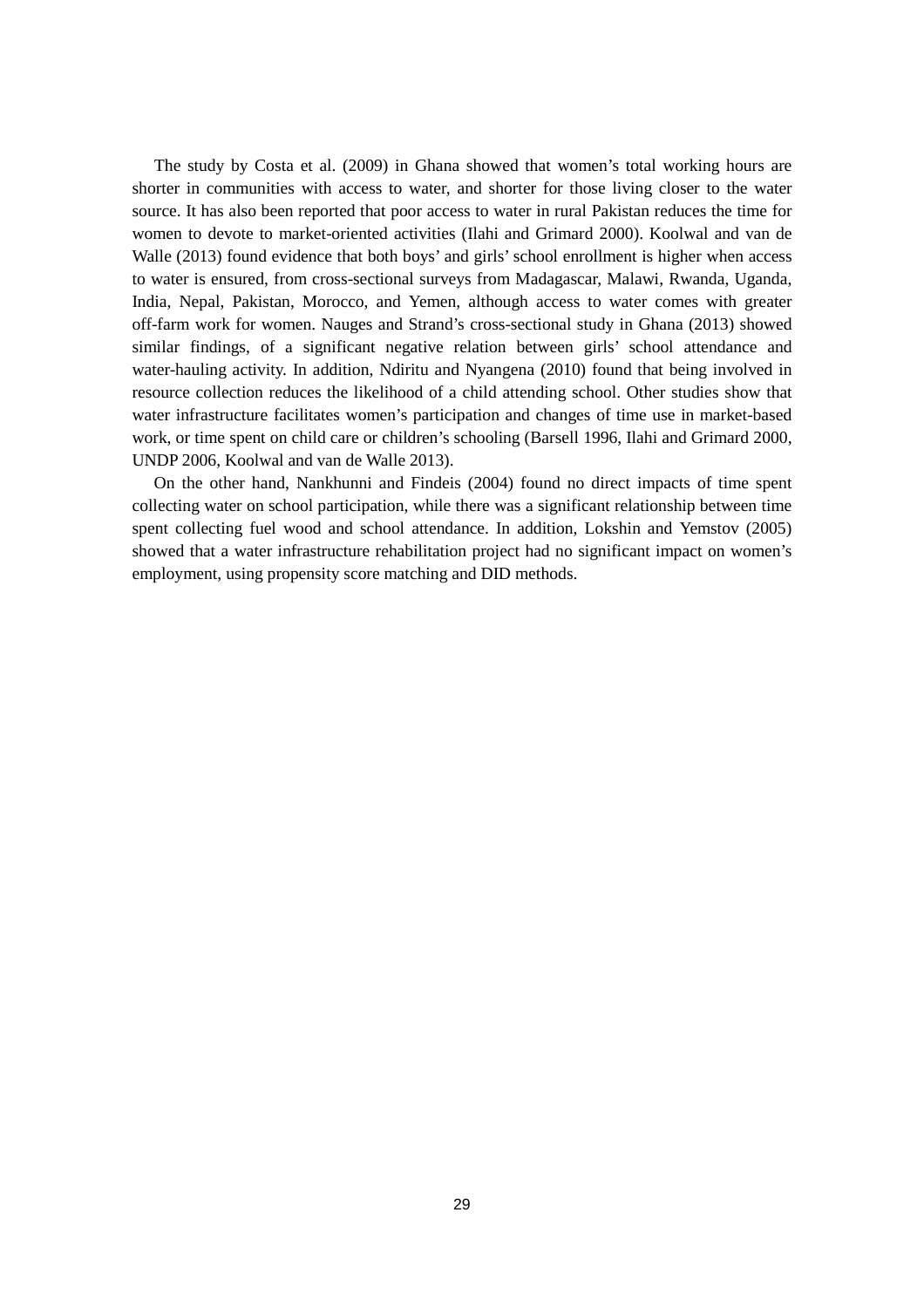The study by Costa et al. (2009) in Ghana showed that women's total working hours are shorter in communities with access to water, and shorter for those living closer to the water source. It has also been reported that poor access to water in rural Pakistan reduces the time for women to devote to market-oriented activities (Ilahi and Grimard 2000). Koolwal and van de Walle (2013) found evidence that both boys' and girls' school enrollment is higher when access to water is ensured, from cross-sectional surveys from Madagascar, Malawi, Rwanda, Uganda, India, Nepal, Pakistan, Morocco, and Yemen, although access to water comes with greater off-farm work for women. Nauges and Strand's cross-sectional study in Ghana (2013) showed similar findings, of a significant negative relation between girls' school attendance and water-hauling activity. In addition, Ndiritu and Nyangena (2010) found that being involved in resource collection reduces the likelihood of a child attending school. Other studies show that water infrastructure facilitates women's participation and changes of time use in market-based work, or time spent on child care or children's schooling (Barsell 1996, Ilahi and Grimard 2000, UNDP 2006, Koolwal and van de Walle 2013).

On the other hand, Nankhunni and Findeis (2004) found no direct impacts of time spent collecting water on school participation, while there was a significant relationship between time spent collecting fuel wood and school attendance. In addition, Lokshin and Yemstov (2005) showed that a water infrastructure rehabilitation project had no significant impact on women's employment, using propensity score matching and DID methods.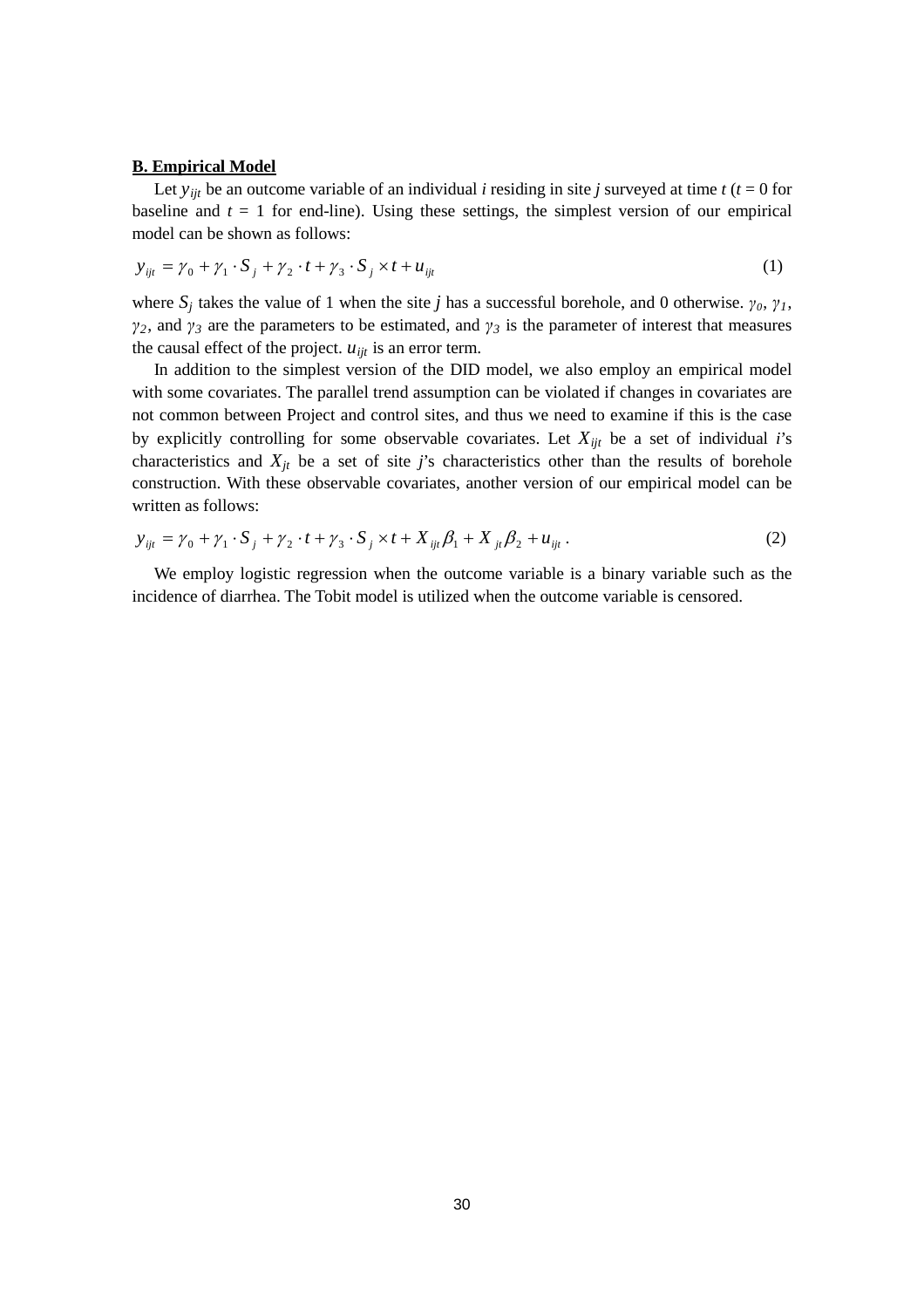#### **B. Empirical Model**

Let  $y_{ijt}$  be an outcome variable of an individual *i* residing in site *j* surveyed at time *t* ( $t = 0$  for baseline and  $t = 1$  for end-line). Using these settings, the simplest version of our empirical model can be shown as follows:

$$
y_{ijt} = \gamma_0 + \gamma_1 \cdot S_j + \gamma_2 \cdot t + \gamma_3 \cdot S_j \times t + u_{ijt}
$$
 (1)

where  $S_j$  takes the value of 1 when the site *j* has a successful borehole, and 0 otherwise.  $\gamma_0$ ,  $\gamma_1$ , *γ*<sub>2</sub>, and *γ*<sub>*3*</sub> are the parameters to be estimated, and *γ*<sub>*3*</sub> is the parameter of interest that measures the causal effect of the project.  $u_{ijt}$  is an error term.

In addition to the simplest version of the DID model, we also employ an empirical model with some covariates. The parallel trend assumption can be violated if changes in covariates are not common between Project and control sites, and thus we need to examine if this is the case by explicitly controlling for some observable covariates. Let  $X_{ijt}$  be a set of individual *i*'s characteristics and  $X_{jt}$  be a set of site *j*'s characteristics other than the results of borehole construction. With these observable covariates, another version of our empirical model can be written as follows:

$$
y_{ijt} = \gamma_0 + \gamma_1 \cdot S_j + \gamma_2 \cdot t + \gamma_3 \cdot S_j \times t + X_{ijt} \beta_1 + X_{jt} \beta_2 + u_{ijt} \,. \tag{2}
$$

We employ logistic regression when the outcome variable is a binary variable such as the incidence of diarrhea. The Tobit model is utilized when the outcome variable is censored.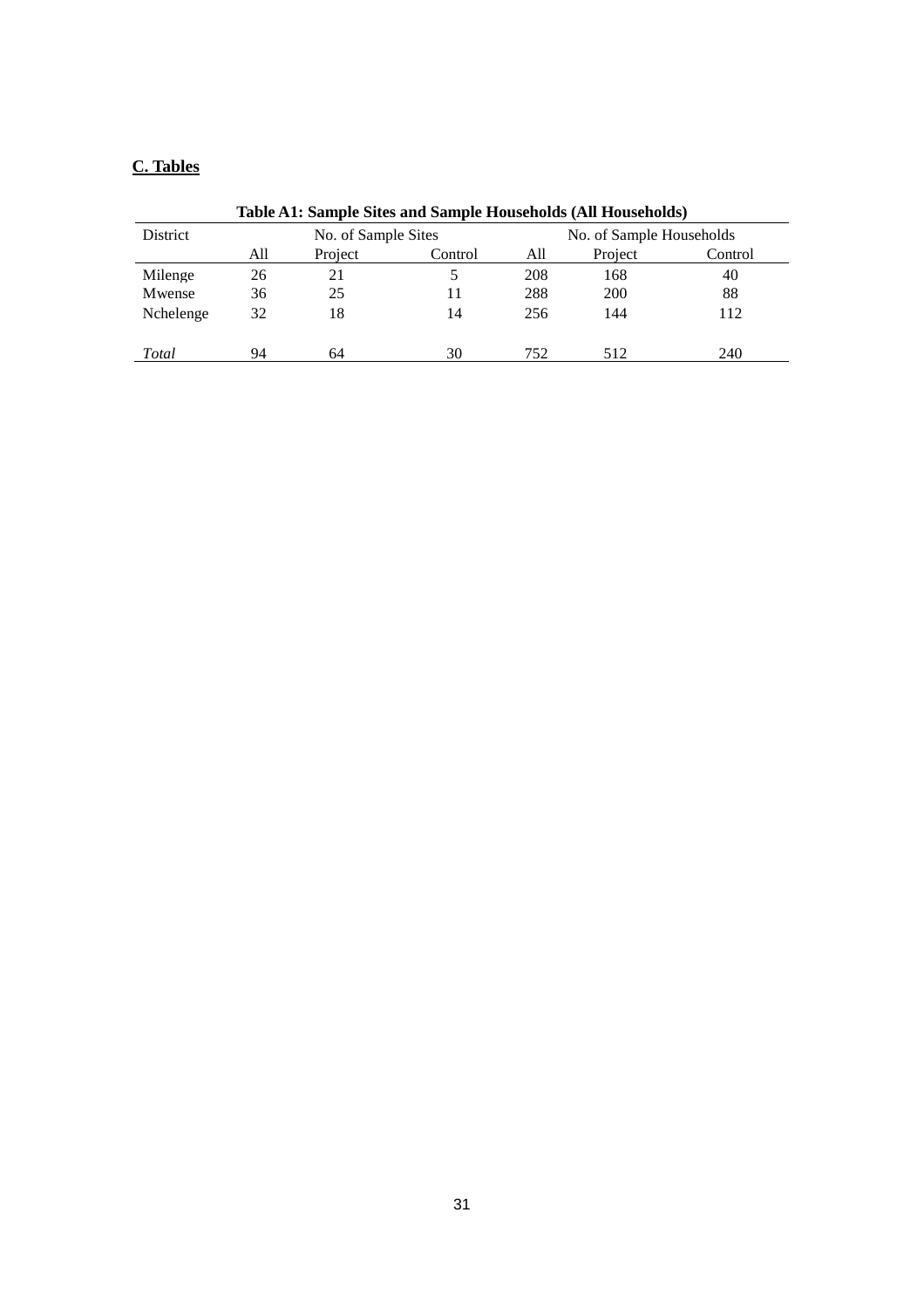# **C. Tables**

| Table A1: Sample Sites and Sample Households (All Households) |         |         |                          |            |         |  |  |
|---------------------------------------------------------------|---------|---------|--------------------------|------------|---------|--|--|
| No. of Sample Sites                                           |         |         | No. of Sample Households |            |         |  |  |
| All                                                           | Project | Control | All                      | Project    | Control |  |  |
| 26                                                            | 21      |         | 208                      | 168        | 40      |  |  |
| 36                                                            | 25      | 11      | 288                      | <b>200</b> | 88      |  |  |
| 32                                                            | 18      | 14      | 256                      | 144        | 112     |  |  |
| 94                                                            | 64      | 30      | 752                      | 512        | 240     |  |  |
|                                                               |         |         |                          |            |         |  |  |

#### **Table A1: Sample Sites and Sample Households (All Households)**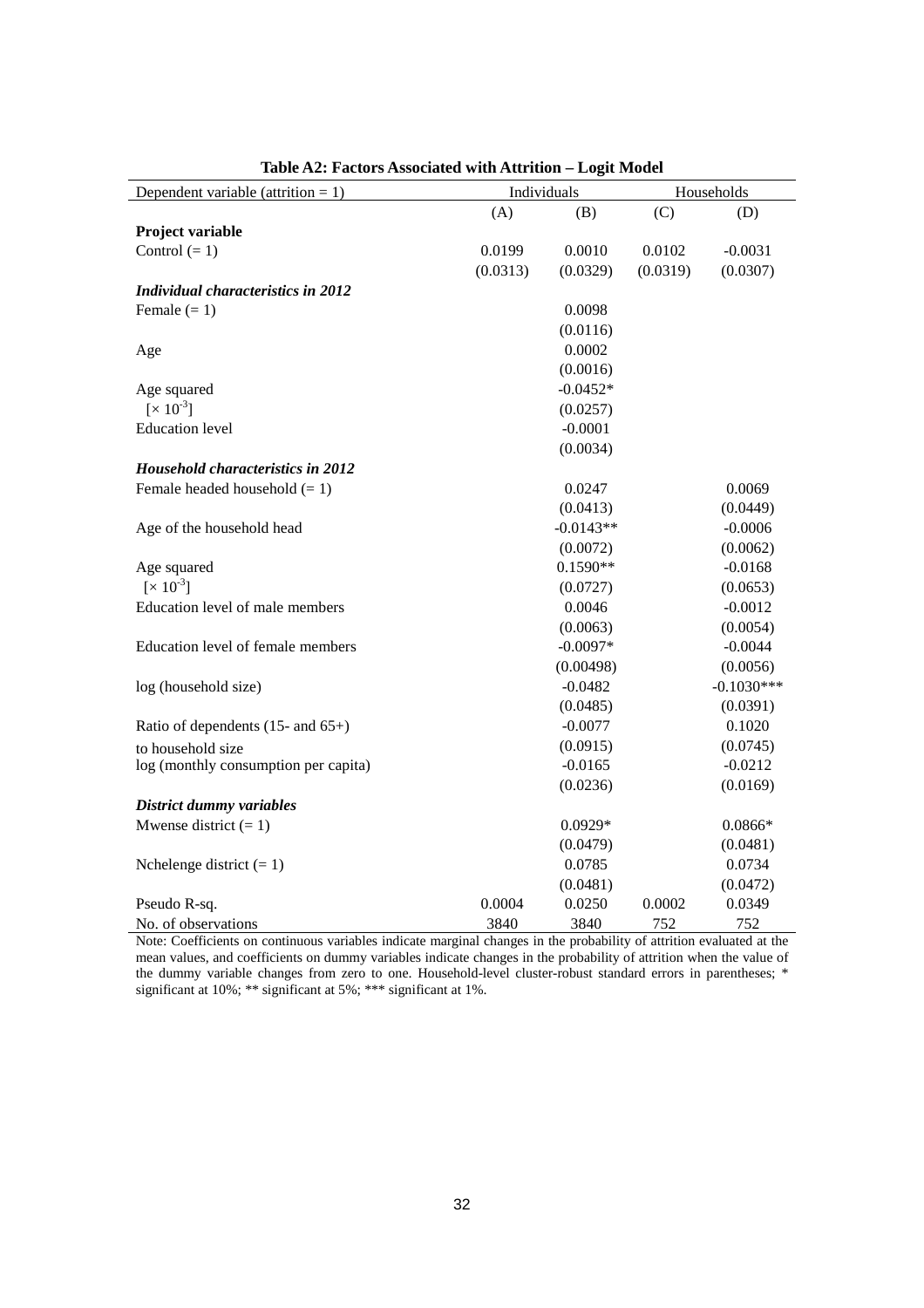| Dependent variable (attrition $= 1$ )    | Individuals |             |          | Households   |
|------------------------------------------|-------------|-------------|----------|--------------|
|                                          | (A)         | (B)         | (C)      | (D)          |
| Project variable                         |             |             |          |              |
| Control $(= 1)$                          | 0.0199      | 0.0010      | 0.0102   | $-0.0031$    |
|                                          | (0.0313)    | (0.0329)    | (0.0319) | (0.0307)     |
| Individual characteristics in 2012       |             |             |          |              |
| Female $(= 1)$                           |             | 0.0098      |          |              |
|                                          |             | (0.0116)    |          |              |
| Age                                      |             | 0.0002      |          |              |
|                                          |             | (0.0016)    |          |              |
| Age squared                              |             | $-0.0452*$  |          |              |
| $[x 10^{-3}]$                            |             | (0.0257)    |          |              |
| <b>Education</b> level                   |             | $-0.0001$   |          |              |
|                                          |             | (0.0034)    |          |              |
| <b>Household characteristics in 2012</b> |             |             |          |              |
| Female headed household $(= 1)$          |             | 0.0247      |          | 0.0069       |
|                                          |             | (0.0413)    |          | (0.0449)     |
| Age of the household head                |             | $-0.0143**$ |          | $-0.0006$    |
|                                          |             | (0.0072)    |          | (0.0062)     |
| Age squared                              |             | $0.1590**$  |          | $-0.0168$    |
| $[x 10^{-3}]$                            |             | (0.0727)    |          | (0.0653)     |
| Education level of male members          |             | 0.0046      |          | $-0.0012$    |
|                                          |             | (0.0063)    |          | (0.0054)     |
| Education level of female members        |             | $-0.0097*$  |          | $-0.0044$    |
|                                          |             | (0.00498)   |          | (0.0056)     |
| log (household size)                     |             | $-0.0482$   |          | $-0.1030***$ |
|                                          |             | (0.0485)    |          | (0.0391)     |
| Ratio of dependents $(15-$ and $65+)$    |             | $-0.0077$   |          | 0.1020       |
| to household size                        |             | (0.0915)    |          | (0.0745)     |
| log (monthly consumption per capita)     |             | $-0.0165$   |          | $-0.0212$    |
|                                          |             | (0.0236)    |          | (0.0169)     |
| District dummy variables                 |             |             |          |              |
| Mwense district $(= 1)$                  |             | $0.0929*$   |          | $0.0866*$    |
|                                          |             | (0.0479)    |          | (0.0481)     |
| Nchelenge district $(= 1)$               |             | 0.0785      |          | 0.0734       |
|                                          |             | (0.0481)    |          | (0.0472)     |
| Pseudo R-sq.                             | 0.0004      | 0.0250      | 0.0002   | 0.0349       |
| No. of observations                      | 3840        | 3840        | 752      | 752          |

## **Table A2: Factors Associated with Attrition – Logit Model**

Note: Coefficients on continuous variables indicate marginal changes in the probability of attrition evaluated at the mean values, and coefficients on dummy variables indicate changes in the probability of attrition when the value of the dummy variable changes from zero to one. Household-level cluster-robust standard errors in parentheses; \* significant at 10%; \*\* significant at 5%; \*\*\* significant at 1%.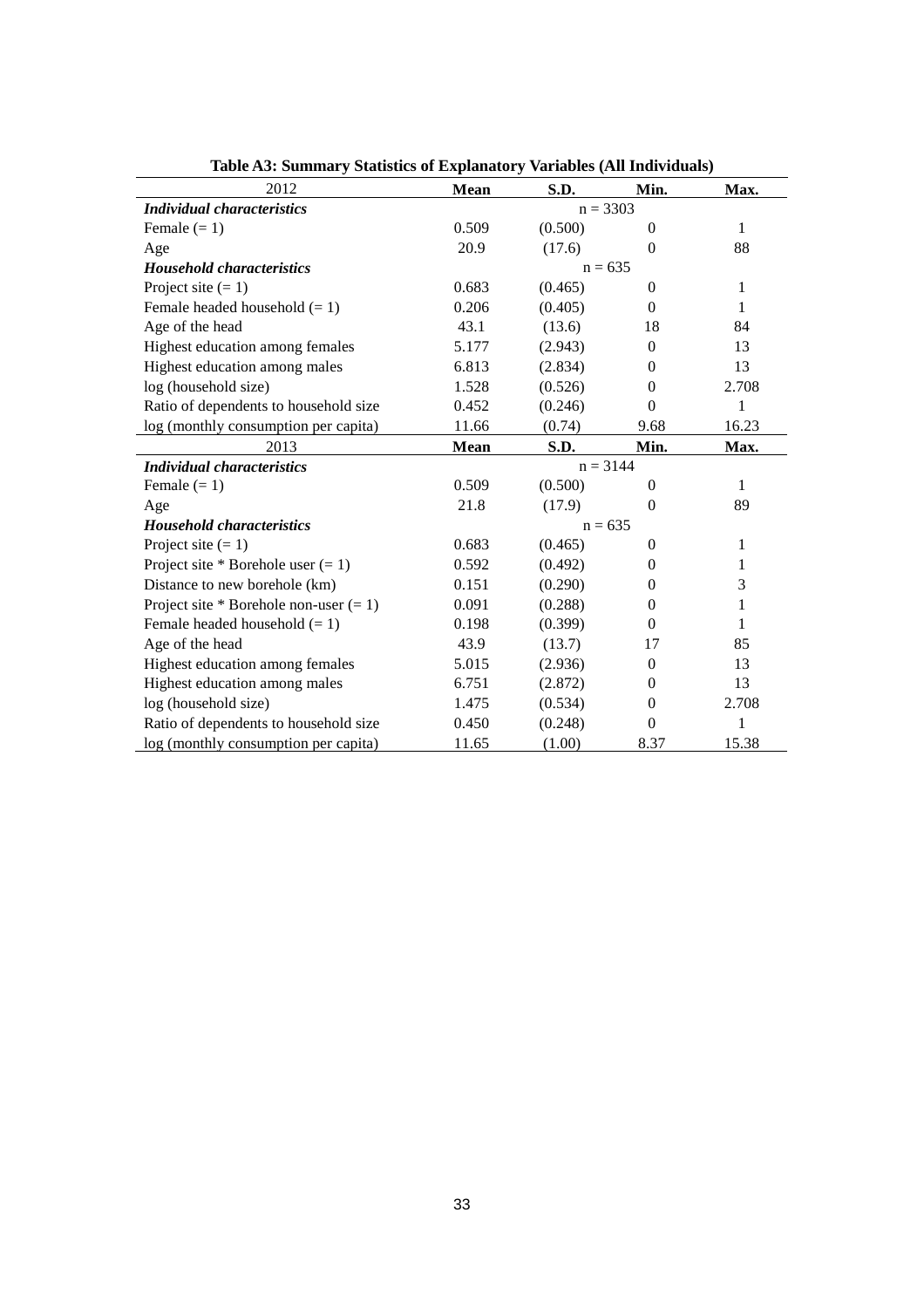| 2012                                     | <b>Mean</b> | S.D.       | Min.           | Max.         |  |
|------------------------------------------|-------------|------------|----------------|--------------|--|
| <i>Individual characteristics</i>        |             | $n = 3303$ |                |              |  |
| Female $(= 1)$                           | 0.509       | (0.500)    | $\Omega$       | 1            |  |
| Age                                      | 20.9        | (17.6)     | $\theta$       | 88           |  |
| <b>Household characteristics</b>         |             | $n = 635$  |                |              |  |
| Project site $(= 1)$                     | 0.683       | (0.465)    | $\theta$       | 1            |  |
| Female headed household $(= 1)$          | 0.206       | (0.405)    | $\theta$       | 1            |  |
| Age of the head                          | 43.1        | (13.6)     | 18             | 84           |  |
| Highest education among females          | 5.177       | (2.943)    | $\theta$       | 13           |  |
| Highest education among males            | 6.813       | (2.834)    | $\theta$       | 13           |  |
| log (household size)                     | 1.528       | (0.526)    | $\theta$       | 2.708        |  |
| Ratio of dependents to household size    | 0.452       | (0.246)    | $\overline{0}$ | 1            |  |
| log (monthly consumption per capita)     | 11.66       | (0.74)     | 9.68           | 16.23        |  |
| 2013                                     | Mean        | S.D.       | Min.           | Max.         |  |
| <i>Individual characteristics</i>        | $n = 3144$  |            |                |              |  |
| Female $(= 1)$                           | 0.509       | (0.500)    | $\theta$       | $\mathbf{1}$ |  |
| Age                                      | 21.8        | (17.9)     | $\theta$       | 89           |  |
| <b>Household characteristics</b>         |             | $n = 635$  |                |              |  |
| Project site $(= 1)$                     | 0.683       | (0.465)    | $\theta$       | 1            |  |
| Project site * Borehole user $(= 1)$     | 0.592       | (0.492)    | $\theta$       | 1            |  |
| Distance to new borehole (km)            | 0.151       | (0.290)    | $\theta$       | 3            |  |
| Project site * Borehole non-user $(= 1)$ | 0.091       | (0.288)    | $\theta$       | 1            |  |
| Female headed household $(= 1)$          | 0.198       | (0.399)    | $\Omega$       | 1            |  |
| Age of the head                          | 43.9        | (13.7)     | 17             | 85           |  |
| Highest education among females          | 5.015       | (2.936)    | $\theta$       | 13           |  |
| Highest education among males            | 6.751       | (2.872)    | $\theta$       | 13           |  |
| log (household size)                     | 1.475       | (0.534)    | $\overline{0}$ | 2.708        |  |
| Ratio of dependents to household size    | 0.450       | (0.248)    | $\theta$       | 1            |  |
| log (monthly consumption per capita)     | 11.65       | (1.00)     | 8.37           | 15.38        |  |

**Table A3: Summary Statistics of Explanatory Variables (All Individuals)**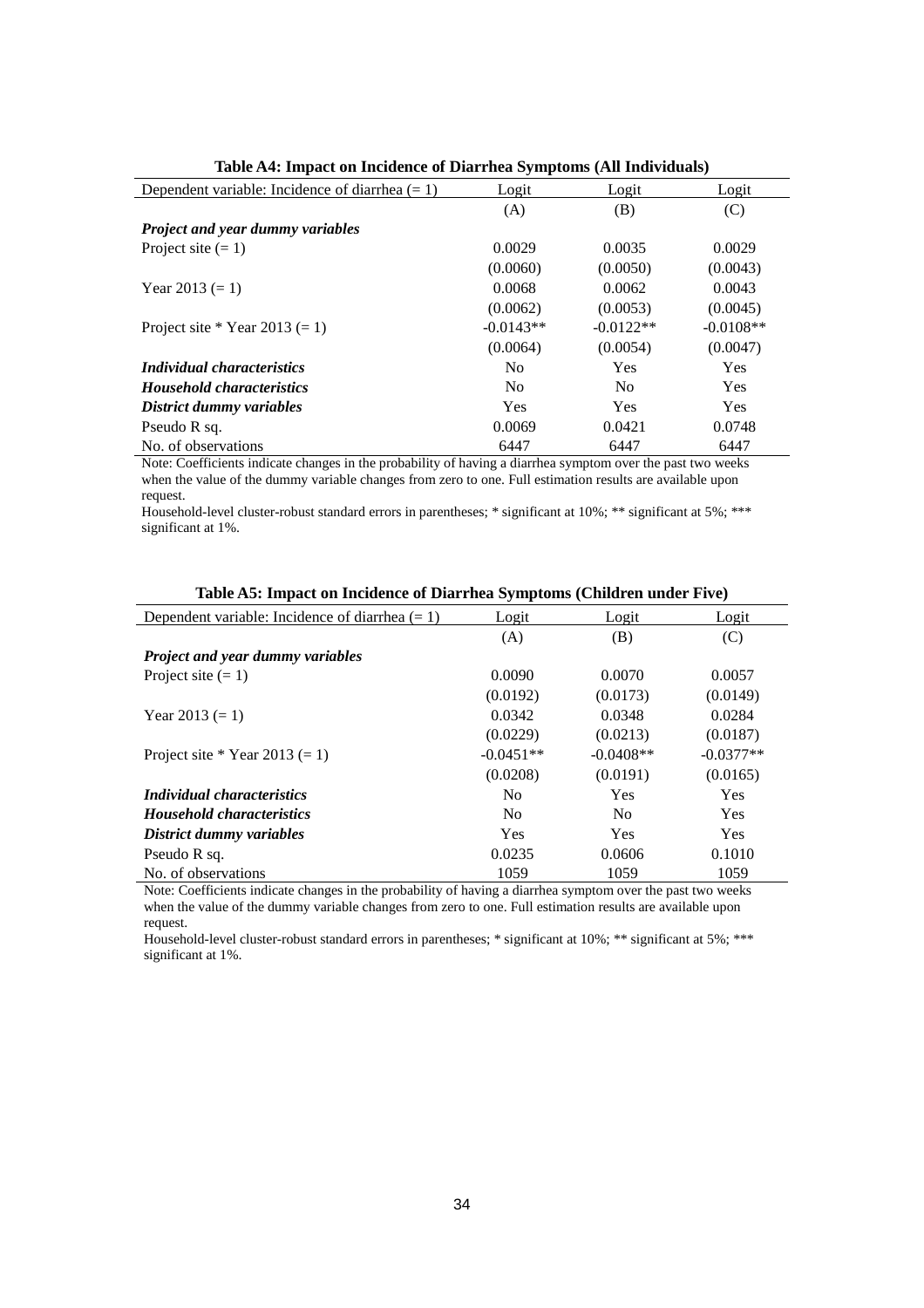| Dependent variable: Incidence of diarrhea $(= 1)$ | Logit          | Logit          | Logit       |
|---------------------------------------------------|----------------|----------------|-------------|
|                                                   | (A)            | (B)            | (C)         |
| <b>Project and year dummy variables</b>           |                |                |             |
| Project site $(= 1)$                              | 0.0029         | 0.0035         | 0.0029      |
|                                                   | (0.0060)       | (0.0050)       | (0.0043)    |
| Year 2013 $(= 1)$                                 | 0.0068         | 0.0062         | 0.0043      |
|                                                   | (0.0062)       | (0.0053)       | (0.0045)    |
| Project site * Year 2013 $(= 1)$                  | $-0.0143**$    | $-0.0122**$    | $-0.0108**$ |
|                                                   | (0.0064)       | (0.0054)       | (0.0047)    |
| <i>Individual characteristics</i>                 | N <sub>0</sub> | Yes            | <b>Yes</b>  |
| <b>Household characteristics</b>                  | N <sub>0</sub> | N <sub>0</sub> | <b>Yes</b>  |
| District dummy variables                          | <b>Yes</b>     | Yes            | <b>Yes</b>  |
| Pseudo R sq.                                      | 0.0069         | 0.0421         | 0.0748      |
| No. of observations                               | 6447           | 6447           | 6447        |

**Table A4: Impact on Incidence of Diarrhea Symptoms (All Individuals)**

Note: Coefficients indicate changes in the probability of having a diarrhea symptom over the past two weeks when the value of the dummy variable changes from zero to one. Full estimation results are available upon request.

Household-level cluster-robust standard errors in parentheses; \* significant at 10%; \*\* significant at 5%; \*\*\* significant at 1%.

| Dependent variable: Incidence of diarrhea $(= 1)$ | Logit          | Logit          | Logit       |
|---------------------------------------------------|----------------|----------------|-------------|
|                                                   | (A)            | (B)            | (C)         |
| <b>Project and year dummy variables</b>           |                |                |             |
| Project site $(= 1)$                              | 0.0090         | 0.0070         | 0.0057      |
|                                                   | (0.0192)       | (0.0173)       | (0.0149)    |
| Year $2013 (= 1)$                                 | 0.0342         | 0.0348         | 0.0284      |
|                                                   | (0.0229)       | (0.0213)       | (0.0187)    |
| Project site * Year 2013 $(= 1)$                  | $-0.0451**$    | $-0.0408**$    | $-0.0377**$ |
|                                                   | (0.0208)       | (0.0191)       | (0.0165)    |
| <i>Individual characteristics</i>                 | N <sub>0</sub> | <b>Yes</b>     | <b>Yes</b>  |
| <b>Household characteristics</b>                  | N <sub>0</sub> | N <sub>o</sub> | <b>Yes</b>  |
| District dummy variables                          | Yes            | Yes            | <b>Yes</b>  |
| Pseudo R sq.                                      | 0.0235         | 0.0606         | 0.1010      |
| No. of observations                               | 1059           | 1059           | 1059        |

| Table A5: Impact on Incidence of Diarrhea Symptoms (Children under Five) |  |  |  |  |  |
|--------------------------------------------------------------------------|--|--|--|--|--|
|--------------------------------------------------------------------------|--|--|--|--|--|

Note: Coefficients indicate changes in the probability of having a diarrhea symptom over the past two weeks when the value of the dummy variable changes from zero to one. Full estimation results are available upon request.

Household-level cluster-robust standard errors in parentheses; \* significant at 10%; \*\* significant at 5%; \*\*\* significant at 1%.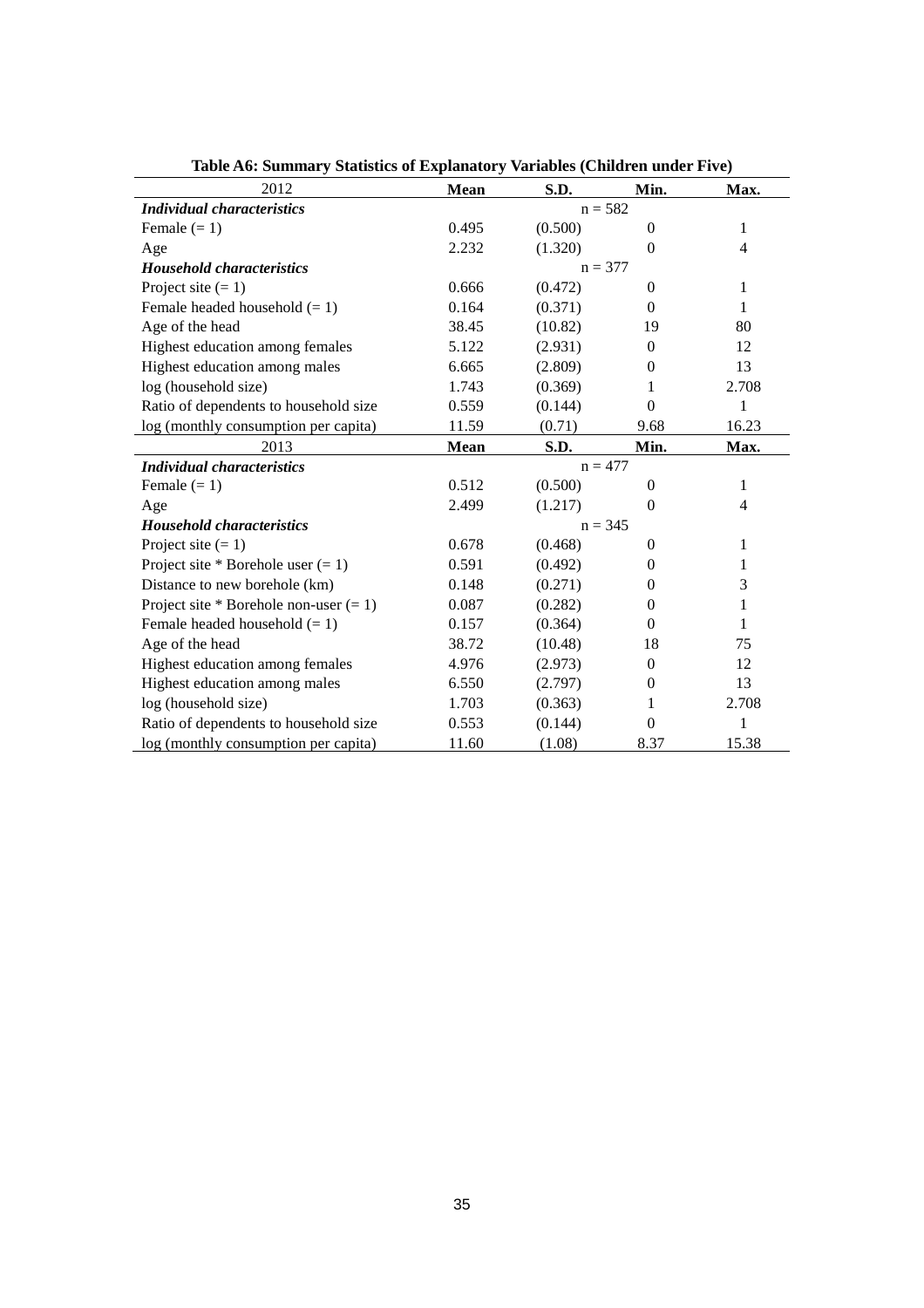| 2012                                     | <b>Mean</b> | S.D.      | Min.           | Max.           |
|------------------------------------------|-------------|-----------|----------------|----------------|
| <i>Individual characteristics</i>        |             | $n = 582$ |                |                |
| Female $(= 1)$                           | 0.495       | (0.500)   | $\Omega$       | 1              |
| Age                                      | 2.232       | (1.320)   | $\Omega$       | $\overline{4}$ |
| <b>Household characteristics</b>         |             | $n = 377$ |                |                |
| Project site $(= 1)$                     | 0.666       | (0.472)   | $\Omega$       | 1              |
| Female headed household $(= 1)$          | 0.164       | (0.371)   | $\Omega$       | 1              |
| Age of the head                          | 38.45       | (10.82)   | 19             | 80             |
| Highest education among females          | 5.122       | (2.931)   | $\Omega$       | 12             |
| Highest education among males            | 6.665       | (2.809)   | $\Omega$       | 13             |
| log (household size)                     | 1.743       | (0.369)   | 1              | 2.708          |
| Ratio of dependents to household size    | 0.559       | (0.144)   | $\theta$       | 1              |
| log (monthly consumption per capita)     | 11.59       | (0.71)    | 9.68           | 16.23          |
| 2013                                     | <b>Mean</b> | S.D.      | Min.           | Max.           |
| <b>Individual characteristics</b>        | $n = 477$   |           |                |                |
| Female $(= 1)$                           | 0.512       | (0.500)   | $\theta$       | 1              |
| Age                                      | 2.499       | (1.217)   | $\Omega$       | $\overline{4}$ |
| <b>Household characteristics</b>         |             | $n = 345$ |                |                |
| Project site $(= 1)$                     | 0.678       | (0.468)   | $\overline{0}$ | $\mathbf 1$    |
| Project site * Borehole user $(= 1)$     | 0.591       | (0.492)   | $\Omega$       | 1              |
| Distance to new borehole (km)            | 0.148       | (0.271)   | $\Omega$       | 3              |
| Project site * Borehole non-user $(= 1)$ | 0.087       | (0.282)   | $\Omega$       | 1              |
| Female headed household $(= 1)$          | 0.157       | (0.364)   | $\Omega$       | 1              |
| Age of the head                          | 38.72       | (10.48)   | 18             | 75             |
| Highest education among females          | 4.976       | (2.973)   | $\Omega$       | 12             |
| Highest education among males            | 6.550       | (2.797)   | $\theta$       | 13             |
| log (household size)                     | 1.703       | (0.363)   | 1              | 2.708          |
| Ratio of dependents to household size    | 0.553       | (0.144)   | $\overline{0}$ | 1              |
| log (monthly consumption per capita)     | 11.60       | (1.08)    | 8.37           | 15.38          |

**Table A6: Summary Statistics of Explanatory Variables (Children under Five)**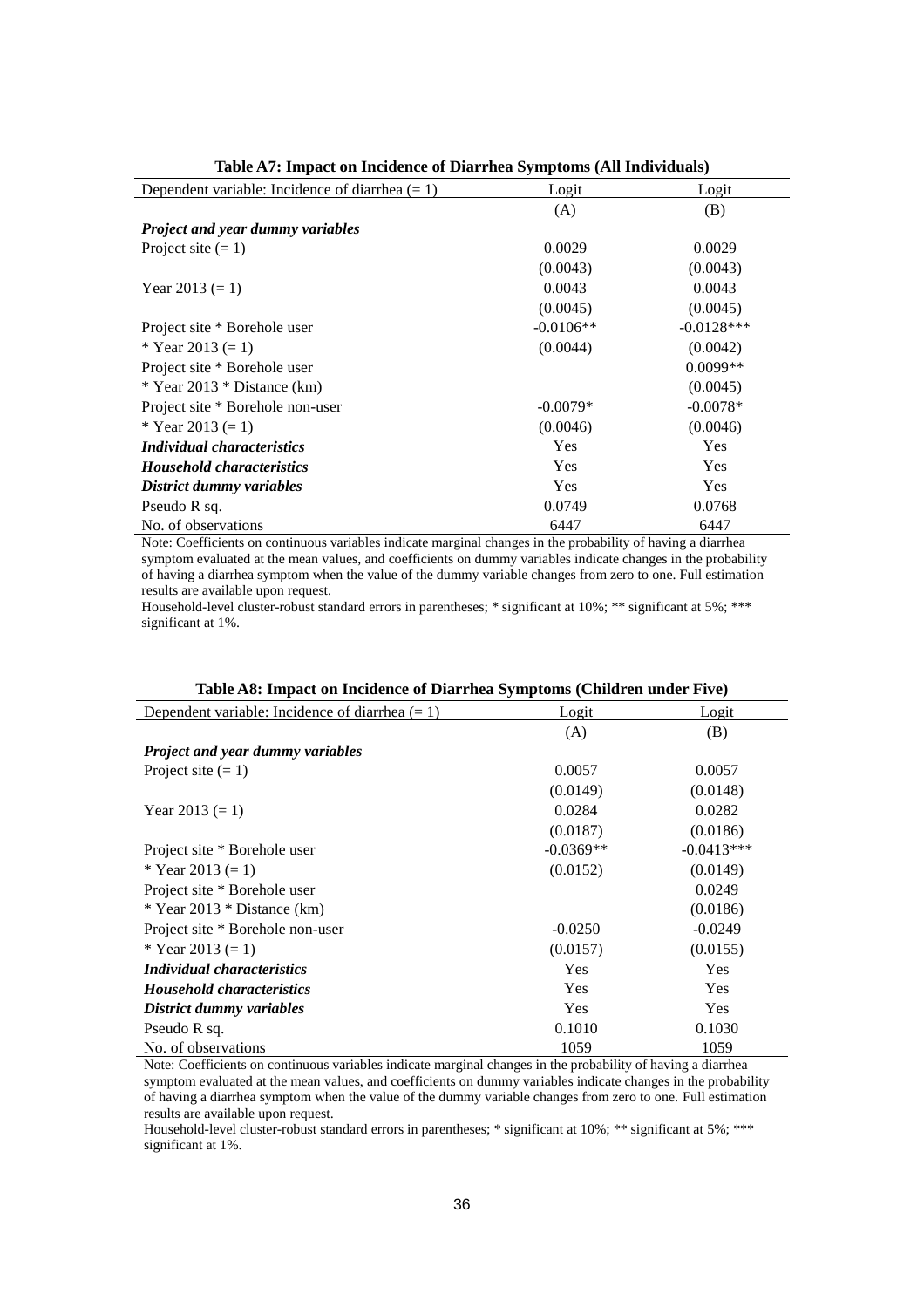| Dependent variable: Incidence of diarrhea $(= 1)$ | Logit       | Logit        |
|---------------------------------------------------|-------------|--------------|
|                                                   | (A)         | (B)          |
| <b>Project and year dummy variables</b>           |             |              |
| Project site $(= 1)$                              | 0.0029      | 0.0029       |
|                                                   | (0.0043)    | (0.0043)     |
| Year 2013 $(= 1)$                                 | 0.0043      | 0.0043       |
|                                                   | (0.0045)    | (0.0045)     |
| Project site * Borehole user                      | $-0.0106**$ | $-0.0128***$ |
| * Year 2013 $(= 1)$                               | (0.0044)    | (0.0042)     |
| Project site * Borehole user                      |             | $0.0099**$   |
| $*$ Year 2013 $*$ Distance (km)                   |             | (0.0045)     |
| Project site * Borehole non-user                  | $-0.0079*$  | $-0.0078*$   |
| * Year 2013 $(= 1)$                               | (0.0046)    | (0.0046)     |
| <i>Individual characteristics</i>                 | Yes         | Yes          |
| <b>Household characteristics</b>                  | Yes         | Yes          |
| District dummy variables                          | <b>Yes</b>  | <b>Yes</b>   |
| Pseudo R sq.                                      | 0.0749      | 0.0768       |
| No. of observations                               | 6447        | 6447         |

**Table A7: Impact on Incidence of Diarrhea Symptoms (All Individuals)**

Note: Coefficients on continuous variables indicate marginal changes in the probability of having a diarrhea symptom evaluated at the mean values, and coefficients on dummy variables indicate changes in the probability of having a diarrhea symptom when the value of the dummy variable changes from zero to one. Full estimation results are available upon request.

Household-level cluster-robust standard errors in parentheses; \* significant at 10%; \*\* significant at 5%; \*\*\* significant at 1%.

| Dependent variable: Incidence of diarrhea $(= 1)$ | Logit       | Logit        |
|---------------------------------------------------|-------------|--------------|
|                                                   | (A)         | (B)          |
| <b>Project and year dummy variables</b>           |             |              |
| Project site $(= 1)$                              | 0.0057      | 0.0057       |
|                                                   | (0.0149)    | (0.0148)     |
| Year $2013 (= 1)$                                 | 0.0284      | 0.0282       |
|                                                   | (0.0187)    | (0.0186)     |
| Project site * Borehole user                      | $-0.0369**$ | $-0.0413***$ |
| * Year 2013 $(= 1)$                               | (0.0152)    | (0.0149)     |
| Project site * Borehole user                      |             | 0.0249       |
| $*$ Year 2013 $*$ Distance (km)                   |             | (0.0186)     |
| Project site * Borehole non-user                  | $-0.0250$   | $-0.0249$    |
| * Year 2013 $(= 1)$                               | (0.0157)    | (0.0155)     |
| <i>Individual characteristics</i>                 | Yes         | Yes          |
| <b>Household characteristics</b>                  | Yes         | <b>Yes</b>   |
| District dummy variables                          | Yes         | <b>Yes</b>   |
| Pseudo R sq.                                      | 0.1010      | 0.1030       |
| No. of observations                               | 1059        | 1059         |

#### **Table A8: Impact on Incidence of Diarrhea Symptoms (Children under Five)**

Note: Coefficients on continuous variables indicate marginal changes in the probability of having a diarrhea symptom evaluated at the mean values, and coefficients on dummy variables indicate changes in the probability of having a diarrhea symptom when the value of the dummy variable changes from zero to one. Full estimation results are available upon request.

Household-level cluster-robust standard errors in parentheses; \* significant at 10%; \*\* significant at 5%; \*\*\* significant at 1%.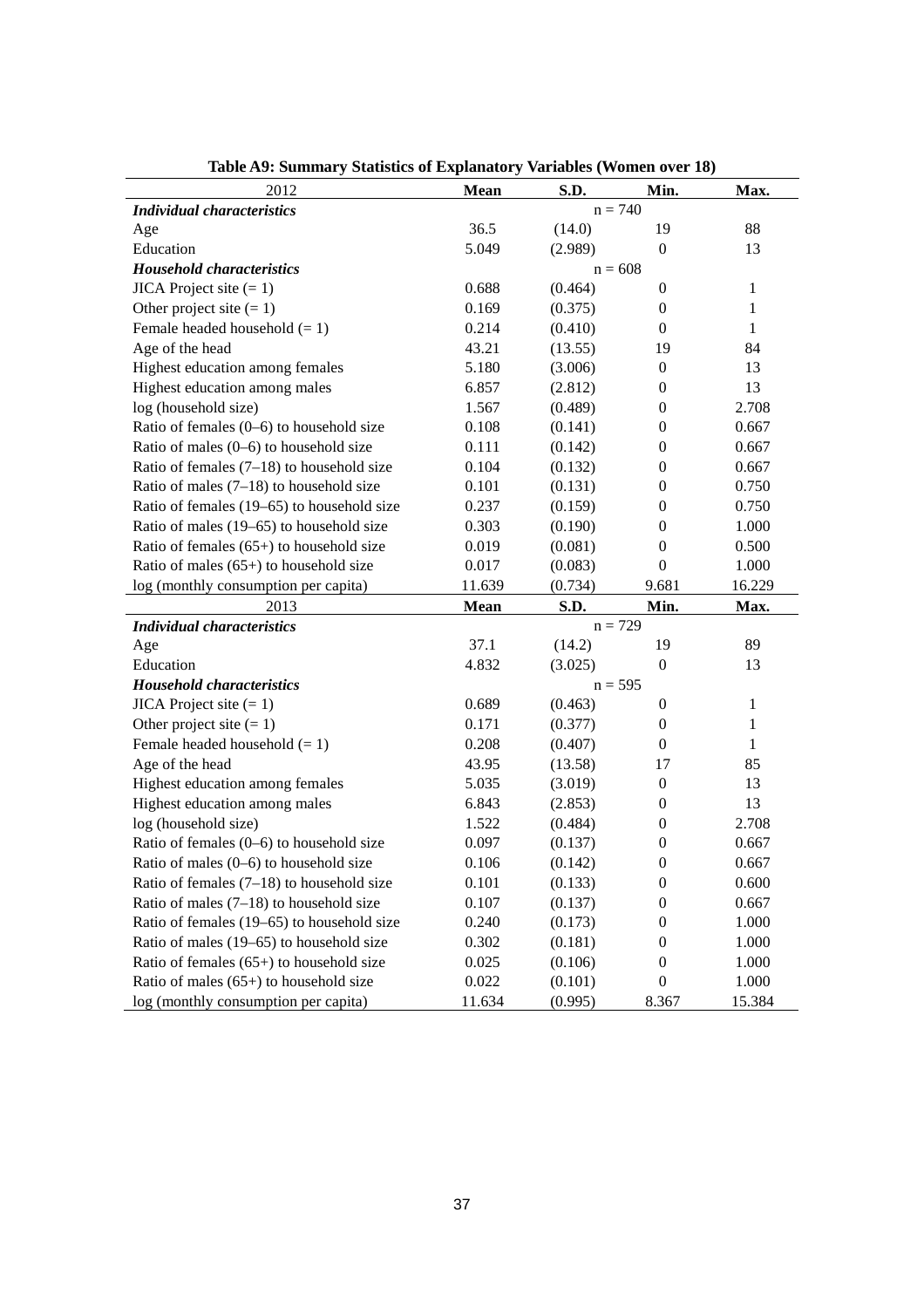| 2012                                        | <b>Mean</b> | S.D.      | Min.             | Max.         |
|---------------------------------------------|-------------|-----------|------------------|--------------|
| <b>Individual characteristics</b>           | $n = 740$   |           |                  |              |
| Age                                         | 36.5        | (14.0)    | 19               | 88           |
| Education                                   | 5.049       | (2.989)   | $\boldsymbol{0}$ | 13           |
| <b>Household characteristics</b>            |             | $n = 608$ |                  |              |
| $JICA Project site (= 1)$                   | 0.688       | (0.464)   | $\boldsymbol{0}$ | 1            |
| Other project site $(= 1)$                  | 0.169       | (0.375)   | $\boldsymbol{0}$ | 1            |
| Female headed household $(= 1)$             | 0.214       | (0.410)   | $\boldsymbol{0}$ | $\mathbf{1}$ |
| Age of the head                             | 43.21       | (13.55)   | 19               | 84           |
| Highest education among females             | 5.180       | (3.006)   | $\boldsymbol{0}$ | 13           |
| Highest education among males               | 6.857       | (2.812)   | $\boldsymbol{0}$ | 13           |
| log (household size)                        | 1.567       | (0.489)   | $\boldsymbol{0}$ | 2.708        |
| Ratio of females $(0-6)$ to household size  | 0.108       | (0.141)   | $\boldsymbol{0}$ | 0.667        |
| Ratio of males $(0-6)$ to household size    | 0.111       | (0.142)   | $\boldsymbol{0}$ | 0.667        |
| Ratio of females $(7-18)$ to household size | 0.104       | (0.132)   | $\boldsymbol{0}$ | 0.667        |
| Ratio of males $(7-18)$ to household size   | 0.101       | (0.131)   | $\boldsymbol{0}$ | 0.750        |
| Ratio of females (19–65) to household size  | 0.237       | (0.159)   | $\mathbf{0}$     | 0.750        |
| Ratio of males (19–65) to household size    | 0.303       | (0.190)   | $\mathbf{0}$     | 1.000        |
| Ratio of females $(65+)$ to household size  | 0.019       | (0.081)   | $\boldsymbol{0}$ | 0.500        |
| Ratio of males $(65+)$ to household size    | 0.017       | (0.083)   | $\boldsymbol{0}$ | 1.000        |
| log (monthly consumption per capita)        | 11.639      | (0.734)   | 9.681            | 16.229       |
| 2013                                        | <b>Mean</b> | S.D.      | Min.             | Max.         |
| <b>Individual characteristics</b>           |             | $n = 729$ |                  |              |
| Age                                         | 37.1        | (14.2)    | 19               | 89           |
| Education                                   | 4.832       | (3.025)   | $\boldsymbol{0}$ | 13           |
| <b>Household characteristics</b>            |             | $n = 595$ |                  |              |
| $JICA Project site (= 1)$                   | 0.689       | (0.463)   | $\boldsymbol{0}$ | $\mathbf{1}$ |
| Other project site $(= 1)$                  | 0.171       | (0.377)   | $\boldsymbol{0}$ | 1            |
| Female headed household $(= 1)$             | 0.208       | (0.407)   | $\mathbf{0}$     | $\mathbf{1}$ |
| Age of the head                             | 43.95       | (13.58)   | 17               | 85           |
| Highest education among females             | 5.035       | (3.019)   | $\boldsymbol{0}$ | 13           |
| Highest education among males               | 6.843       | (2.853)   | $\boldsymbol{0}$ | 13           |
| log (household size)                        | 1.522       | (0.484)   | $\theta$         | 2.708        |
| Ratio of females $(0-6)$ to household size  | 0.097       | (0.137)   | $\boldsymbol{0}$ | 0.667        |
| Ratio of males $(0-6)$ to household size    | 0.106       | (0.142)   | $\boldsymbol{0}$ | 0.667        |
| Ratio of females $(7-18)$ to household size | 0.101       | (0.133)   | $\boldsymbol{0}$ | 0.600        |
| Ratio of males $(7-18)$ to household size   | 0.107       | (0.137)   | $\boldsymbol{0}$ | 0.667        |
| Ratio of females (19–65) to household size  | 0.240       | (0.173)   | $\boldsymbol{0}$ | 1.000        |
| Ratio of males (19–65) to household size    | 0.302       | (0.181)   | $\boldsymbol{0}$ | 1.000        |
| Ratio of females $(65+)$ to household size  | 0.025       | (0.106)   | $\boldsymbol{0}$ | 1.000        |
| Ratio of males $(65+)$ to household size    | 0.022       | (0.101)   | $\boldsymbol{0}$ | 1.000        |
| log (monthly consumption per capita)        | 11.634      | (0.995)   | 8.367            | 15.384       |

**Table A9: Summary Statistics of Explanatory Variables (Women over 18)**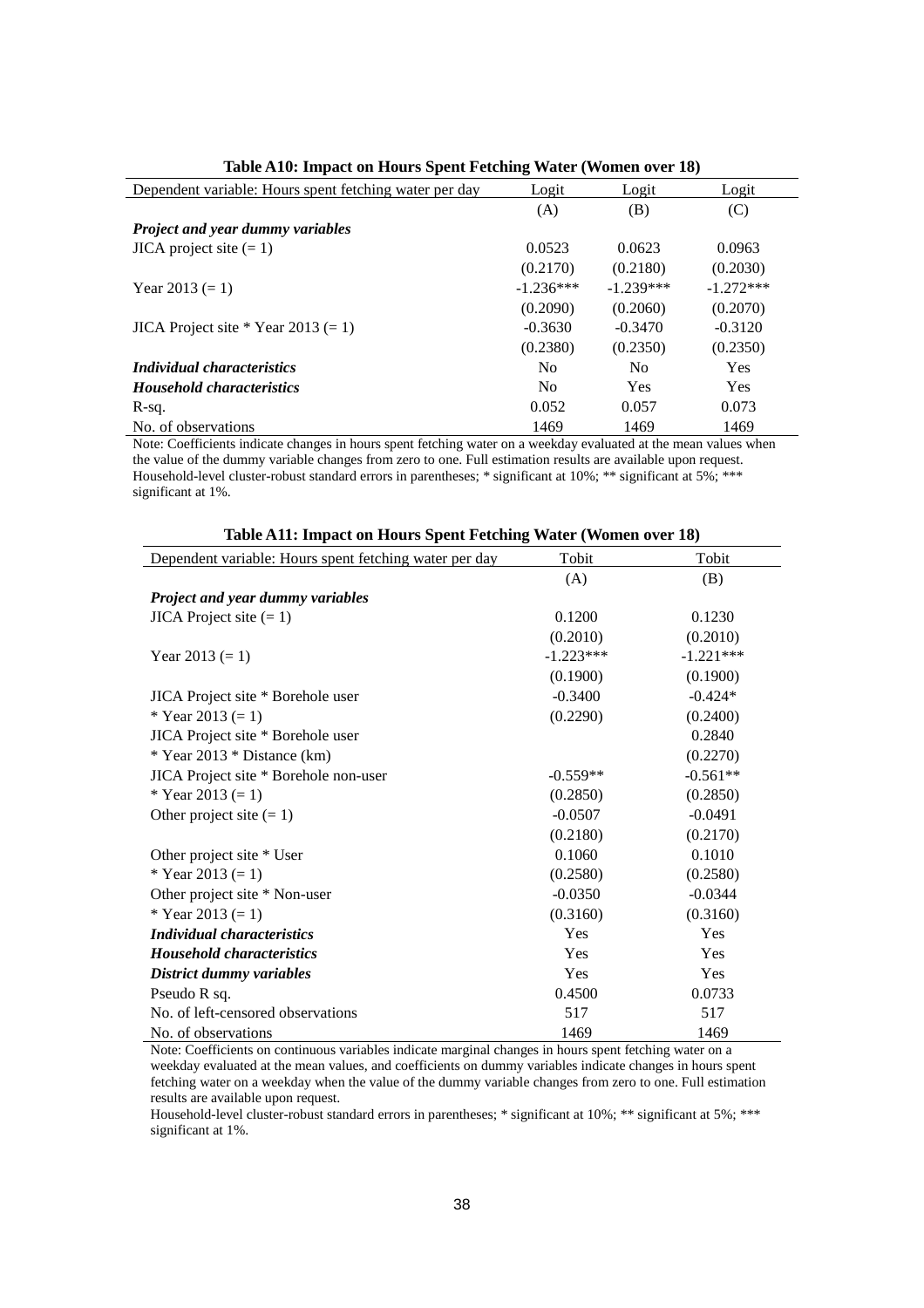| Dependent variable: Hours spent fetching water per day | Logit          | Logit          | Logit       |
|--------------------------------------------------------|----------------|----------------|-------------|
|                                                        | (A)            | (B)            | (C)         |
| <b>Project and year dummy variables</b>                |                |                |             |
| $JICA$ project site $(= 1)$                            | 0.0523         | 0.0623         | 0.0963      |
|                                                        | (0.2170)       | (0.2180)       | (0.2030)    |
| Year 2013 $(= 1)$                                      | $-1.236***$    | $-1.239***$    | $-1.272***$ |
|                                                        | (0.2090)       | (0.2060)       | (0.2070)    |
| JICA Project site * Year 2013 $(= 1)$                  | $-0.3630$      | $-0.3470$      | $-0.3120$   |
|                                                        | (0.2380)       | (0.2350)       | (0.2350)    |
| <i>Individual characteristics</i>                      | N <sub>0</sub> | N <sub>0</sub> | Yes         |
| <b>Household characteristics</b>                       | N <sub>0</sub> | Yes            | Yes         |
| R-sq.                                                  | 0.052          | 0.057          | 0.073       |
| No. of observations                                    | 1469           | 1469           | 1469        |

|  |  | Table A10: Impact on Hours Spent Fetching Water (Women over 18) |  |
|--|--|-----------------------------------------------------------------|--|
|--|--|-----------------------------------------------------------------|--|

Note: Coefficients indicate changes in hours spent fetching water on a weekday evaluated at the mean values when the value of the dummy variable changes from zero to one. Full estimation results are available upon request. Household-level cluster-robust standard errors in parentheses; \* significant at 10%; \*\* significant at 5%; \*\*\* significant at 1%.

| Dependent variable: Hours spent fetching water per day | Tobit       | Tobit       |
|--------------------------------------------------------|-------------|-------------|
|                                                        | (A)         | (B)         |
| Project and year dummy variables                       |             |             |
| $JICA Project site (= 1)$                              | 0.1200      | 0.1230      |
|                                                        | (0.2010)    | (0.2010)    |
| Year 2013 $(= 1)$                                      | $-1.223***$ | $-1.221***$ |
|                                                        | (0.1900)    | (0.1900)    |
| JICA Project site * Borehole user                      | $-0.3400$   | $-0.424*$   |
| * Year 2013 $(= 1)$                                    | (0.2290)    | (0.2400)    |
| JICA Project site * Borehole user                      |             | 0.2840      |
| * Year $2013$ * Distance (km)                          |             | (0.2270)    |
| JICA Project site * Borehole non-user                  | $-0.559**$  | $-0.561**$  |
| * Year 2013 $(= 1)$                                    | (0.2850)    | (0.2850)    |
| Other project site $(= 1)$                             | $-0.0507$   | $-0.0491$   |
|                                                        | (0.2180)    | (0.2170)    |
| Other project site * User                              | 0.1060      | 0.1010      |
| * Year 2013 $(= 1)$                                    | (0.2580)    | (0.2580)    |
| Other project site * Non-user                          | $-0.0350$   | $-0.0344$   |
| * Year 2013 $(= 1)$                                    | (0.3160)    | (0.3160)    |
| <i>Individual characteristics</i>                      | Yes         | Yes         |
| <b>Household characteristics</b>                       | Yes         | Yes         |
| District dummy variables                               | Yes         | Yes         |
| Pseudo R sq.                                           | 0.4500      | 0.0733      |
| No. of left-censored observations                      | 517         | 517         |
| No. of observations                                    | 1469        | 1469        |

| Table A11: Impact on Hours Spent Fetching Water (Women over 18) |  |  |
|-----------------------------------------------------------------|--|--|
|-----------------------------------------------------------------|--|--|

Note: Coefficients on continuous variables indicate marginal changes in hours spent fetching water on a weekday evaluated at the mean values, and coefficients on dummy variables indicate changes in hours spent fetching water on a weekday when the value of the dummy variable changes from zero to one. Full estimation results are available upon request.

Household-level cluster-robust standard errors in parentheses; \* significant at 10%; \*\* significant at 5%; \*\*\* significant at 1%.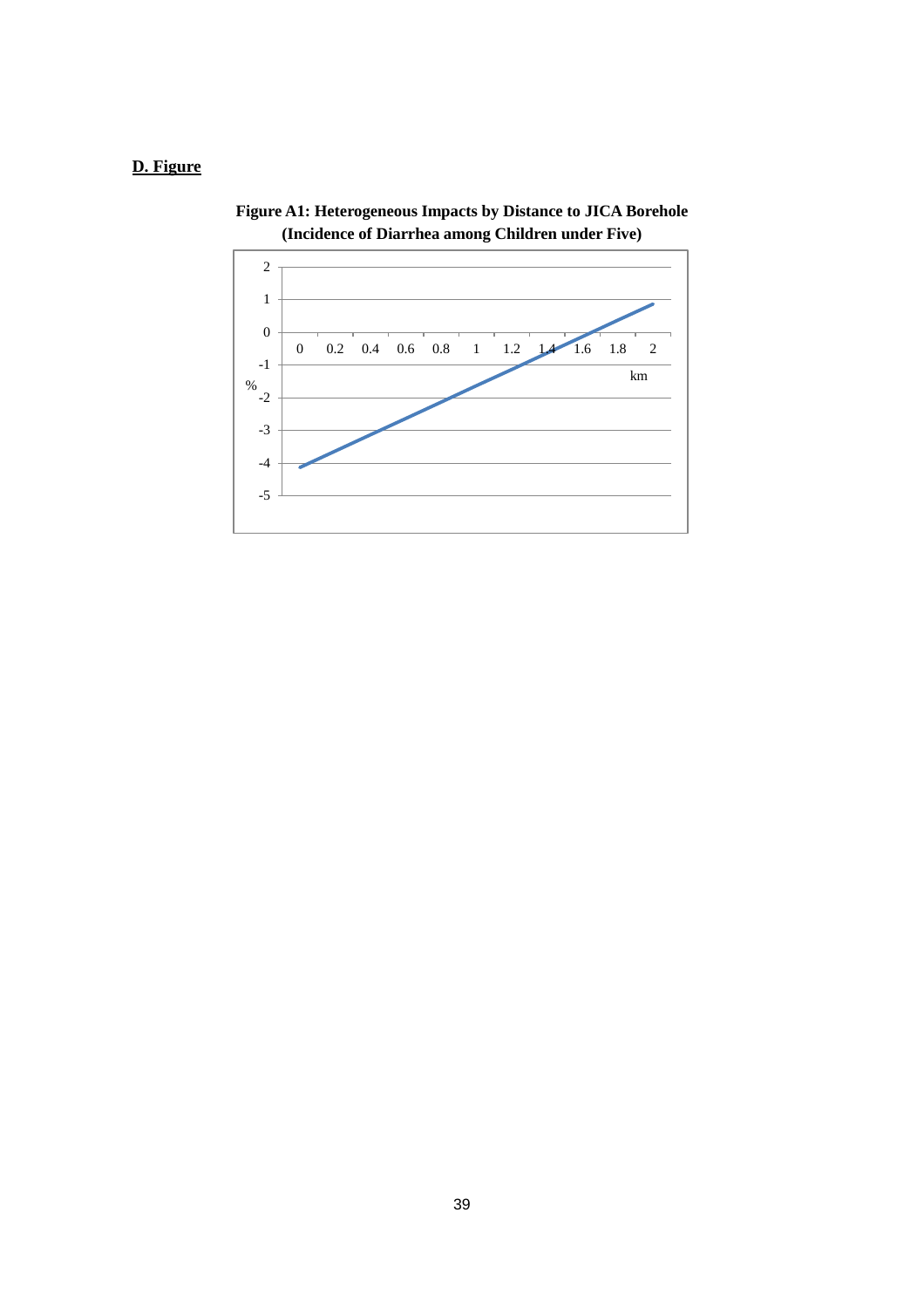# **D. Figure**



**Figure A1: Heterogeneous Impacts by Distance to JICA Borehole (Incidence of Diarrhea among Children under Five)**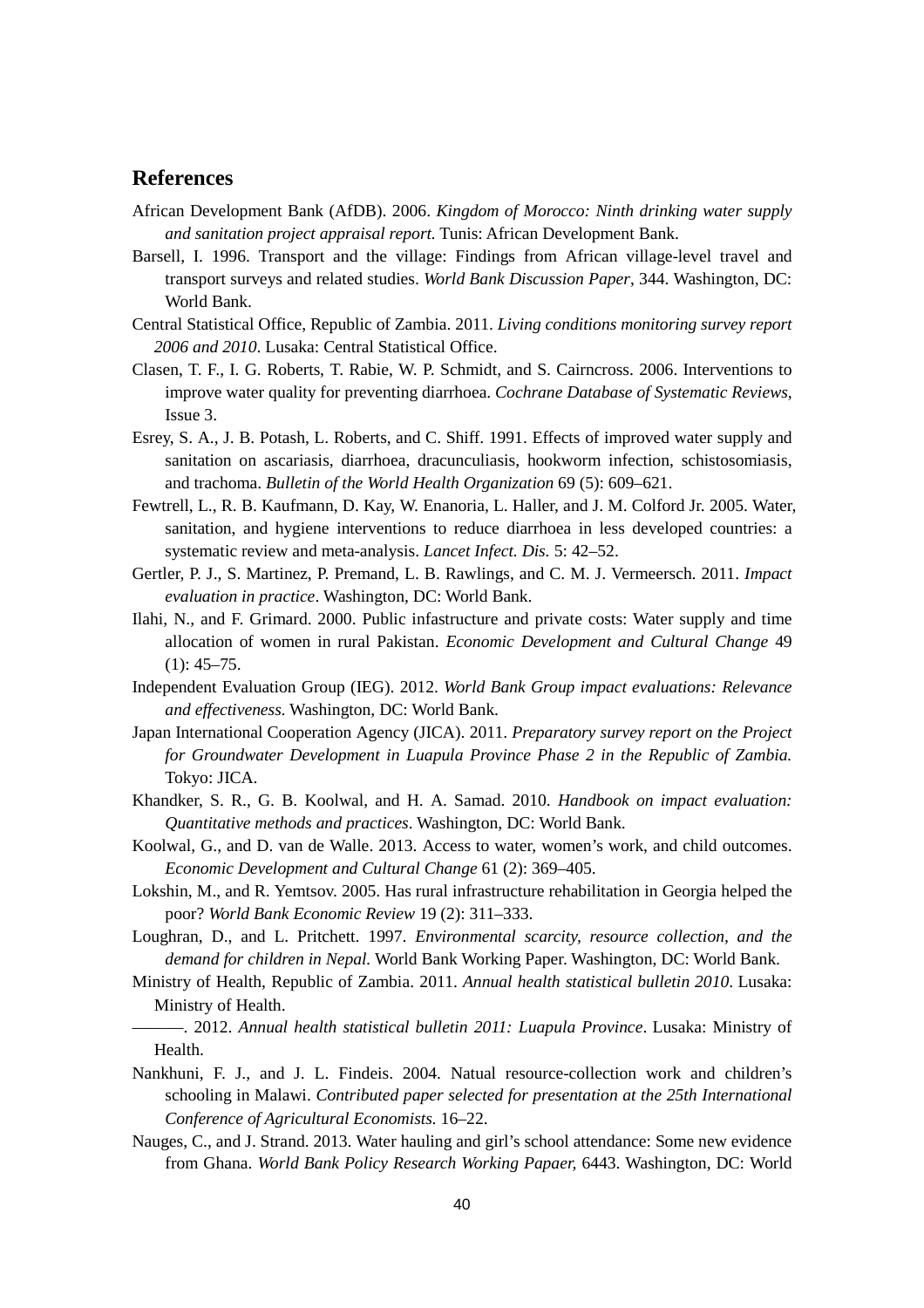# **References**

- African Development Bank (AfDB). 2006. *Kingdom of Morocco: Ninth drinking water supply and sanitation project appraisal report.* Tunis: African Development Bank.
- Barsell, I. 1996. Transport and the village: Findings from African village-level travel and transport surveys and related studies. *World Bank Discussion Paper*, 344. Washington, DC: World Bank.
- Central Statistical Office, Republic of Zambia. 2011. *Living conditions monitoring survey report 2006 and 2010*. Lusaka: Central Statistical Office.
- Clasen, T. F., I. G. Roberts, T. Rabie, W. P. Schmidt, and S. Cairncross. 2006. Interventions to improve water quality for preventing diarrhoea. *Cochrane Database of Systematic Reviews,* Issue 3.
- Esrey, S. A., J. B. Potash, L. Roberts, and C. Shiff. 1991. Effects of improved water supply and sanitation on ascariasis, diarrhoea, dracunculiasis, hookworm infection, schistosomiasis, and trachoma. *Bulletin of the World Health Organization* 69 (5): 609–621.
- Fewtrell, L., R. B. Kaufmann, D. Kay, W. Enanoria, L. Haller, and J. M. Colford Jr. 2005. Water, sanitation, and hygiene interventions to reduce diarrhoea in less developed countries: a systematic review and meta-analysis. *Lancet Infect. Dis.* 5: 42–52.
- Gertler, P. J., S. Martinez, P. Premand, L. B. Rawlings, and C. M. J. Vermeersch. 2011. *Impact evaluation in practice*. Washington, DC: World Bank.
- Ilahi, N., and F. Grimard. 2000. Public infastructure and private costs: Water supply and time allocation of women in rural Pakistan. *Economic Development and Cultural Change* 49  $(1): 45 - 75.$
- Independent Evaluation Group (IEG). 2012. *World Bank Group impact evaluations: Relevance and effectiveness.* Washington, DC: World Bank.
- Japan International Cooperation Agency (JICA). 2011. *Preparatory survey report on the Project for Groundwater Development in Luapula Province Phase 2 in the Republic of Zambia.* Tokyo: JICA.
- Khandker, S. R., G. B. Koolwal, and H. A. Samad. 2010. *Handbook on impact evaluation: Quantitative methods and practices*. Washington, DC: World Bank.
- Koolwal, G., and D. van de Walle. 2013. Access to water, women's work, and child outcomes. *Economic Development and Cultural Change* 61 (2): 369–405.
- Lokshin, M., and R. Yemtsov. 2005. Has rural infrastructure rehabilitation in Georgia helped the poor? *World Bank Economic Review* 19 (2): 311–333.
- Loughran, D., and L. Pritchett. 1997. *Environmental scarcity, resource collection, and the demand for children in Nepal.* World Bank Working Paper. Washington, DC: World Bank.
- Ministry of Health, Republic of Zambia. 2011. *Annual health statistical bulletin 2010*. Lusaka: Ministry of Health.
	- ———. 2012. *Annual health statistical bulletin 2011: Luapula Province*. Lusaka: Ministry of Health.
- Nankhuni, F. J., and J. L. Findeis. 2004. Natual resource-collection work and children's schooling in Malawi. *Contributed paper selected for presentation at the 25th International Conference of Agricultural Economists.* 16–22.
- Nauges, C., and J. Strand. 2013. Water hauling and girl's school attendance: Some new evidence from Ghana. *World Bank Policy Research Working Papaer,* 6443. Washington, DC: World